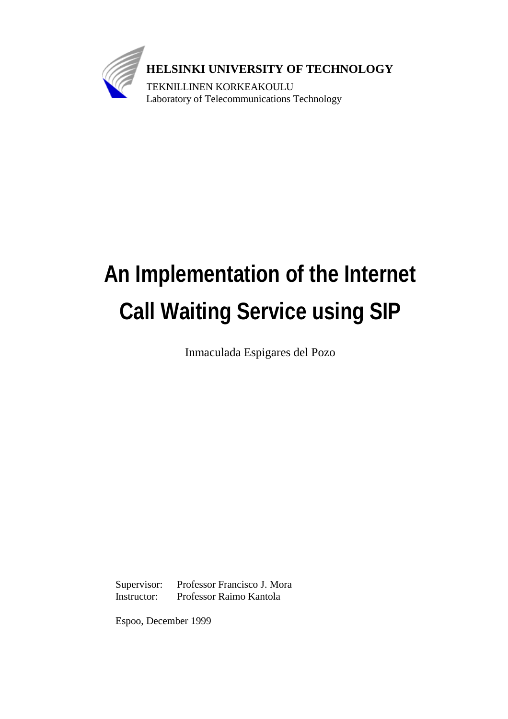

# **An Implementation of the Internet Call Waiting Service using SIP**

Inmaculada Espigares del Pozo

Supervisor: Professor Francisco J. Mora Instructor: Professor Raimo Kantola

Espoo, December 1999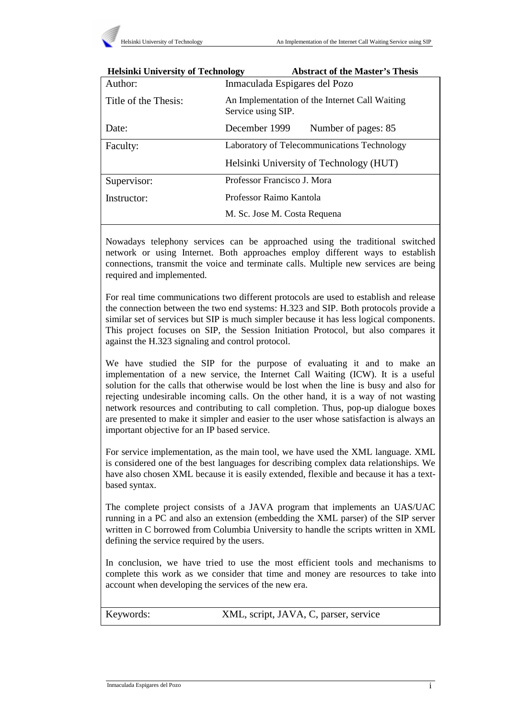| <b>Helsinki University of Technology</b> | <b>Abstract of the Master's Thesis</b>                               |
|------------------------------------------|----------------------------------------------------------------------|
| Author:                                  | Inmaculada Espigares del Pozo                                        |
| Title of the Thesis:                     | An Implementation of the Internet Call Waiting<br>Service using SIP. |
| Date:                                    | December 1999<br>Number of pages: 85                                 |
| Faculty:                                 | Laboratory of Telecommunications Technology                          |
|                                          | Helsinki University of Technology (HUT)                              |
| Supervisor:                              | Professor Francisco J. Mora                                          |
| Instructor:                              | Professor Raimo Kantola                                              |
|                                          | M. Sc. Jose M. Costa Requena                                         |

Nowadays telephony services can be approached using the traditional switched network or using Internet. Both approaches employ different ways to establish connections, transmit the voice and terminate calls. Multiple new services are being required and implemented.

For real time communications two different protocols are used to establish and release the connection between the two end systems: H.323 and SIP. Both protocols provide a similar set of services but SIP is much simpler because it has less logical components. This project focuses on SIP, the Session Initiation Protocol, but also compares it against the H.323 signaling and control protocol.

We have studied the SIP for the purpose of evaluating it and to make an implementation of a new service, the Internet Call Waiting (ICW). It is a useful solution for the calls that otherwise would be lost when the line is busy and also for rejecting undesirable incoming calls. On the other hand, it is a way of not wasting network resources and contributing to call completion. Thus, pop-up dialogue boxes are presented to make it simpler and easier to the user whose satisfaction is always an important objective for an IP based service.

For service implementation, as the main tool, we have used the XML language. XML is considered one of the best languages for describing complex data relationships. We have also chosen XML because it is easily extended, flexible and because it has a textbased syntax.

The complete project consists of a JAVA program that implements an UAS/UAC running in a PC and also an extension (embedding the XML parser) of the SIP server written in C borrowed from Columbia University to handle the scripts written in XML defining the service required by the users.

In conclusion, we have tried to use the most efficient tools and mechanisms to complete this work as we consider that time and money are resources to take into account when developing the services of the new era.

Keywords: XML, script, JAVA, C, parser, service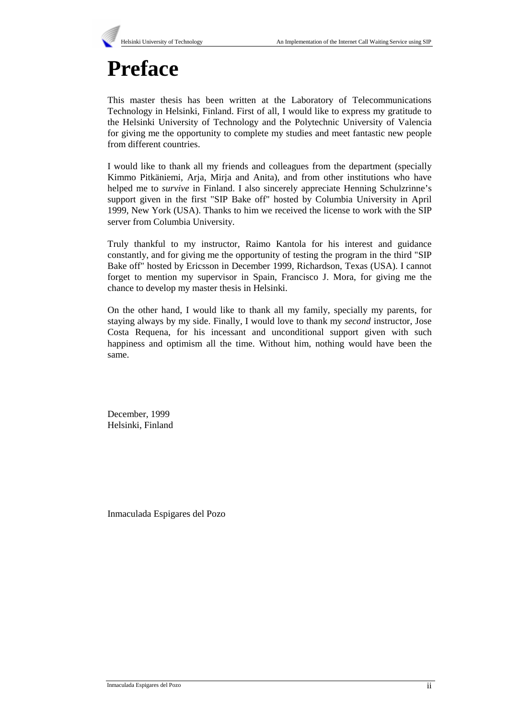# **Preface**

This master thesis has been written at the Laboratory of Telecommunications Technology in Helsinki, Finland. First of all, I would like to express my gratitude to the Helsinki University of Technology and the Polytechnic University of Valencia for giving me the opportunity to complete my studies and meet fantastic new people from different countries.

I would like to thank all my friends and colleagues from the department (specially Kimmo Pitkäniemi, Arja, Mirja and Anita), and from other institutions who have helped me to *survive* in Finland. I also sincerely appreciate Henning Schulzrinne's support given in the first "SIP Bake off" hosted by Columbia University in April 1999, New York (USA). Thanks to him we received the license to work with the SIP server from Columbia University.

Truly thankful to my instructor, Raimo Kantola for his interest and guidance constantly, and for giving me the opportunity of testing the program in the third "SIP Bake off" hosted by Ericsson in December 1999, Richardson, Texas (USA). I cannot forget to mention my supervisor in Spain, Francisco J. Mora, for giving me the chance to develop my master thesis in Helsinki.

On the other hand, I would like to thank all my family, specially my parents, for staying always by my side. Finally, I would love to thank my *second* instructor, Jose Costa Requena, for his incessant and unconditional support given with such happiness and optimism all the time. Without him, nothing would have been the same.

December, 1999 Helsinki, Finland

Inmaculada Espigares del Pozo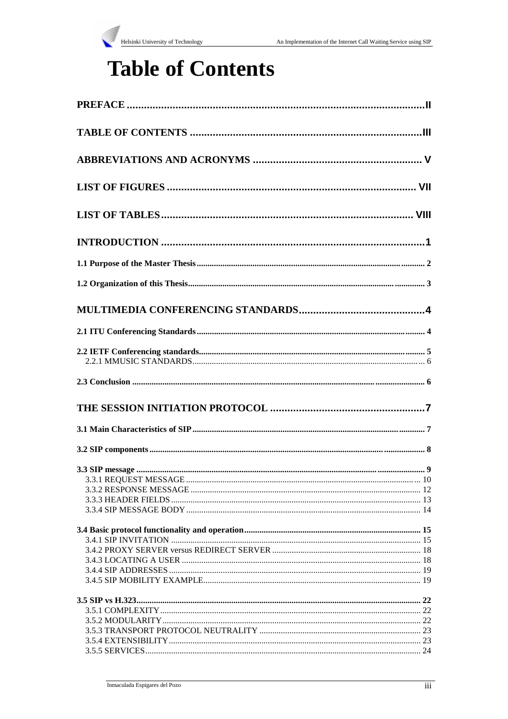

# **Table of Contents**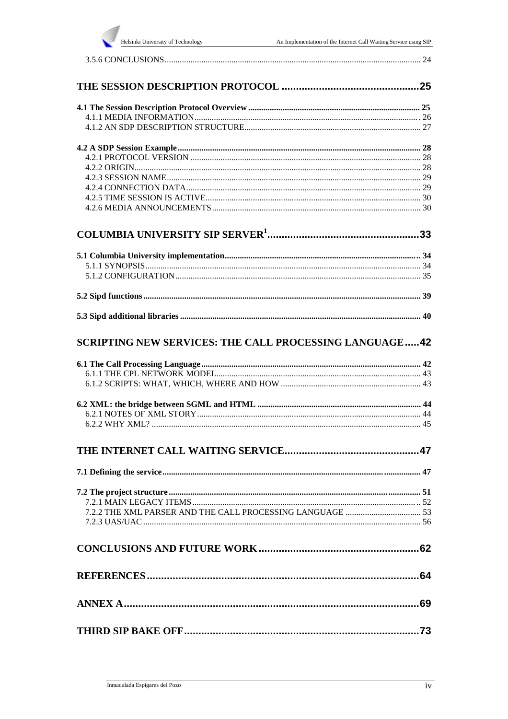| <b>SCRIPTING NEW SERVICES: THE CALL PROCESSING LANGUAGE42</b> |  |
|---------------------------------------------------------------|--|
|                                                               |  |
|                                                               |  |
|                                                               |  |
|                                                               |  |
|                                                               |  |
|                                                               |  |
|                                                               |  |
|                                                               |  |
|                                                               |  |
|                                                               |  |
|                                                               |  |
|                                                               |  |
|                                                               |  |
|                                                               |  |
|                                                               |  |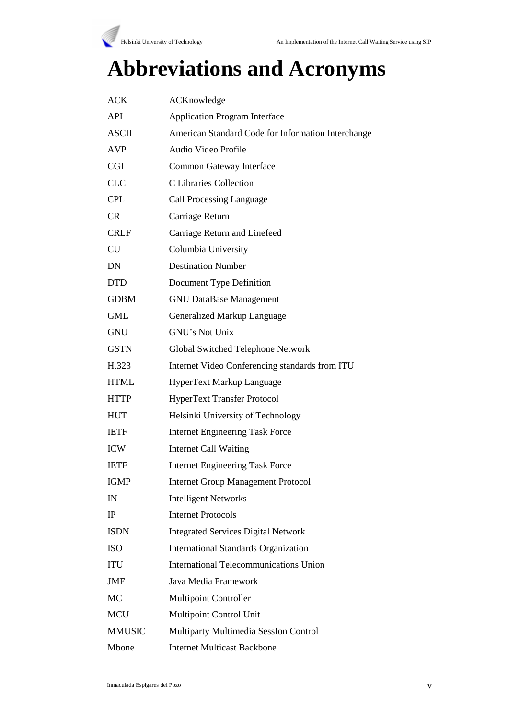# **Abbreviations and Acronyms**

| <b>ACK</b>    | ACKnowledge                                        |
|---------------|----------------------------------------------------|
| API           | <b>Application Program Interface</b>               |
| <b>ASCII</b>  | American Standard Code for Information Interchange |
| <b>AVP</b>    | Audio Video Profile                                |
| CGI           | Common Gateway Interface                           |
| <b>CLC</b>    | C Libraries Collection                             |
| <b>CPL</b>    | <b>Call Processing Language</b>                    |
| <b>CR</b>     | Carriage Return                                    |
| <b>CRLF</b>   | Carriage Return and Linefeed                       |
| <b>CU</b>     | Columbia University                                |
| DN            | <b>Destination Number</b>                          |
| <b>DTD</b>    | Document Type Definition                           |
| <b>GDBM</b>   | <b>GNU DataBase Management</b>                     |
| <b>GML</b>    | Generalized Markup Language                        |
| <b>GNU</b>    | GNU's Not Unix                                     |
| <b>GSTN</b>   | Global Switched Telephone Network                  |
| H.323         | Internet Video Conferencing standards from ITU     |
| <b>HTML</b>   | HyperText Markup Language                          |
| <b>HTTP</b>   | <b>HyperText Transfer Protocol</b>                 |
| <b>HUT</b>    | Helsinki University of Technology                  |
| <b>IETF</b>   | <b>Internet Engineering Task Force</b>             |
| <b>ICW</b>    | <b>Internet Call Waiting</b>                       |
| <b>IETF</b>   | <b>Internet Engineering Task Force</b>             |
| <b>IGMP</b>   | <b>Internet Group Management Protocol</b>          |
| IN            | <b>Intelligent Networks</b>                        |
| $_{\rm IP}$   | <b>Internet Protocols</b>                          |
| <b>ISDN</b>   | <b>Integrated Services Digital Network</b>         |
| <b>ISO</b>    | <b>International Standards Organization</b>        |
| <b>ITU</b>    | <b>International Telecommunications Union</b>      |
| JMF           | Java Media Framework                               |
| MC            | <b>Multipoint Controller</b>                       |
| <b>MCU</b>    | Multipoint Control Unit                            |
| <b>MMUSIC</b> | Multiparty Multimedia SessIon Control              |
| Mbone         | <b>Internet Multicast Backbone</b>                 |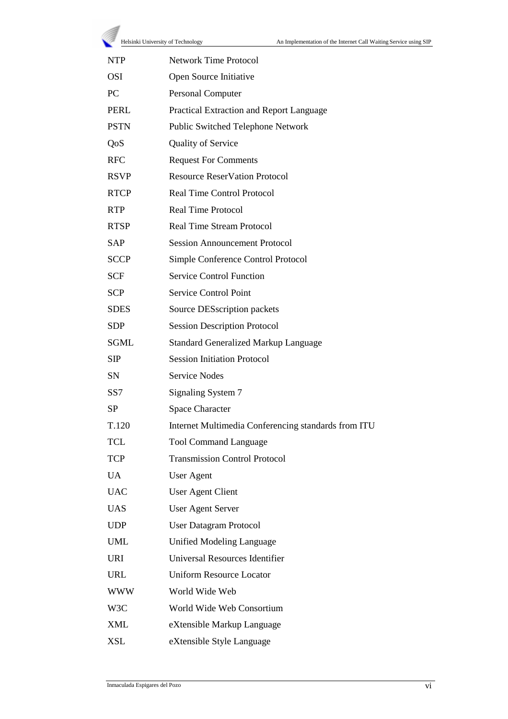| <b>NTP</b>  | <b>Network Time Protocol</b>                        |
|-------------|-----------------------------------------------------|
| <b>OSI</b>  | Open Source Initiative                              |
| PC          | Personal Computer                                   |
| PERL        | Practical Extraction and Report Language            |
| <b>PSTN</b> | <b>Public Switched Telephone Network</b>            |
| QoS         | <b>Quality of Service</b>                           |
| <b>RFC</b>  | <b>Request For Comments</b>                         |
| <b>RSVP</b> | <b>Resource ReserVation Protocol</b>                |
| <b>RTCP</b> | <b>Real Time Control Protocol</b>                   |
| <b>RTP</b>  | <b>Real Time Protocol</b>                           |
| <b>RTSP</b> | <b>Real Time Stream Protocol</b>                    |
| <b>SAP</b>  | <b>Session Announcement Protocol</b>                |
| <b>SCCP</b> | Simple Conference Control Protocol                  |
| <b>SCF</b>  | <b>Service Control Function</b>                     |
| <b>SCP</b>  | <b>Service Control Point</b>                        |
| <b>SDES</b> | Source DES scription packets                        |
| <b>SDP</b>  | <b>Session Description Protocol</b>                 |
| <b>SGML</b> | <b>Standard Generalized Markup Language</b>         |
| <b>SIP</b>  | <b>Session Initiation Protocol</b>                  |
| SN          | <b>Service Nodes</b>                                |
| SS7         | Signaling System 7                                  |
| SP          | <b>Space Character</b>                              |
| T.120       | Internet Multimedia Conferencing standards from ITU |
| <b>TCL</b>  | <b>Tool Command Language</b>                        |
| <b>TCP</b>  | <b>Transmission Control Protocol</b>                |
| UA          | <b>User Agent</b>                                   |
| <b>UAC</b>  | User Agent Client                                   |
| <b>UAS</b>  | <b>User Agent Server</b>                            |
| <b>UDP</b>  | <b>User Datagram Protocol</b>                       |
| <b>UML</b>  | <b>Unified Modeling Language</b>                    |
| <b>URI</b>  | Universal Resources Identifier                      |
| <b>URL</b>  | <b>Uniform Resource Locator</b>                     |
| <b>WWW</b>  | World Wide Web                                      |
| W3C         | World Wide Web Consortium                           |
| <b>XML</b>  | eXtensible Markup Language                          |
| XSL         | eXtensible Style Language                           |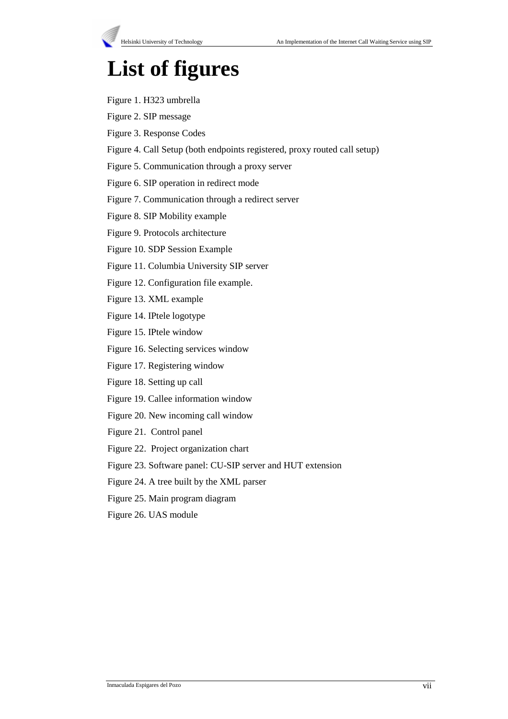# **List of figures**

Figure 1. H323 umbrella

Figure 2. SIP message

Figure 3. Response Codes

Figure 4. Call Setup (both endpoints registered, proxy routed call setup)

Figure 5. Communication through a proxy server

Figure 6. SIP operation in redirect mode

Figure 7. Communication through a redirect server

Figure 8. SIP Mobility example

Figure 9. Protocols architecture

Figure 10. SDP Session Example

Figure 11. Columbia University SIP server

Figure 12. Configuration file example.

Figure 13. XML example

Figure 14. IPtele logotype

Figure 15. IPtele window

Figure 16. Selecting services window

Figure 17. Registering window

Figure 18. Setting up call

Figure 19. Callee information window

Figure 20. New incoming call window

Figure 21. Control panel

Figure 22. Project organization chart

Figure 23. Software panel: CU-SIP server and HUT extension

Figure 24. A tree built by the XML parser

Figure 25. Main program diagram

Figure 26. UAS module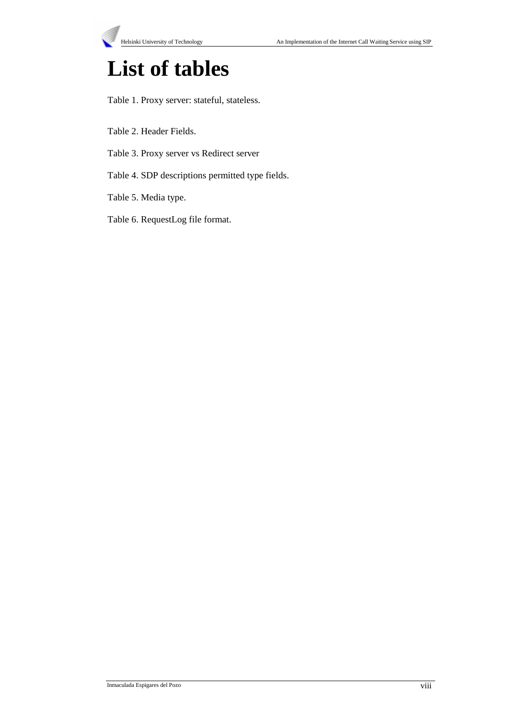# **List of tables**

Table 1. Proxy server: stateful, stateless.

- Table 2. Header Fields.
- Table 3. Proxy server vs Redirect server
- Table 4. SDP descriptions permitted type fields.
- Table 5. Media type.
- Table 6. RequestLog file format.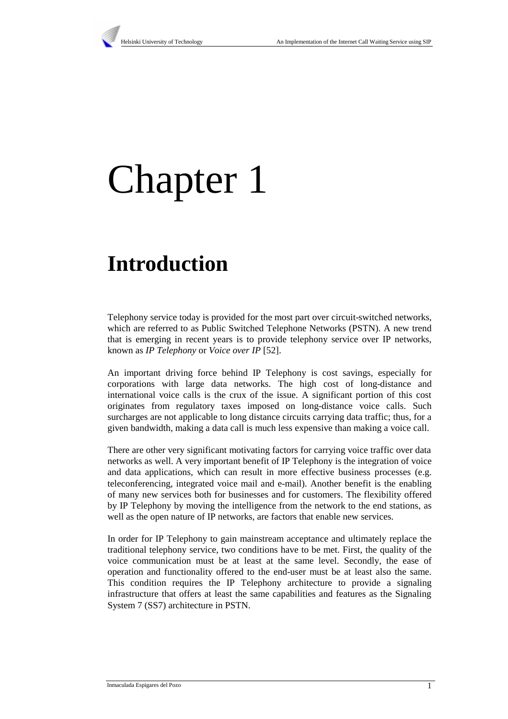

# Chapter 1

# **Introduction**

Telephony service today is provided for the most part over circuit-switched networks, which are referred to as Public Switched Telephone Networks (PSTN). A new trend that is emerging in recent years is to provide telephony service over IP networks, known as *IP Telephony* or *Voice over IP* [52].

An important driving force behind IP Telephony is cost savings, especially for corporations with large data networks. The high cost of long-distance and international voice calls is the crux of the issue. A significant portion of this cost originates from regulatory taxes imposed on long-distance voice calls. Such surcharges are not applicable to long distance circuits carrying data traffic; thus, for a given bandwidth, making a data call is much less expensive than making a voice call.

There are other very significant motivating factors for carrying voice traffic over data networks as well. A very important benefit of IP Telephony is the integration of voice and data applications, which can result in more effective business processes (e.g. teleconferencing, integrated voice mail and e-mail). Another benefit is the enabling of many new services both for businesses and for customers. The flexibility offered by IP Telephony by moving the intelligence from the network to the end stations, as well as the open nature of IP networks, are factors that enable new services.

In order for IP Telephony to gain mainstream acceptance and ultimately replace the traditional telephony service, two conditions have to be met. First, the quality of the voice communication must be at least at the same level. Secondly, the ease of operation and functionality offered to the end-user must be at least also the same. This condition requires the IP Telephony architecture to provide a signaling infrastructure that offers at least the same capabilities and features as the Signaling System 7 (SS7) architecture in PSTN.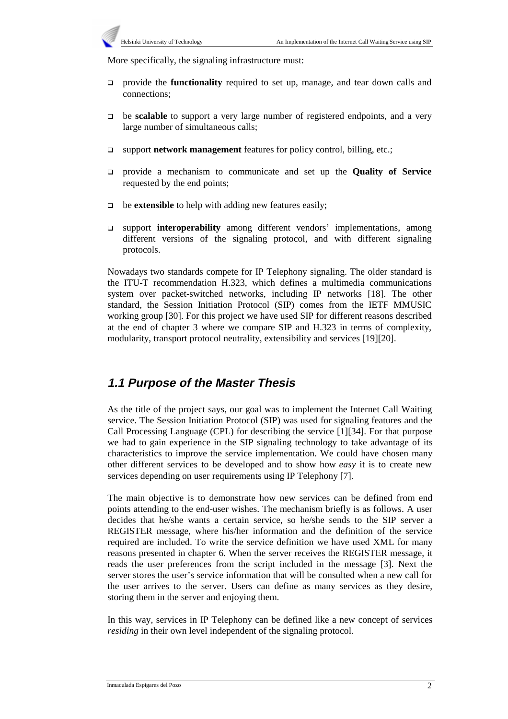

More specifically, the signaling infrastructure must:

- provide the **functionality** required to set up, manage, and tear down calls and connections;
- be **scalable** to support a very large number of registered endpoints, and a very large number of simultaneous calls;
- □ support **network management** features for policy control, billing, etc.;
- provide a mechanism to communicate and set up the **Quality of Service** requested by the end points;
- $\Box$  be **extensible** to help with adding new features easily;
- support **interoperability** among different vendors' implementations, among different versions of the signaling protocol, and with different signaling protocols.

Nowadays two standards compete for IP Telephony signaling. The older standard is the ITU-T recommendation H.323, which defines a multimedia communications system over packet-switched networks, including IP networks [18]. The other standard, the Session Initiation Protocol (SIP) comes from the IETF MMUSIC working group [30]. For this project we have used SIP for different reasons described at the end of chapter 3 where we compare SIP and H.323 in terms of complexity, modularity, transport protocol neutrality, extensibility and services [19][20].

# **1.1 Purpose of the Master Thesis**

As the title of the project says, our goal was to implement the Internet Call Waiting service. The Session Initiation Protocol (SIP) was used for signaling features and the Call Processing Language (CPL) for describing the service [1][34]. For that purpose we had to gain experience in the SIP signaling technology to take advantage of its characteristics to improve the service implementation. We could have chosen many other different services to be developed and to show how *easy* it is to create new services depending on user requirements using IP Telephony [7].

The main objective is to demonstrate how new services can be defined from end points attending to the end-user wishes. The mechanism briefly is as follows. A user decides that he/she wants a certain service, so he/she sends to the SIP server a REGISTER message, where his/her information and the definition of the service required are included. To write the service definition we have used XML for many reasons presented in chapter 6. When the server receives the REGISTER message, it reads the user preferences from the script included in the message [3]. Next the server stores the user's service information that will be consulted when a new call for the user arrives to the server. Users can define as many services as they desire, storing them in the server and enjoying them.

In this way, services in IP Telephony can be defined like a new concept of services *residing* in their own level independent of the signaling protocol.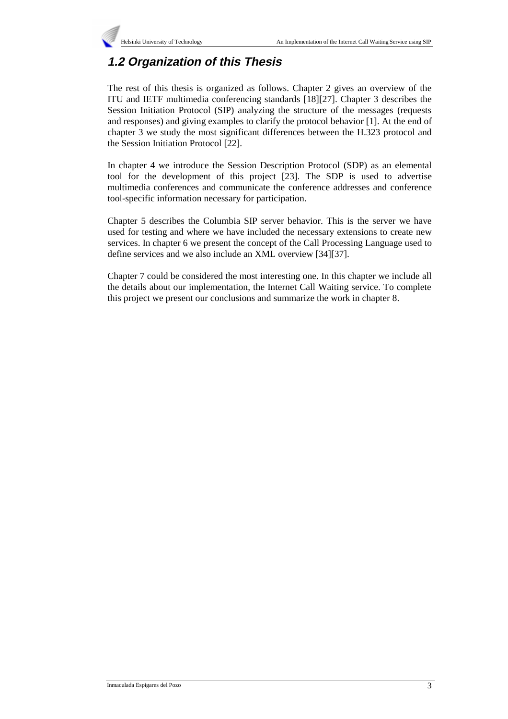

# **1.2 Organization of this Thesis**

The rest of this thesis is organized as follows. Chapter 2 gives an overview of the ITU and IETF multimedia conferencing standards [18][27]. Chapter 3 describes the Session Initiation Protocol (SIP) analyzing the structure of the messages (requests and responses) and giving examples to clarify the protocol behavior [1]. At the end of chapter 3 we study the most significant differences between the H.323 protocol and the Session Initiation Protocol [22].

In chapter 4 we introduce the Session Description Protocol (SDP) as an elemental tool for the development of this project [23]. The SDP is used to advertise multimedia conferences and communicate the conference addresses and conference tool-specific information necessary for participation.

Chapter 5 describes the Columbia SIP server behavior. This is the server we have used for testing and where we have included the necessary extensions to create new services. In chapter 6 we present the concept of the Call Processing Language used to define services and we also include an XML overview [34][37].

Chapter 7 could be considered the most interesting one. In this chapter we include all the details about our implementation, the Internet Call Waiting service. To complete this project we present our conclusions and summarize the work in chapter 8.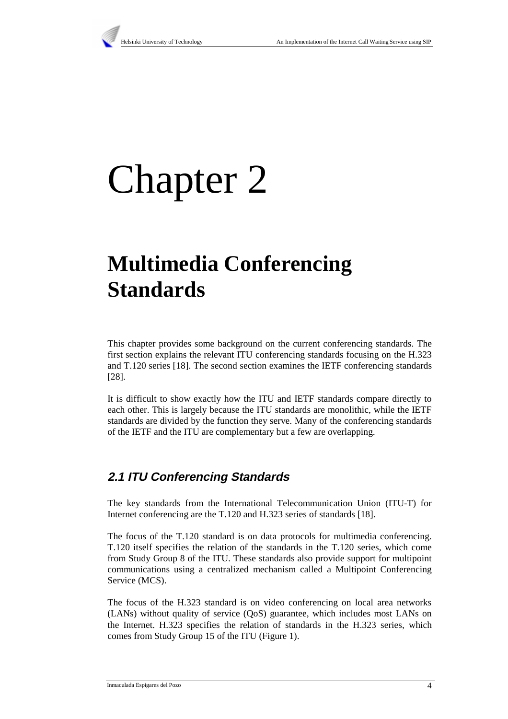

# Chapter 2

# **Multimedia Conferencing Standards**

This chapter provides some background on the current conferencing standards. The first section explains the relevant ITU conferencing standards focusing on the H.323 and T.120 series [18]. The second section examines the IETF conferencing standards [28].

It is difficult to show exactly how the ITU and IETF standards compare directly to each other. This is largely because the ITU standards are monolithic, while the IETF standards are divided by the function they serve. Many of the conferencing standards of the IETF and the ITU are complementary but a few are overlapping.

# **2.1 ITU Conferencing Standards**

The key standards from the International Telecommunication Union (ITU-T) for Internet conferencing are the T.120 and H.323 series of standards [18].

The focus of the T.120 standard is on data protocols for multimedia conferencing. T.120 itself specifies the relation of the standards in the T.120 series, which come from Study Group 8 of the ITU. These standards also provide support for multipoint communications using a centralized mechanism called a Multipoint Conferencing Service (MCS).

The focus of the H.323 standard is on video conferencing on local area networks (LANs) without quality of service (QoS) guarantee, which includes most LANs on the Internet. H.323 specifies the relation of standards in the H.323 series, which comes from Study Group 15 of the ITU (Figure 1).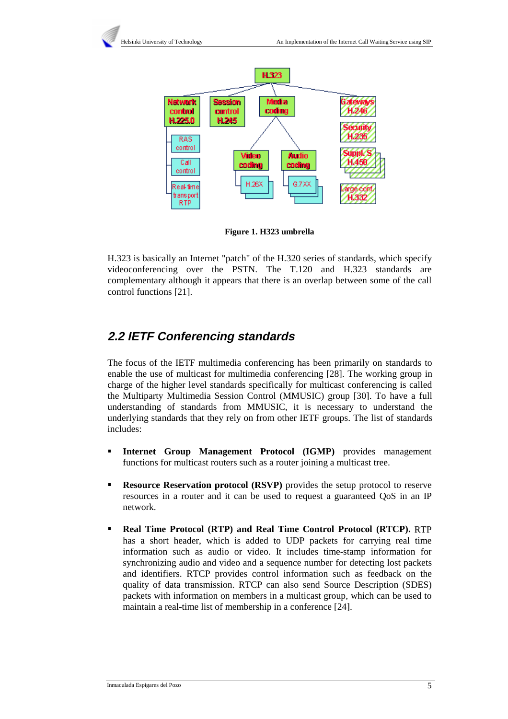

**Figure 1. H323 umbrella**

H.323 is basically an Internet "patch" of the H.320 series of standards, which specify videoconferencing over the PSTN. The T.120 and H.323 standards are complementary although it appears that there is an overlap between some of the call control functions [21].

# **2.2 IETF Conferencing standards**

The focus of the IETF multimedia conferencing has been primarily on standards to enable the use of multicast for multimedia conferencing [28]. The working group in charge of the higher level standards specifically for multicast conferencing is called the Multiparty Multimedia Session Control (MMUSIC) group [30]. To have a full understanding of standards from MMUSIC, it is necessary to understand the underlying standards that they rely on from other IETF groups. The list of standards includes:

- **Internet Group Management Protocol (IGMP)** provides management functions for multicast routers such as a router joining a multicast tree.
- **Resource Reservation protocol (RSVP)** provides the setup protocol to reserve resources in a router and it can be used to request a guaranteed QoS in an IP network.
- **Real Time Protocol (RTP) and Real Time Control Protocol (RTCP).** RTP has a short header, which is added to UDP packets for carrying real time information such as audio or video. It includes time-stamp information for synchronizing audio and video and a sequence number for detecting lost packets and identifiers. RTCP provides control information such as feedback on the quality of data transmission. RTCP can also send Source Description (SDES) packets with information on members in a multicast group, which can be used to maintain a real-time list of membership in a conference [24].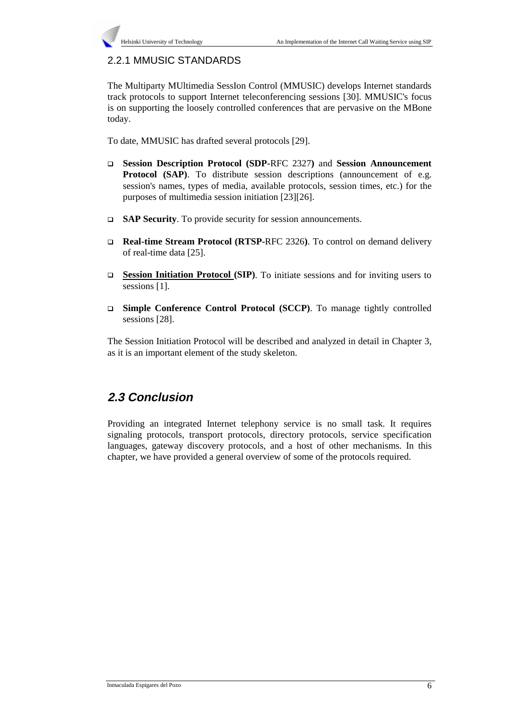# 2.2.1 MMUSIC STANDARDS

The Multiparty MUltimedia SessIon Control (MMUSIC) develops Internet standards track protocols to support Internet teleconferencing sessions [30]. MMUSIC's focus is on supporting the loosely controlled conferences that are pervasive on the MBone today.

To date, MMUSIC has drafted several protocols [29].

- **Session Description Protocol (SDP-**RFC 2327**)** and **Session Announcement Protocol (SAP)**. To distribute session descriptions (announcement of e.g. session's names, types of media, available protocols, session times, etc.) for the purposes of multimedia session initiation [23][26].
- **SAP Security**. To provide security for session announcements.
- **Real-time Stream Protocol (RTSP-**RFC 2326**)**. To control on demand delivery of real-time data [25].
- **Session Initiation Protocol (SIP)**. To initiate sessions and for inviting users to sessions [1].
- **Simple Conference Control Protocol (SCCP)**. To manage tightly controlled sessions [28].

The Session Initiation Protocol will be described and analyzed in detail in Chapter 3, as it is an important element of the study skeleton.

# **2.3 Conclusion**

Providing an integrated Internet telephony service is no small task. It requires signaling protocols, transport protocols, directory protocols, service specification languages, gateway discovery protocols, and a host of other mechanisms. In this chapter, we have provided a general overview of some of the protocols required.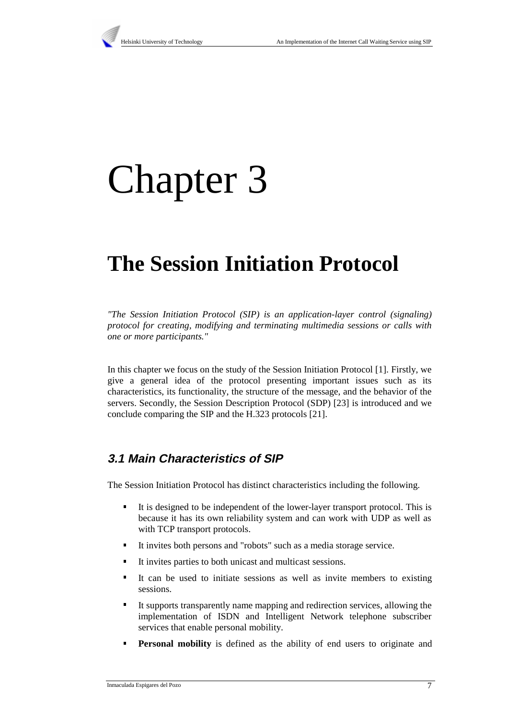

# Chapter 3

# **The Session Initiation Protocol**

*"The Session Initiation Protocol (SIP) is an application-layer control (signaling) protocol for creating, modifying and terminating multimedia sessions or calls with one or more participants."*

In this chapter we focus on the study of the Session Initiation Protocol [1]. Firstly, we give a general idea of the protocol presenting important issues such as its characteristics, its functionality, the structure of the message, and the behavior of the servers. Secondly, the Session Description Protocol (SDP) [23] is introduced and we conclude comparing the SIP and the H.323 protocols [21].

# **3.1 Main Characteristics of SIP**

The Session Initiation Protocol has distinct characteristics including the following.

- It is designed to be independent of the lower-layer transport protocol. This is because it has its own reliability system and can work with UDP as well as with TCP transport protocols.
- It invites both persons and "robots" such as a media storage service.
- It invites parties to both unicast and multicast sessions.
- It can be used to initiate sessions as well as invite members to existing sessions.
- It supports transparently name mapping and redirection services, allowing the implementation of ISDN and Intelligent Network telephone subscriber services that enable personal mobility.
- **Personal mobility** is defined as the ability of end users to originate and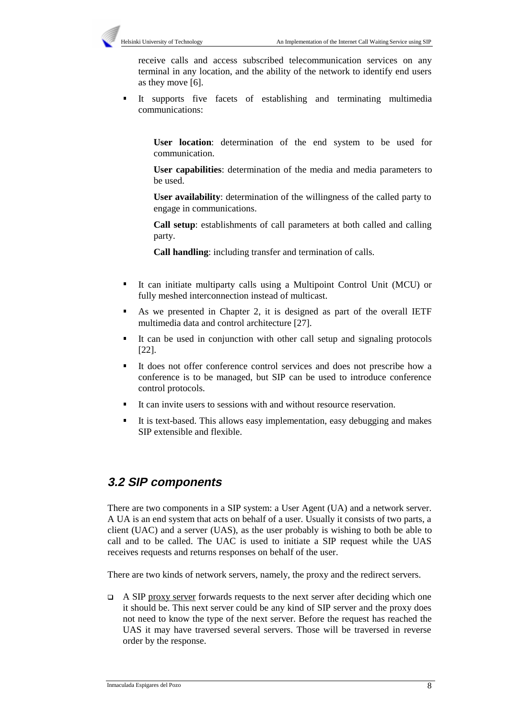

receive calls and access subscribed telecommunication services on any terminal in any location, and the ability of the network to identify end users as they move [6].

 It supports five facets of establishing and terminating multimedia communications:

**User location**: determination of the end system to be used for communication.

**User capabilities**: determination of the media and media parameters to be used.

**User availability**: determination of the willingness of the called party to engage in communications.

**Call setup**: establishments of call parameters at both called and calling party.

**Call handling**: including transfer and termination of calls.

- It can initiate multiparty calls using a Multipoint Control Unit (MCU) or fully meshed interconnection instead of multicast.
- As we presented in Chapter 2, it is designed as part of the overall IETF multimedia data and control architecture [27].
- It can be used in conjunction with other call setup and signaling protocols [22].
- It does not offer conference control services and does not prescribe how a conference is to be managed, but SIP can be used to introduce conference control protocols.
- It can invite users to sessions with and without resource reservation.
- It is text-based. This allows easy implementation, easy debugging and makes SIP extensible and flexible.

# **3.2 SIP components**

There are two components in a SIP system: a User Agent (UA) and a network server. A UA is an end system that acts on behalf of a user. Usually it consists of two parts, a client (UAC) and a server (UAS), as the user probably is wishing to both be able to call and to be called. The UAC is used to initiate a SIP request while the UAS receives requests and returns responses on behalf of the user.

There are two kinds of network servers, namely, the proxy and the redirect servers.

 $\Box$  A SIP proxy server forwards requests to the next server after deciding which one it should be. This next server could be any kind of SIP server and the proxy does not need to know the type of the next server. Before the request has reached the UAS it may have traversed several servers. Those will be traversed in reverse order by the response.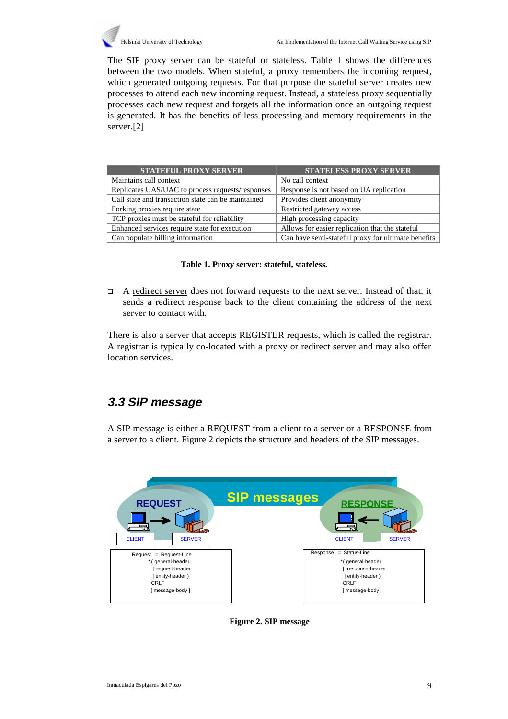

The SIP proxy server can be stateful or stateless. Table 1 shows the differences between the two models. When stateful, a proxy remembers the incoming request, which generated outgoing requests. For that purpose the stateful server creates new processes to attend each new incoming request. Instead, a stateless proxy sequentially processes each new request and forgets all the information once an outgoing request is generated. It has the benefits of less processing and memory requirements in the server.[2]

| <b>STATEFUL PROXY SERVER</b>                       | <b>STATELESS PROXY SERVER</b>                      |
|----------------------------------------------------|----------------------------------------------------|
| Maintains call context                             | No call context                                    |
| Replicates UAS/UAC to process requests/responses   | Response is not based on UA replication            |
| Call state and transaction state can be maintained | Provides client anonymity                          |
| Forking proxies require state                      | Restricted gateway access                          |
| TCP proxies must be stateful for reliability       | High processing capacity                           |
| Enhanced services require state for execution      | Allows for easier replication that the stateful    |
| Can populate billing information                   | Can have semi-stateful proxy for ultimate benefits |

### **Table 1. Proxy server: stateful, stateless.**

 $\Box$  A redirect server does not forward requests to the next server. Instead of that, it sends a redirect response back to the client containing the address of the next server to contact with.

There is also a server that accepts REGISTER requests, which is called the registrar. A registrar is typically co-located with a proxy or redirect server and may also offer location services.

# **3.3 SIP message**

A SIP message is either a REQUEST from a client to a server or a RESPONSE from a server to a client. Figure 2 depicts the structure and headers of the SIP messages.



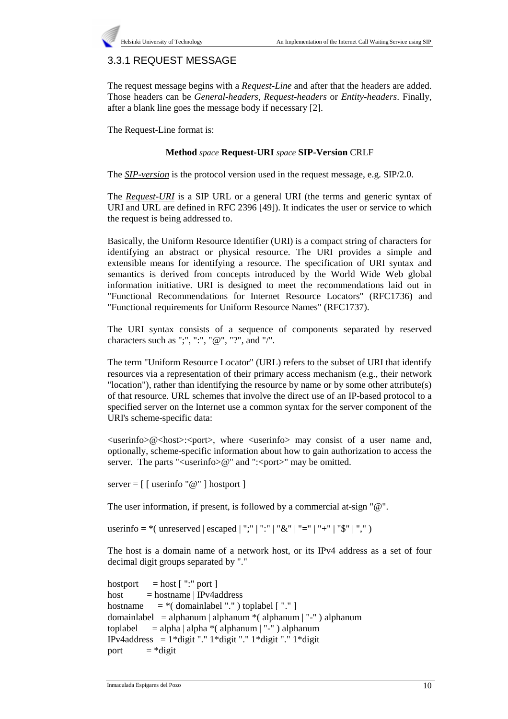# 3.3.1 REQUEST MESSAGE

The request message begins with a *Request-Line* and after that the headers are added. Those headers can be *General-headers*, *Request-headers* or *Entity-headers*. Finally, after a blank line goes the message body if necessary [2].

The Request-Line format is:

## **Method** *space* **Request-URI** *space* **SIP-Version** CRLF

The *SIP-version* is the protocol version used in the request message, e.g. SIP/2.0.

The *Request-URI* is a SIP URL or a general URI (the terms and generic syntax of URI and URL are defined in RFC 2396 [49]). It indicates the user or service to which the request is being addressed to.

Basically, the Uniform Resource Identifier (URI) is a compact string of characters for identifying an abstract or physical resource. The URI provides a simple and extensible means for identifying a resource. The specification of URI syntax and semantics is derived from concepts introduced by the World Wide Web global information initiative. URI is designed to meet the recommendations laid out in "Functional Recommendations for Internet Resource Locators" (RFC1736) and "Functional requirements for Uniform Resource Names" (RFC1737).

The URI syntax consists of a sequence of components separated by reserved characters such as ";", ":", " $@$ ", "?", and "/".

The term "Uniform Resource Locator" (URL) refers to the subset of URI that identify resources via a representation of their primary access mechanism (e.g., their network "location"), rather than identifying the resource by name or by some other attribute(s) of that resource. URL schemes that involve the direct use of an IP-based protocol to a specified server on the Internet use a common syntax for the server component of the URI's scheme-specific data:

 $\langle$ userinfo $\rangle$ @ $\langle$ host $\rangle$ : $\langle$ port $\rangle$ , where  $\langle$ userinfo $\rangle$  may consist of a user name and, optionally, scheme-specific information about how to gain authorization to access the server. The parts "<userinfo>@" and ":<port>" may be omitted.

server =  $\lceil \int$  [ userinfo " $\mathcal{Q}$ " | hostport |

The user information, if present, is followed by a commercial at-sign "@".

userinfo =  $*($  unreserved | escaped | ";" | ":" | " $\&$ " | "=" | "+" | " $\$\$ " | ",")

The host is a domain name of a network host, or its IPv4 address as a set of four decimal digit groups separated by "."

```
hostport = host [ ":" port ]
host = hostname | IPv4address
hostname = *( domainlabel "." ) toplabel [ "." ]
domainlabel = alphanum | alphanum *( alphanum | "-" *) alphanum
toplabel = alpha | alpha *( alphanum | "-" ) alphanum
IPv4address = 1*digit "." 1*digit "." 1*digit "." 1*digit
port = *digit
```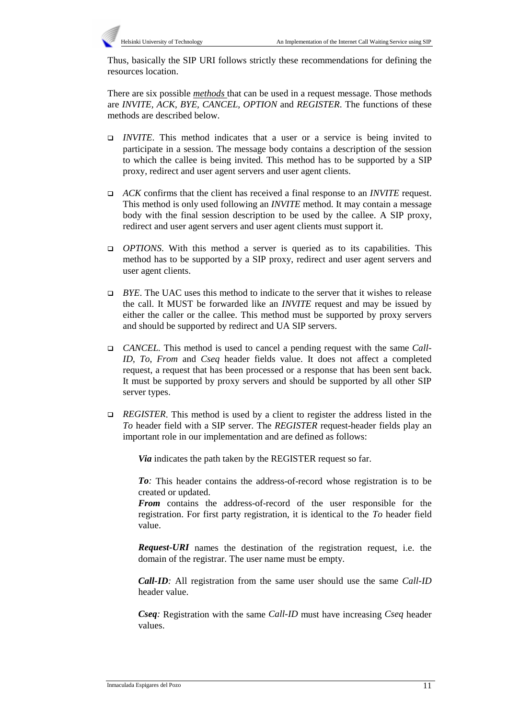Thus, basically the SIP URI follows strictly these recommendations for defining the resources location.

There are six possible *methods* that can be used in a request message. Those methods are *INVITE, ACK, BYE, CANCEL, OPTION* and *REGISTER*. The functions of these methods are described below.

- *INVITE*. This method indicates that a user or a service is being invited to participate in a session. The message body contains a description of the session to which the callee is being invited. This method has to be supported by a SIP proxy, redirect and user agent servers and user agent clients.
- *ACK* confirms that the client has received a final response to an *INVITE* request. This method is only used following an *INVITE* method. It may contain a message body with the final session description to be used by the callee. A SIP proxy, redirect and user agent servers and user agent clients must support it.
- *OPTIONS*. With this method a server is queried as to its capabilities. This method has to be supported by a SIP proxy, redirect and user agent servers and user agent clients.
- *BYE*. The UAC uses this method to indicate to the server that it wishes to release the call. It MUST be forwarded like an *INVITE* request and may be issued by either the caller or the callee. This method must be supported by proxy servers and should be supported by redirect and UA SIP servers.
- □ *CANCEL*. This method is used to cancel a pending request with the same *Call*-*ID*, *To*, *From* and *Cseq* header fields value. It does not affect a completed request, a request that has been processed or a response that has been sent back. It must be supported by proxy servers and should be supported by all other SIP server types.
- *REGISTER*. This method is used by a client to register the address listed in the *To* header field with a SIP server. The *REGISTER* request-header fields play an important role in our implementation and are defined as follows:

*Via* indicates the path taken by the REGISTER request so far.

*To:* This header contains the address-of-record whose registration is to be created or updated.

*From* contains the address-of-record of the user responsible for the registration. For first party registration, it is identical to the *To* header field value.

*Request-URI* names the destination of the registration request, i.e. the domain of the registrar. The user name must be empty.

*Call-ID:* All registration from the same user should use the same *Call-ID* header value.

*Cseq:* Registration with the same *Call-ID* must have increasing *Cseq* header values.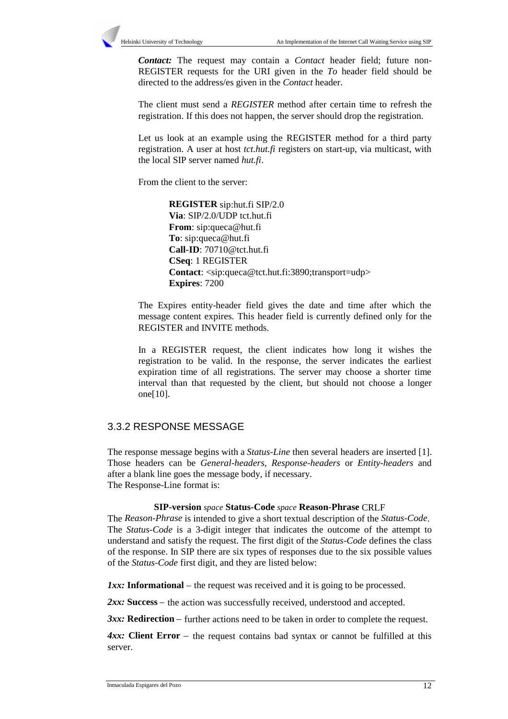*Contact:* The request may contain a *Contact* header field; future non-REGISTER requests for the URI given in the *To* header field should be directed to the address/es given in the *Contact* header.

The client must send a *REGISTER* method after certain time to refresh the registration. If this does not happen, the server should drop the registration.

Let us look at an example using the REGISTER method for a third party registration. A user at host *tct.hut.fi* registers on start-up, via multicast, with the local SIP server named *hut.fi*.

From the client to the server:

**REGISTER** sip:hut.fi SIP/2.0 **Via**: SIP/2.0/UDP tct.hut.fi **From**: sip:queca@hut.fi **To**: sip:queca@hut.fi **Call-ID**: 70710@tct.hut.fi **CSeq**: 1 REGISTER **Contact**: <sip:queca@tct.hut.fi:3890;transport=udp> **Expires**: 7200

The Expires entity-header field gives the date and time after which the message content expires. This header field is currently defined only for the REGISTER and INVITE methods.

In a REGISTER request, the client indicates how long it wishes the registration to be valid. In the response, the server indicates the earliest expiration time of all registrations. The server may choose a shorter time interval than that requested by the client, but should not choose a longer one[10].

# 3.3.2 RESPONSE MESSAGE

The response message begins with a *Status-Line* then several headers are inserted [1]. Those headers can be *General-headers*, *Response-headers* or *Entity-headers* and after a blank line goes the message body, if necessary. The Response-Line format is:

### **SIP-version** *space* **Status-Code** *space* **Reason-Phrase** CRLF

The *Reason-Phrase* is intended to give a short textual description of the *Status-Code*. The *Status-Code* is a 3-digit integer that indicates the outcome of the attempt to understand and satisfy the request. The first digit of the *Status-Code* defines the class of the response. In SIP there are six types of responses due to the six possible values of the *Status-Code* first digit, and they are listed below: *1ne Status-Code* is a 3-digit integer that indicates the outcome of the atte understand and satisfy the request. The first digit of the *Status-Code* defines the of the response. In SIP there are six types of responses du

*Ixx:* **Informational** – the request was received and it is going to be processed.<br>2xx: Success – the action was successfully received, understood and accepted. *3xx:* **Informational** – the request was received and it is going to be processed.<br>2xx: **Success** – the action was successfully received, understood and accepted.<br>3xx: **Redirection** – further actions need to be taken in or

*Ixx:* **Informational** – the request was received and it is going to be processed.<br> *2xx:* **Success** – the action was successfully received, understood and accepted.<br> *3xx:* **Redirection** – further actions need to be taken

server.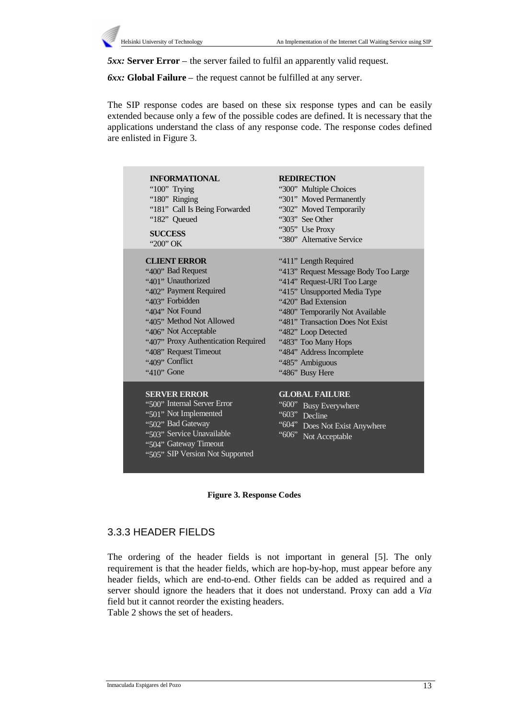

*5xx:* **Server Error** – the server failed to fulfil an apparently valid request.

**6xx:** Global Failure – the request cannot be fulfilled at any server.

The SIP response codes are based on these six response types and can be easily extended because only a few of the possible codes are defined. It is necessary that the applications understand the class of any response code. The response codes defined are enlisted in Figure 3.

| <b>INFORMATIONAL</b>                | <b>REDIRECTION</b>                   |
|-------------------------------------|--------------------------------------|
| "100" Trying                        | "300" Multiple Choices               |
| "180" Ringing                       | "301" Moved Permanently              |
| "181" Call Is Being Forwarded       | "302" Moved Temporarily              |
| "182" Oueued                        | "303" See Other                      |
| <b>SUCCESS</b>                      | "305" Use Proxy                      |
| "200" OK                            | "380" Alternative Service            |
| <b>CLIENT ERROR</b>                 | "411" Length Required                |
| "400" Bad Request                   | "413" Request Message Body Too Large |
| "401" Unauthorized                  | "414" Request-URI Too Large          |
| "402" Payment Required              | "415" Unsupported Media Type         |
| "403" Forbidden                     | "420" Bad Extension                  |
| "404" Not Found                     | "480" Temporarily Not Available      |
| "405" Method Not Allowed            | "481" Transaction Does Not Exist     |
| "406" Not Acceptable                | "482" Loop Detected                  |
| "407" Proxy Authentication Required | "483" Too Many Hops                  |
| "408" Request Timeout               | "484" Address Incomplete             |
| "409" Conflict                      | "485" Ambiguous                      |
| " $410$ " Gone                      | "486" Busy Here                      |
| <b>SERVER ERROR</b>                 | <b>GLOBAL FAILURE</b>                |
| "500" Internal Server Error         | 4.600                                |
| "501" Not Implemented               | <b>Busy Everywhere</b>               |
| "502" Bad Gateway                   | "603"                                |
| "503" Service Unavailable           | Decline                              |
| "504" Gateway Timeout               | "604" Does Not Exist Anywhere        |
| "505" SIP Version Not Supported     | "606" Not Acceptable                 |



# 3.3.3 HEADER FIELDS

The ordering of the header fields is not important in general [5]. The only requirement is that the header fields, which are hop-by-hop, must appear before any header fields, which are end-to-end. Other fields can be added as required and a server should ignore the headers that it does not understand. Proxy can add a *Via* field but it cannot reorder the existing headers.

Table 2 shows the set of headers.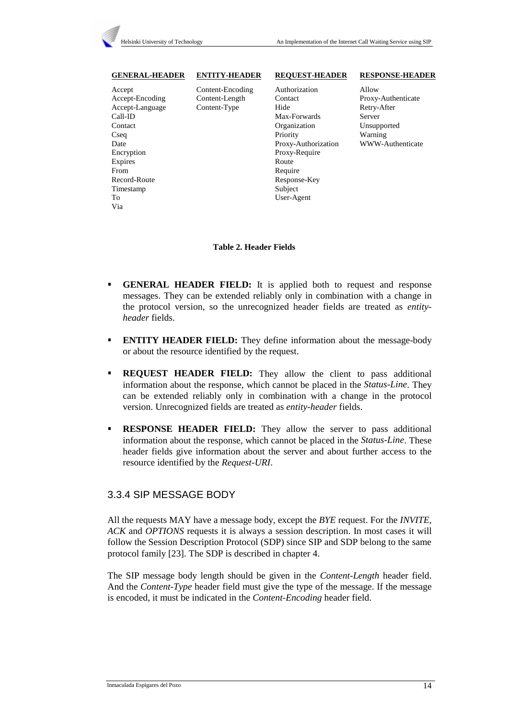| <b>GENERAL-HEADER</b> | <b>ENTITY-HEADER</b> | <b>REOUEST-HEADER</b> | <b>RESPONSE-HEADER</b> |
|-----------------------|----------------------|-----------------------|------------------------|
| Accept                | Content-Encoding     | Authorization         | Allow                  |
| Accept-Encoding       | Content-Length       | Contact               | Proxy-Authenticate     |
| Accept-Language       | Content-Type         | Hide                  | Retry-After            |
| Call-ID               |                      | Max-Forwards          | Server                 |
| Contact               |                      | Organization          | Unsupported            |
| Cseq                  |                      | Priority              | Warning                |
| Date                  |                      | Proxy-Authorization   | WWW-Authenticate       |
| Encryption            |                      | Proxy-Require         |                        |
| Expires               |                      | Route                 |                        |
| From                  |                      | Require               |                        |
| Record-Route          |                      | Response-Key          |                        |
| Timestamp             |                      | Subject               |                        |
| Tо                    |                      | User-Agent            |                        |
| Via                   |                      |                       |                        |
|                       |                      |                       |                        |

### **Table 2. Header Fields**

- **GENERAL HEADER FIELD:** It is applied both to request and response messages. They can be extended reliably only in combination with a change in the protocol version, so the unrecognized header fields are treated as *entityheader* fields.
- **ENTITY HEADER FIELD:** They define information about the message-body or about the resource identified by the request.
- **REQUEST HEADER FIELD:** They allow the client to pass additional information about the response, which cannot be placed in the *Status-Line*. They can be extended reliably only in combination with a change in the protocol version. Unrecognized fields are treated as *entity-header* fields.
- **RESPONSE HEADER FIELD:** They allow the server to pass additional information about the response, which cannot be placed in the *Status-Line*. These header fields give information about the server and about further access to the resource identified by the *Request-URI*.

## 3.3.4 SIP MESSAGE BODY

All the requests MAY have a message body, except the *BYE* request. For the *INVITE*, *ACK* and *OPTIONS* requests it is always a session description. In most cases it will follow the Session Description Protocol (SDP) since SIP and SDP belong to the same protocol family [23]. The SDP is described in chapter 4.

The SIP message body length should be given in the *Content-Length* header field. And the *Content-Type* header field must give the type of the message. If the message is encoded, it must be indicated in the *Content-Encoding* header field.

### Inmaculada Espigares del Pozo 14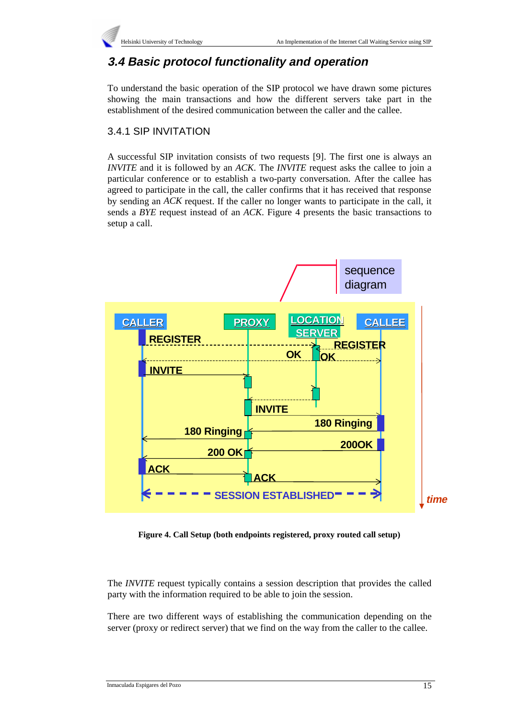

# **3.4 Basic protocol functionality and operation**

To understand the basic operation of the SIP protocol we have drawn some pictures showing the main transactions and how the different servers take part in the establishment of the desired communication between the caller and the callee.

# 3.4.1 SIP INVITATION

A successful SIP invitation consists of two requests [9]. The first one is always an *INVITE* and it is followed by an *ACK*. The *INVITE* request asks the callee to join a particular conference or to establish a two-party conversation. After the callee has agreed to participate in the call, the caller confirms that it has received that response by sending an *ACK* request. If the caller no longer wants to participate in the call, it sends a *BYE* request instead of an *ACK*. Figure 4 presents the basic transactions to setup a call.



**Figure 4. Call Setup (both endpoints registered, proxy routed call setup)**

The *INVITE* request typically contains a session description that provides the called party with the information required to be able to join the session.

There are two different ways of establishing the communication depending on the server (proxy or redirect server) that we find on the way from the caller to the callee.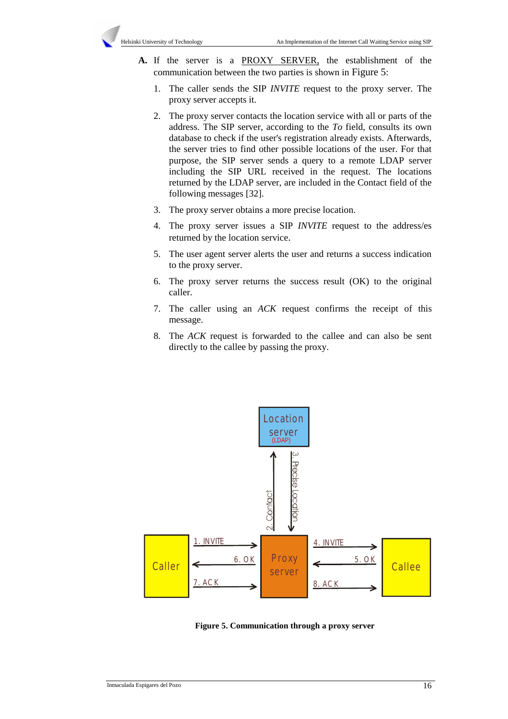- **A.** If the server is a PROXY SERVER, the establishment of the communication between the two parties is shown in Figure 5:
	- 1. The caller sends the SIP *INVITE* request to the proxy server. The proxy server accepts it.
	- 2. The proxy server contacts the location service with all or parts of the address. The SIP server, according to the *To* field, consults its own database to check if the user's registration already exists. Afterwards, the server tries to find other possible locations of the user. For that purpose, the SIP server sends a query to a remote LDAP server including the SIP URL received in the request. The locations returned by the LDAP server, are included in the Contact field of the following messages [32].
	- 3. The proxy server obtains a more precise location.
	- 4. The proxy server issues a SIP *INVITE* request to the address/es returned by the location service.
	- 5. The user agent server alerts the user and returns a success indication to the proxy server.
	- 6. The proxy server returns the success result (OK) to the original caller.
	- 7. The caller using an *ACK* request confirms the receipt of this message.
	- 8. The *ACK* request is forwarded to the callee and can also be sent directly to the callee by passing the proxy.



**Figure 5. Communication through a proxy server**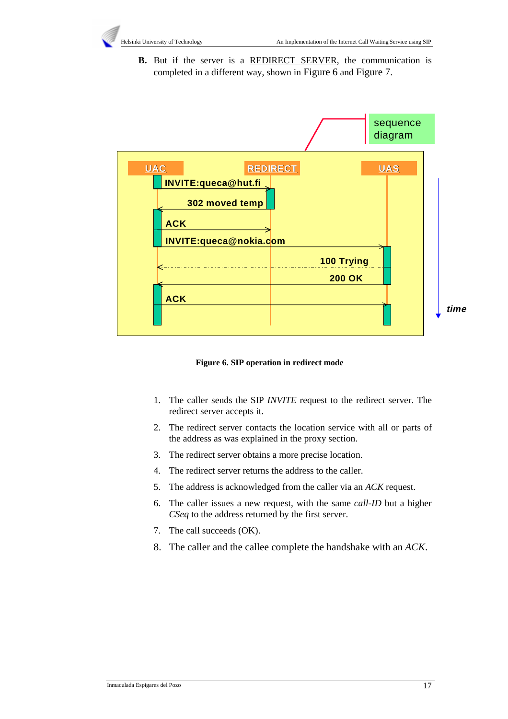

**B.** But if the server is a **REDIRECT SERVER**, the communication is completed in a different way, shown in Figure 6 and Figure 7.



**Figure 6. SIP operation in redirect mode**

- 1. The caller sends the SIP *INVITE* request to the redirect server. The redirect server accepts it.
- 2. The redirect server contacts the location service with all or parts of the address as was explained in the proxy section.
- 3. The redirect server obtains a more precise location.
- 4. The redirect server returns the address to the caller.
- 5. The address is acknowledged from the caller via an *ACK* request.
- 6. The caller issues a new request, with the same *call-ID* but a higher *CSeq* to the address returned by the first server.
- 7. The call succeeds (OK).
- 8. The caller and the callee complete the handshake with an *ACK*.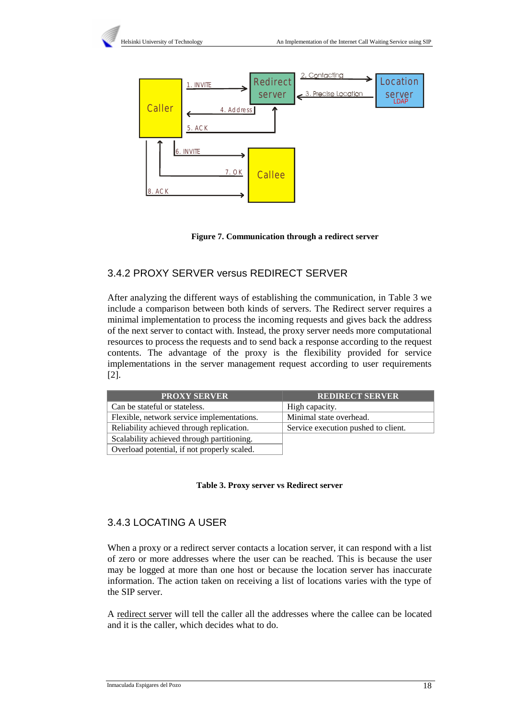



# 3.4.2 PROXY SERVER versus REDIRECT SERVER

After analyzing the different ways of establishing the communication, in Table 3 we include a comparison between both kinds of servers. The Redirect server requires a minimal implementation to process the incoming requests and gives back the address of the next server to contact with. Instead, the proxy server needs more computational resources to process the requests and to send back a response according to the request contents. The advantage of the proxy is the flexibility provided for service implementations in the server management request according to user requirements [2].

| <b>PROXY SERVER</b>                         | <b>REDIRECT SERVER</b>              |
|---------------------------------------------|-------------------------------------|
| Can be stateful or stateless.               | High capacity.                      |
| Flexible, network service implementations.  | Minimal state overhead.             |
| Reliability achieved through replication.   | Service execution pushed to client. |
| Scalability achieved through partitioning.  |                                     |
| Overload potential, if not properly scaled. |                                     |

### **Table 3. Proxy server vs Redirect server**

# 3.4.3 LOCATING A USER

When a proxy or a redirect server contacts a location server, it can respond with a list of zero or more addresses where the user can be reached. This is because the user may be logged at more than one host or because the location server has inaccurate information. The action taken on receiving a list of locations varies with the type of the SIP server.

A redirect server will tell the caller all the addresses where the callee can be located and it is the caller, which decides what to do.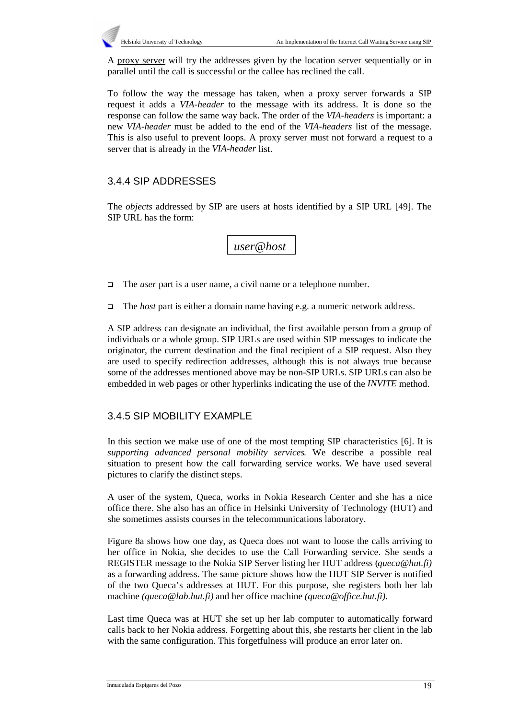

A proxy server will try the addresses given by the location server sequentially or in parallel until the call is successful or the callee has reclined the call.

To follow the way the message has taken, when a proxy server forwards a SIP request it adds a *VIA-header* to the message with its address. It is done so the response can follow the same way back. The order of the *VIA-headers* is important: a new *VIA-header* must be added to the end of the *VIA-headers* list of the message. This is also useful to prevent loops. A proxy server must not forward a request to a server that is already in the *VIA-header* list.

# 3.4.4 SIP ADDRESSES

The *objects* addressed by SIP are users at hosts identified by a SIP URL [49]. The SIP URL has the form:

*user@host*

- □ The *user* part is a user name, a civil name or a telephone number.
- The *host* part is either a domain name having e.g. a numeric network address.

A SIP address can designate an individual, the first available person from a group of individuals or a whole group. SIP URLs are used within SIP messages to indicate the originator, the current destination and the final recipient of a SIP request. Also they are used to specify redirection addresses, although this is not always true because some of the addresses mentioned above may be non-SIP URLs. SIP URLs can also be embedded in web pages or other hyperlinks indicating the use of the *INVITE* method.

# 3.4.5 SIP MOBILITY EXAMPLE

In this section we make use of one of the most tempting SIP characteristics [6]. It is *supporting advanced personal mobility services*. We describe a possible real situation to present how the call forwarding service works. We have used several pictures to clarify the distinct steps.

A user of the system, Queca, works in Nokia Research Center and she has a nice office there. She also has an office in Helsinki University of Technology (HUT) and she sometimes assists courses in the telecommunications laboratory.

Figure 8a shows how one day, as Queca does not want to loose the calls arriving to her office in Nokia, she decides to use the Call Forwarding service. She sends a REGISTER message to the Nokia SIP Server listing her HUT address (*queca@hut.fi)* as a forwarding address. The same picture shows how the HUT SIP Server is notified of the two Queca's addresses at HUT. For this purpose, she registers both her lab machine *(queca@lab.hut.fi)* and her office machine *(queca@office.hut.fi).*

Last time Queca was at HUT she set up her lab computer to automatically forward calls back to her Nokia address. Forgetting about this, she restarts her client in the lab with the same configuration. This forgetfulness will produce an error later on.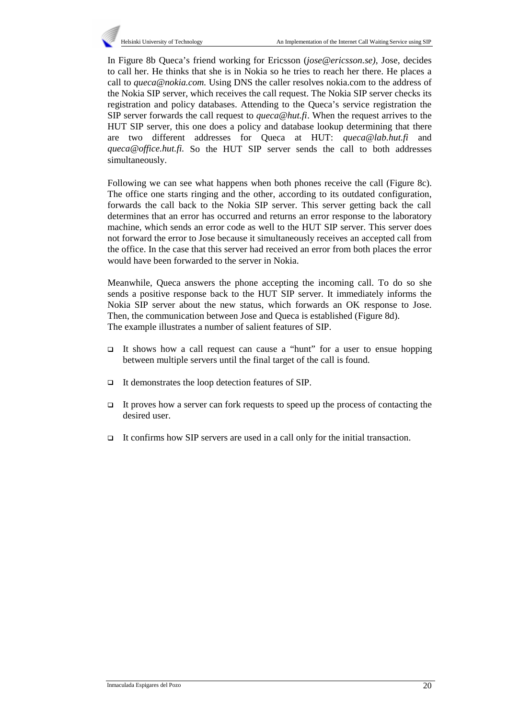

In Figure 8b Queca's friend working for Ericsson (*jose@ericsson.se)*, Jose, decides to call her. He thinks that she is in Nokia so he tries to reach her there. He places a call to *queca@nokia.com.* Using DNS the caller resolves nokia.com to the address of the Nokia SIP server, which receives the call request. The Nokia SIP server checks its registration and policy databases. Attending to the Queca's service registration the SIP server forwards the call request to *queca@hut.fi*. When the request arrives to the HUT SIP server, this one does a policy and database lookup determining that there are two different addresses for Queca at HUT: *queca@lab.hut.fi* and *queca@office.hut.fi.* So the HUT SIP server sends the call to both addresses simultaneously.

Following we can see what happens when both phones receive the call (Figure 8c). The office one starts ringing and the other, according to its outdated configuration, forwards the call back to the Nokia SIP server. This server getting back the call determines that an error has occurred and returns an error response to the laboratory machine, which sends an error code as well to the HUT SIP server. This server does not forward the error to Jose because it simultaneously receives an accepted call from the office. In the case that this server had received an error from both places the error would have been forwarded to the server in Nokia.

Meanwhile, Queca answers the phone accepting the incoming call. To do so she sends a positive response back to the HUT SIP server. It immediately informs the Nokia SIP server about the new status, which forwards an OK response to Jose. Then, the communication between Jose and Queca is established (Figure 8d). The example illustrates a number of salient features of SIP.

- It shows how a call request can cause a "hunt" for a user to ensue hopping between multiple servers until the final target of the call is found.
- $\Box$  It demonstrates the loop detection features of SIP.
- It proves how a server can fork requests to speed up the process of contacting the desired user.
- $\Box$  It confirms how SIP servers are used in a call only for the initial transaction.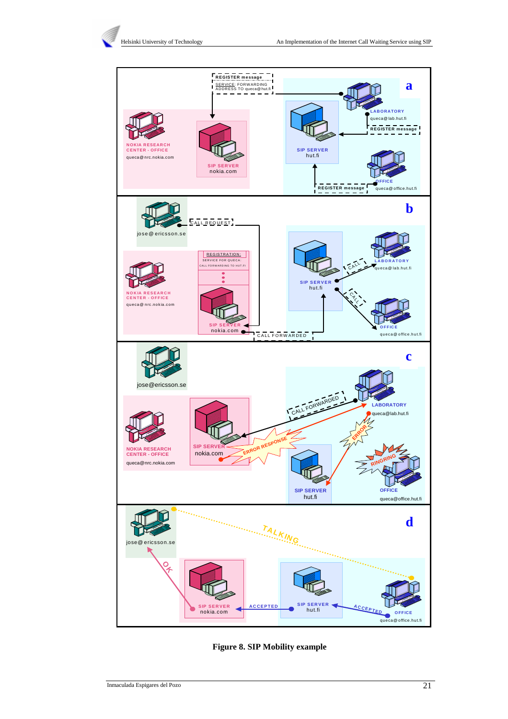

**Figure 8. SIP Mobility example**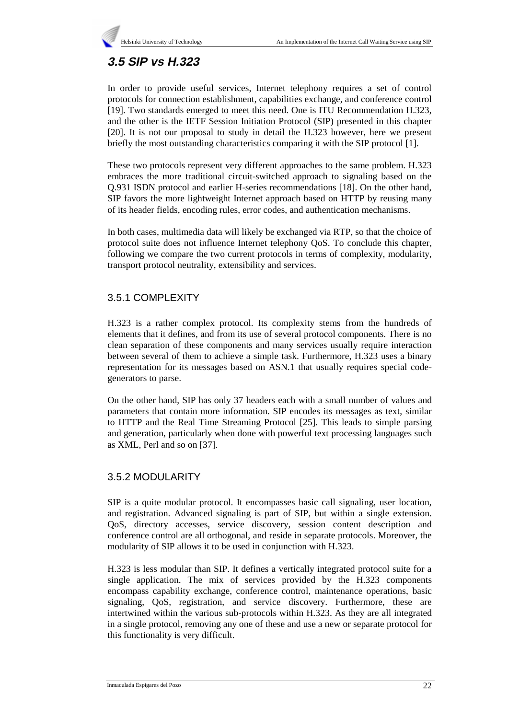# **3.5 SIP vs H.323**

In order to provide useful services, Internet telephony requires a set of control protocols for connection establishment, capabilities exchange, and conference control [19]. Two standards emerged to meet this need. One is ITU Recommendation H.323, and the other is the IETF Session Initiation Protocol (SIP) presented in this chapter [20]. It is not our proposal to study in detail the H.323 however, here we present briefly the most outstanding characteristics comparing it with the SIP protocol [1].

These two protocols represent very different approaches to the same problem. H.323 embraces the more traditional circuit-switched approach to signaling based on the Q.931 ISDN protocol and earlier H-series recommendations [18]. On the other hand, SIP favors the more lightweight Internet approach based on HTTP by reusing many of its header fields, encoding rules, error codes, and authentication mechanisms.

In both cases, multimedia data will likely be exchanged via RTP, so that the choice of protocol suite does not influence Internet telephony QoS. To conclude this chapter, following we compare the two current protocols in terms of complexity, modularity, transport protocol neutrality, extensibility and services.

# 3.5.1 COMPLEXITY

H.323 is a rather complex protocol. Its complexity stems from the hundreds of elements that it defines, and from its use of several protocol components. There is no clean separation of these components and many services usually require interaction between several of them to achieve a simple task. Furthermore, H.323 uses a binary representation for its messages based on ASN.1 that usually requires special codegenerators to parse.

On the other hand, SIP has only 37 headers each with a small number of values and parameters that contain more information. SIP encodes its messages as text, similar to HTTP and the Real Time Streaming Protocol [25]. This leads to simple parsing and generation, particularly when done with powerful text processing languages such as XML, Perl and so on [37].

# 3.5.2 MODULARITY

SIP is a quite modular protocol. It encompasses basic call signaling, user location, and registration. Advanced signaling is part of SIP, but within a single extension. QoS, directory accesses, service discovery, session content description and conference control are all orthogonal, and reside in separate protocols. Moreover, the modularity of SIP allows it to be used in conjunction with H.323.

H.323 is less modular than SIP. It defines a vertically integrated protocol suite for a single application. The mix of services provided by the H.323 components encompass capability exchange, conference control, maintenance operations, basic signaling, QoS, registration, and service discovery. Furthermore, these are intertwined within the various sub-protocols within H.323. As they are all integrated in a single protocol, removing any one of these and use a new or separate protocol for this functionality is very difficult.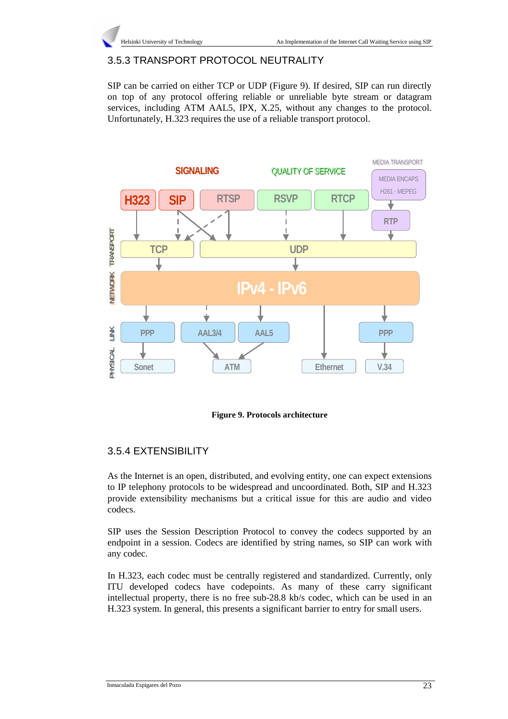# 3.5.3 TRANSPORT PROTOCOL NEUTRALITY

SIP can be carried on either TCP or UDP (Figure 9). If desired, SIP can run directly on top of any protocol offering reliable or unreliable byte stream or datagram services, including ATM AAL5, IPX, X.25, without any changes to the protocol. Unfortunately, H.323 requires the use of a reliable transport protocol.



**Figure 9. Protocols architecture**

# 3.5.4 EXTENSIBILITY

As the Internet is an open, distributed, and evolving entity, one can expect extensions to IP telephony protocols to be widespread and uncoordinated. Both, SIP and H.323 provide extensibility mechanisms but a critical issue for this are audio and video codecs.

SIP uses the Session Description Protocol to convey the codecs supported by an endpoint in a session. Codecs are identified by string names, so SIP can work with any codec.

In H.323, each codec must be centrally registered and standardized. Currently, only ITU developed codecs have codepoints. As many of these carry significant intellectual property, there is no free sub-28.8 kb/s codec, which can be used in an H.323 system. In general, this presents a significant barrier to entry for small users.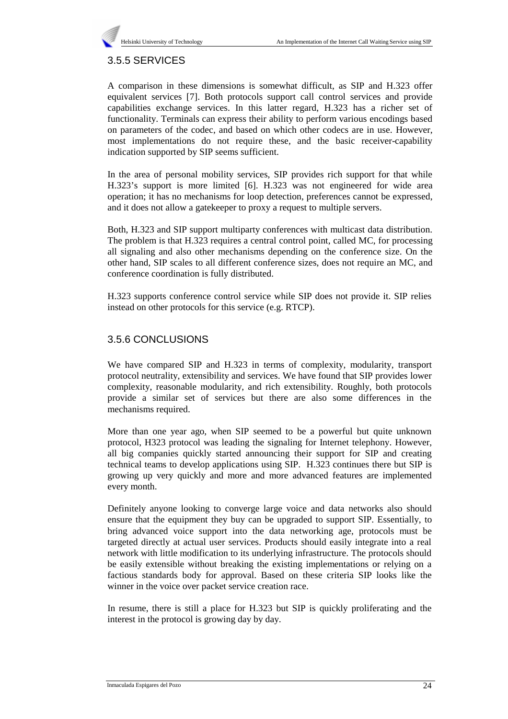# 3.5.5 SERVICES

A comparison in these dimensions is somewhat difficult, as SIP and H.323 offer equivalent services [7]. Both protocols support call control services and provide capabilities exchange services. In this latter regard, H.323 has a richer set of functionality. Terminals can express their ability to perform various encodings based on parameters of the codec, and based on which other codecs are in use. However, most implementations do not require these, and the basic receiver-capability indication supported by SIP seems sufficient.

In the area of personal mobility services, SIP provides rich support for that while H.323's support is more limited [6]. H.323 was not engineered for wide area operation; it has no mechanisms for loop detection, preferences cannot be expressed, and it does not allow a gatekeeper to proxy a request to multiple servers.

Both, H.323 and SIP support multiparty conferences with multicast data distribution. The problem is that H.323 requires a central control point, called MC, for processing all signaling and also other mechanisms depending on the conference size. On the other hand, SIP scales to all different conference sizes, does not require an MC, and conference coordination is fully distributed.

H.323 supports conference control service while SIP does not provide it. SIP relies instead on other protocols for this service (e.g. RTCP).

# 3.5.6 CONCLUSIONS

We have compared SIP and H.323 in terms of complexity, modularity, transport protocol neutrality, extensibility and services. We have found that SIP provides lower complexity, reasonable modularity, and rich extensibility. Roughly, both protocols provide a similar set of services but there are also some differences in the mechanisms required.

More than one year ago, when SIP seemed to be a powerful but quite unknown protocol, H323 protocol was leading the signaling for Internet telephony. However, all big companies quickly started announcing their support for SIP and creating technical teams to develop applications using SIP. H.323 continues there but SIP is growing up very quickly and more and more advanced features are implemented every month.

Definitely anyone looking to converge large voice and data networks also should ensure that the equipment they buy can be upgraded to support SIP. Essentially, to bring advanced voice support into the data networking age, protocols must be targeted directly at actual user services. Products should easily integrate into a real network with little modification to its underlying infrastructure. The protocols should be easily extensible without breaking the existing implementations or relying on a factious standards body for approval. Based on these criteria SIP looks like the winner in the voice over packet service creation race.

In resume, there is still a place for H.323 but SIP is quickly proliferating and the interest in the protocol is growing day by day.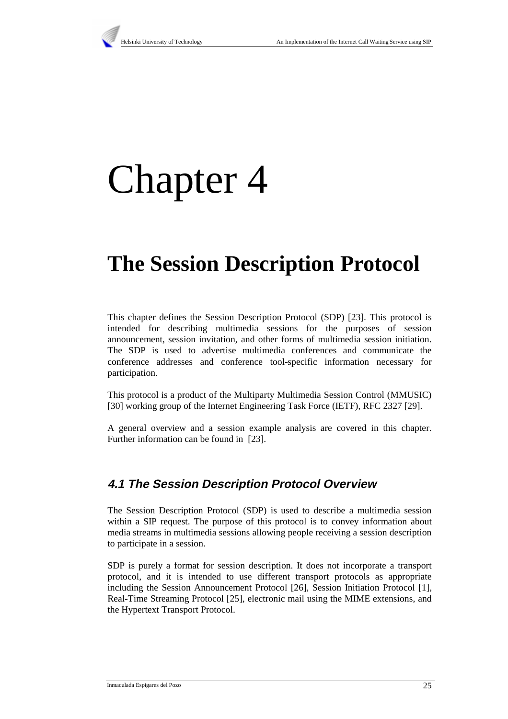# Chapter 4

# **The Session Description Protocol**

This chapter defines the Session Description Protocol (SDP) [23]. This protocol is intended for describing multimedia sessions for the purposes of session announcement, session invitation, and other forms of multimedia session initiation. The SDP is used to advertise multimedia conferences and communicate the conference addresses and conference tool-specific information necessary for participation.

This protocol is a product of the Multiparty Multimedia Session Control (MMUSIC) [30] working group of the Internet Engineering Task Force (IETF), RFC 2327 [29].

A general overview and a session example analysis are covered in this chapter. Further information can be found in [23].

# **4.1 The Session Description Protocol Overview**

The Session Description Protocol (SDP) is used to describe a multimedia session within a SIP request. The purpose of this protocol is to convey information about media streams in multimedia sessions allowing people receiving a session description to participate in a session.

SDP is purely a format for session description. It does not incorporate a transport protocol, and it is intended to use different transport protocols as appropriate including the Session Announcement Protocol [26], Session Initiation Protocol [1], Real-Time Streaming Protocol [25], electronic mail using the MIME extensions, and the Hypertext Transport Protocol.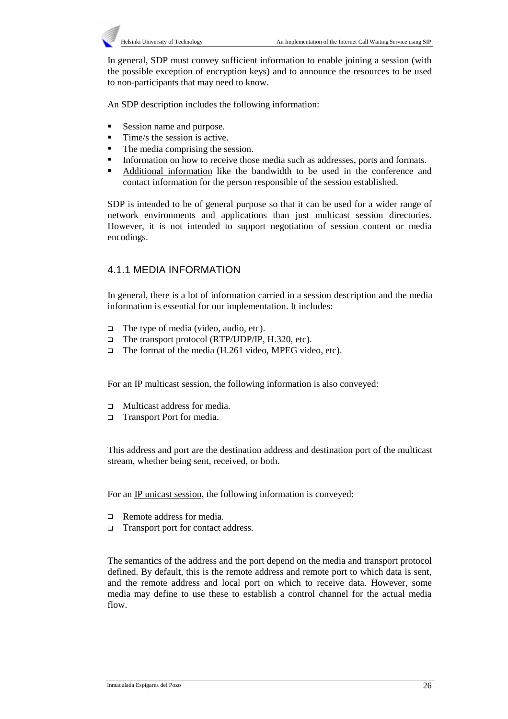

In general, SDP must convey sufficient information to enable joining a session (with the possible exception of encryption keys) and to announce the resources to be used to non-participants that may need to know.

An SDP description includes the following information:

- Session name and purpose.  $\blacksquare$
- Time/s the session is active. I
- The media comprising the session.  $\blacksquare$
- Information on how to receive those media such as addresses, ports and formats.  $\blacksquare$
- Additional information like the bandwidth to be used in the conference and contact information for the person responsible of the session established.

SDP is intended to be of general purpose so that it can be used for a wider range of network environments and applications than just multicast session directories. However, it is not intended to support negotiation of session content or media encodings.

## 4.1.1 MEDIA INFORMATION

In general, there is a lot of information carried in a session description and the media information is essential for our implementation. It includes:

- The type of media (video, audio, etc).
- □ The transport protocol (RTP/UDP/IP, H.320, etc).
- $\Box$  The format of the media (H.261 video, MPEG video, etc).

For an IP multicast session, the following information is also conveyed:

- □ Multicast address for media.
- □ Transport Port for media.

This address and port are the destination address and destination port of the multicast stream, whether being sent, received, or both.

For an IP unicast session, the following information is conveyed:

- Remote address for media.
- □ Transport port for contact address.

The semantics of the address and the port depend on the media and transport protocol defined. By default, this is the remote address and remote port to which data is sent, and the remote address and local port on which to receive data. However, some media may define to use these to establish a control channel for the actual media flow.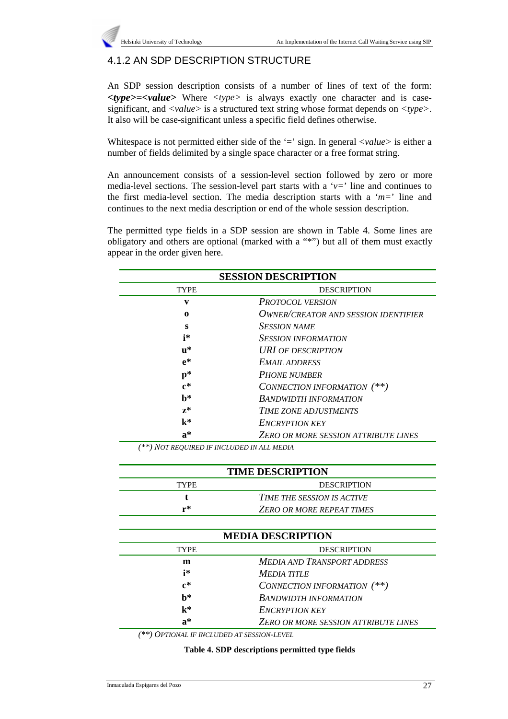# 4.1.2 AN SDP DESCRIPTION STRUCTURE

An SDP session description consists of a number of lines of text of the form: *<type>=<value>* Where *<type>* is always exactly one character and is casesignificant, and *<value>* is a structured text string whose format depends on *<type>*. It also will be case-significant unless a specific field defines otherwise.

Whitespace is not permitted either side of the '=' sign. In general  $\langle value \rangle$  is either a number of fields delimited by a single space character or a free format string.

An announcement consists of a session-level section followed by zero or more media-level sections. The session-level part starts with a '*v=*' line and continues to the first media-level section. The media description starts with a '*m=*' line and continues to the next media description or end of the whole session description.

The permitted type fields in a SDP session are shown in Table 4. Some lines are obligatory and others are optional (marked with a "\*") but all of them must exactly appear in the order given here.

| <b>SESSION DESCRIPTION</b> |                                             |
|----------------------------|---------------------------------------------|
| <b>TYPE</b>                | <b>DESCRIPTION</b>                          |
| V                          | <b>PROTOCOL VERSION</b>                     |
| 0                          | <b>OWNER/CREATOR AND SESSION IDENTIFIER</b> |
| S                          | <b>SESSION NAME</b>                         |
| i*                         | <b>SESSION INFORMATION</b>                  |
| $\mathbf{u}^*$             | <b>URI OF DESCRIPTION</b>                   |
| $e^*$                      | <b>EMAIL ADDRESS</b>                        |
| $p*$                       | <b>PHONE NUMBER</b>                         |
| $c^*$                      | CONNECTION INFORMATION (**)                 |
| $h*$                       | <b>BANDWIDTH INFORMATION</b>                |
| $z^*$                      | <b>TIME ZONE ADJUSTMENTS</b>                |
| $k^*$                      | <b>ENCRYPTION KEY</b>                       |
| $\mathbf{a}^*$             | <b>ZERO OR MORE SESSION ATTRIBUTE LINES</b> |

*(\*\*) NOT REQUIRED IF INCLUDED IN ALL MEDIA*

| <b>TIME DESCRIPTION</b> |                                   |
|-------------------------|-----------------------------------|
| TYPE.                   | <b>DESCRIPTION</b>                |
|                         | <b>TIME THE SESSION IS ACTIVE</b> |
| ր*                      | <b>ZERO OR MORE REPEAT TIMES</b>  |

| <b>MEDIA DESCRIPTION</b> |                                             |
|--------------------------|---------------------------------------------|
| <b>TYPE</b>              | <b>DESCRIPTION</b>                          |
| m                        | <b>MEDIA AND TRANSPORT ADDRESS</b>          |
| i*                       | <b>MEDIA TITLE</b>                          |
| $\mathbf{c}^*$           | CONNECTION INFORMATION (**)                 |
| $h^*$                    | <b>BANDWIDTH INFORMATION</b>                |
| $\mathbf{k}^*$           | <b>ENCRYPTION KEY</b>                       |
| $a^*$                    | <b>ZERO OR MORE SESSION ATTRIBUTE LINES</b> |

*(\*\*) OPTIONAL IF INCLUDED AT SESSION-LEVEL*

**Table 4. SDP descriptions permitted type fields**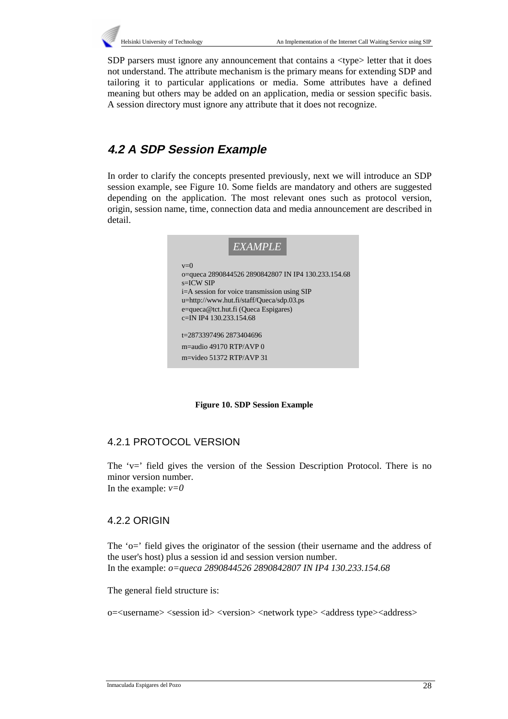

SDP parsers must ignore any announcement that contains a <type> letter that it does not understand. The attribute mechanism is the primary means for extending SDP and tailoring it to particular applications or media. Some attributes have a defined meaning but others may be added on an application, media or session specific basis. A session directory must ignore any attribute that it does not recognize.

# **4.2 A SDP Session Example**

In order to clarify the concepts presented previously, next we will introduce an SDP session example, see Figure 10. Some fields are mandatory and others are suggested depending on the application. The most relevant ones such as protocol version, origin, session name, time, connection data and media announcement are described in detail.





## 4.2.1 PROTOCOL VERSION

The 'v=' field gives the version of the Session Description Protocol. There is no minor version number. In the example:  $v=0$ 

## 4.2.2 ORIGIN

The 'o=' field gives the originator of the session (their username and the address of the user's host) plus a session id and session version number. In the example: *o=queca 2890844526 2890842807 IN IP4 130.233.154.68*

The general field structure is:

o=<username> <session id> <version> <network type> <address type><address>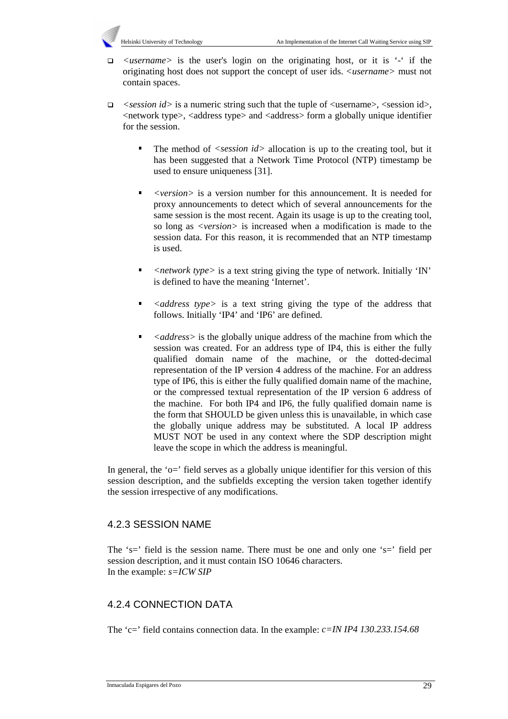

- *<username>* is the user's login on the originating host, or it is '-' if the originating host does not support the concept of user ids. *<username>* must not contain spaces.
- *<session id>* is a numeric string such that the tuple of <username>, <session id>, <network type>, <address type> and <address> form a globally unique identifier for the session.
	- The method of *<session id>* allocation is up to the creating tool, but it has been suggested that a Network Time Protocol (NTP) timestamp be used to ensure uniqueness [31].
	- *<version>* is a version number for this announcement. It is needed for proxy announcements to detect which of several announcements for the same session is the most recent. Again its usage is up to the creating tool, so long as *<version>* is increased when a modification is made to the session data. For this reason, it is recommended that an NTP timestamp is used.
	- *<network type>* is a text string giving the type of network. Initially 'IN' is defined to have the meaning 'Internet'.
	- *<address type>* is a text string giving the type of the address that follows. Initially 'IP4' and 'IP6' are defined.
	- $\blacksquare$  <*address*> is the globally unique address of the machine from which the session was created. For an address type of IP4, this is either the fully qualified domain name of the machine, or the dotted-decimal representation of the IP version 4 address of the machine. For an address type of IP6, this is either the fully qualified domain name of the machine, or the compressed textual representation of the IP version 6 address of the machine. For both IP4 and IP6, the fully qualified domain name is the form that SHOULD be given unless this is unavailable, in which case the globally unique address may be substituted. A local IP address MUST NOT be used in any context where the SDP description might leave the scope in which the address is meaningful.

In general, the 'o=' field serves as a globally unique identifier for this version of this session description, and the subfields excepting the version taken together identify the session irrespective of any modifications.

#### 4.2.3 SESSION NAME

The 's=' field is the session name. There must be one and only one 's=' field per session description, and it must contain ISO 10646 characters. In the example: *s=ICW SIP*

## 4.2.4 CONNECTION DATA

The 'c=' field contains connection data. In the example: *c=IN IP4 130.233.154.68*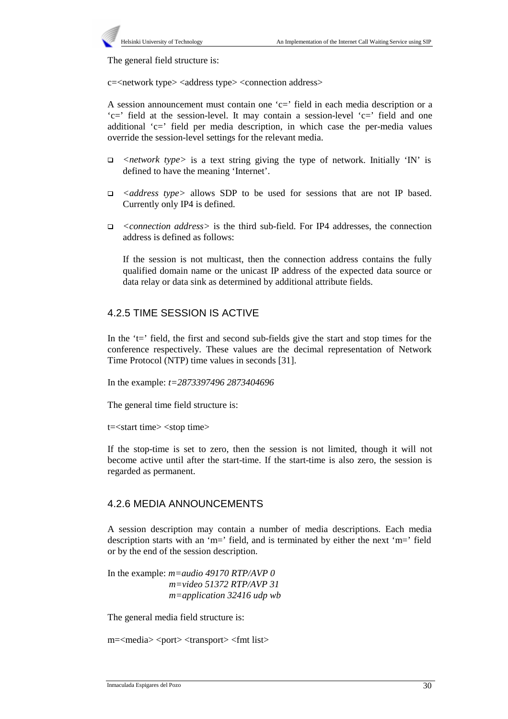

The general field structure is:

c=<network type> <address type> <connection address>

A session announcement must contain one 'c=' field in each media description or a 'c=' field at the session-level. It may contain a session-level 'c=' field and one additional 'c=' field per media description, in which case the per-media values override the session-level settings for the relevant media.

- *<network type>* is a text string giving the type of network. Initially 'IN' is defined to have the meaning 'Internet'.
- *<address type>* allows SDP to be used for sessions that are not IP based. Currently only IP4 is defined.
- *<connection address>* is the third sub-field. For IP4 addresses, the connection address is defined as follows:

If the session is not multicast, then the connection address contains the fully qualified domain name or the unicast IP address of the expected data source or data relay or data sink as determined by additional attribute fields.

# 4.2.5 TIME SESSION IS ACTIVE

In the 't=' field, the first and second sub-fields give the start and stop times for the conference respectively. These values are the decimal representation of Network Time Protocol (NTP) time values in seconds [31].

In the example: *t=2873397496 2873404696*

The general time field structure is:

t=<start time> <stop time>

If the stop-time is set to zero, then the session is not limited, though it will not become active until after the start-time. If the start-time is also zero, the session is regarded as permanent.

## 4.2.6 MEDIA ANNOUNCEMENTS

A session description may contain a number of media descriptions. Each media description starts with an 'm=' field, and is terminated by either the next 'm=' field or by the end of the session description.

In the example: *m=audio 49170 RTP/AVP 0 m=video 51372 RTP/AVP 31 m=application 32416 udp wb*

The general media field structure is:

m=<media> <port> <transport> <fmt list>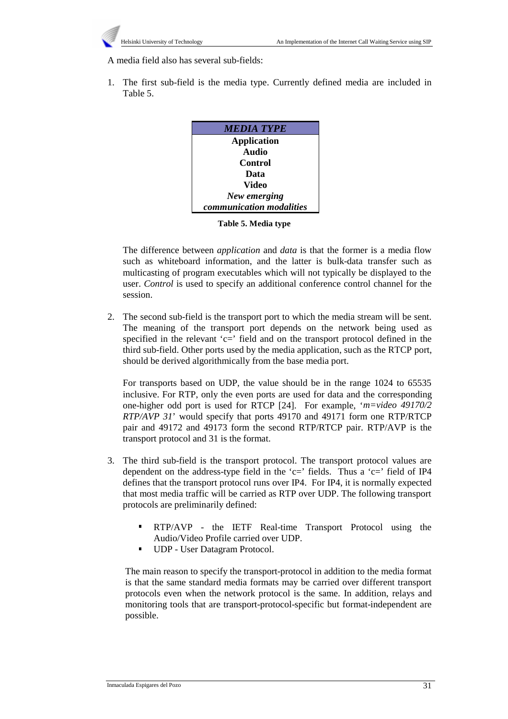

A media field also has several sub-fields:

1. The first sub-field is the media type. Currently defined media are included in Table 5.



**Table 5. Media type**

The difference between *application* and *data* is that the former is a media flow such as whiteboard information, and the latter is bulk-data transfer such as multicasting of program executables which will not typically be displayed to the user. *Control* is used to specify an additional conference control channel for the session.

2. The second sub-field is the transport port to which the media stream will be sent. The meaning of the transport port depends on the network being used as specified in the relevant  $c =$ ' field and on the transport protocol defined in the third sub-field. Other ports used by the media application, such as the RTCP port, should be derived algorithmically from the base media port.

For transports based on UDP, the value should be in the range 1024 to 65535 inclusive. For RTP, only the even ports are used for data and the corresponding one-higher odd port is used for RTCP [24]. For example, '*m=video 49170/2 RTP/AVP 31*' would specify that ports 49170 and 49171 form one RTP/RTCP pair and 49172 and 49173 form the second RTP/RTCP pair. RTP/AVP is the transport protocol and 31 is the format.

- 3. The third sub-field is the transport protocol. The transport protocol values are dependent on the address-type field in the 'c=' fields. Thus a 'c=' field of  $IP4$ defines that the transport protocol runs over IP4. For IP4, it is normally expected that most media traffic will be carried as RTP over UDP. The following transport protocols are preliminarily defined:
	- **RTP/AVP** the IETF Real-time Transport Protocol using the Audio/Video Profile carried over UDP.
	- **UDP** User Datagram Protocol.

The main reason to specify the transport-protocol in addition to the media format is that the same standard media formats may be carried over different transport protocols even when the network protocol is the same. In addition, relays and monitoring tools that are transport-protocol-specific but format-independent are possible.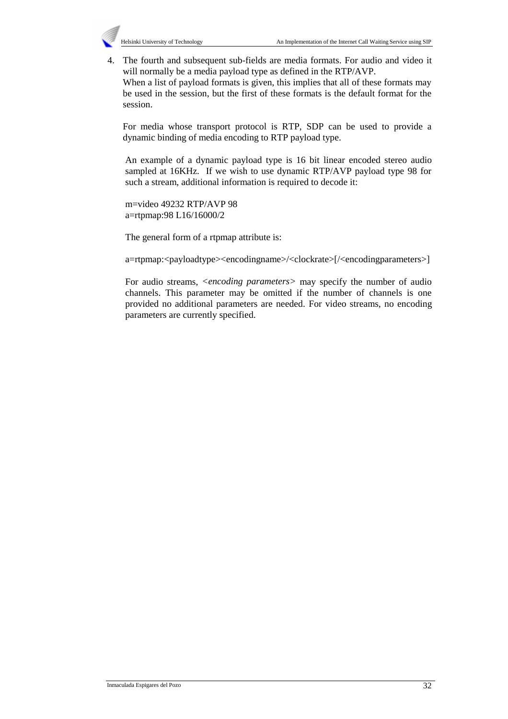

4. The fourth and subsequent sub-fields are media formats. For audio and video it will normally be a media payload type as defined in the RTP/AVP.

When a list of payload formats is given, this implies that all of these formats may be used in the session, but the first of these formats is the default format for the session.

For media whose transport protocol is RTP, SDP can be used to provide a dynamic binding of media encoding to RTP payload type.

An example of a dynamic payload type is 16 bit linear encoded stereo audio sampled at 16KHz. If we wish to use dynamic RTP/AVP payload type 98 for such a stream, additional information is required to decode it:

m=video 49232 RTP/AVP 98 a=rtpmap:98 L16/16000/2

The general form of a rtpmap attribute is:

a=rtpmap:<payloadtype><encodingname>/<clockrate>[/<encodingparameters>]

For audio streams, *<encoding parameters>* may specify the number of audio channels. This parameter may be omitted if the number of channels is one provided no additional parameters are needed. For video streams, no encoding parameters are currently specified.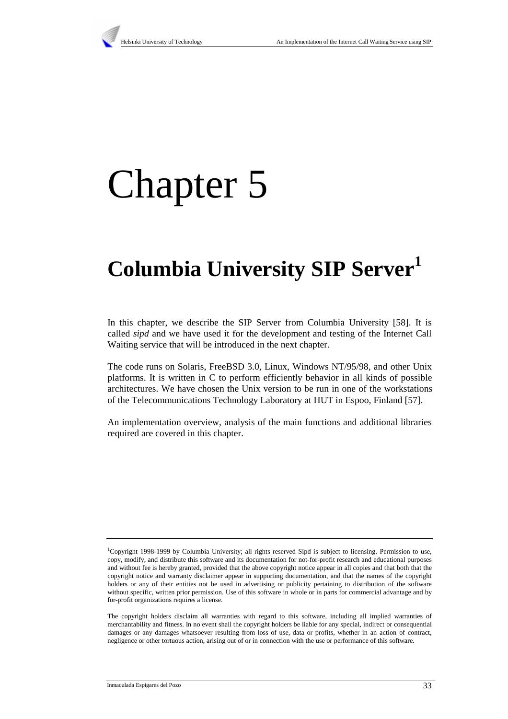

# Chapter 5

# **Columbia University SIP Server<sup>1</sup>**

In this chapter, we describe the SIP Server from Columbia University [58]. It is called *sipd* and we have used it for the development and testing of the Internet Call Waiting service that will be introduced in the next chapter.

The code runs on Solaris, FreeBSD 3.0, Linux, Windows NT/95/98, and other Unix platforms. It is written in C to perform efficiently behavior in all kinds of possible architectures. We have chosen the Unix version to be run in one of the workstations of the Telecommunications Technology Laboratory at HUT in Espoo, Finland [57].

An implementation overview, analysis of the main functions and additional libraries required are covered in this chapter.

<sup>1</sup> Copyright 1998-1999 by Columbia University; all rights reserved Sipd is subject to licensing. Permission to use, copy, modify, and distribute this software and its documentation for not-for-profit research and educational purposes and without fee is hereby granted, provided that the above copyright notice appear in all copies and that both that the copyright notice and warranty disclaimer appear in supporting documentation, and that the names of the copyright holders or any of their entities not be used in advertising or publicity pertaining to distribution of the software without specific, written prior permission. Use of this software in whole or in parts for commercial advantage and by for-profit organizations requires a license.

The copyright holders disclaim all warranties with regard to this software, including all implied warranties of merchantability and fitness. In no event shall the copyright holders be liable for any special, indirect or consequential damages or any damages whatsoever resulting from loss of use, data or profits, whether in an action of contract, negligence or other tortuous action, arising out of or in connection with the use or performance of this software.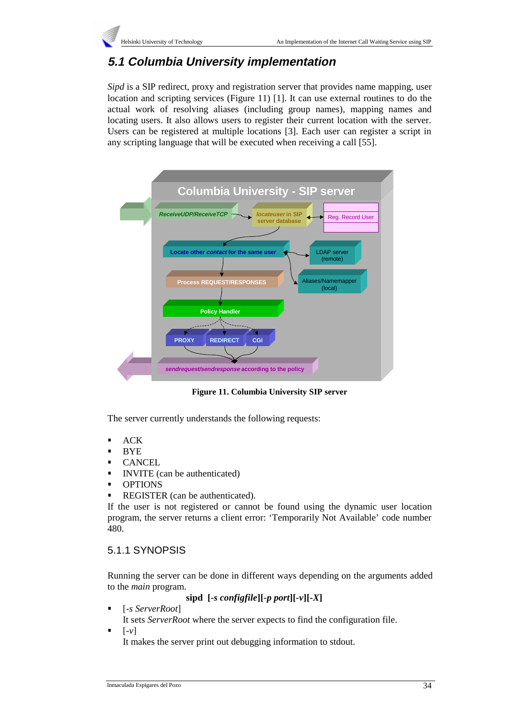# **5.1 Columbia University implementation**

*Sipd* is a SIP redirect, proxy and registration server that provides name mapping, user location and scripting services (Figure 11) [1]. It can use external routines to do the actual work of resolving aliases (including group names), mapping names and locating users. It also allows users to register their current location with the server. Users can be registered at multiple locations [3]. Each user can register a script in any scripting language that will be executed when receiving a call [55].



**Figure 11. Columbia University SIP server**

The server currently understands the following requests:

- ACK п
- **BYE** I
- **CANCEL** ř.
- INVITE (can be authenticated) I
- OPTIONS I
- **REGISTER** (can be authenticated).

If the user is not registered or cannot be found using the dynamic user location program, the server returns a client error: 'Temporarily Not Available' code number 480.

# 5.1.1 SYNOPSIS

Running the server can be done in different ways depending on the arguments added to the *main* program.

**sipd [-***s configfile***][***-p port***][***-v***][***-X***]**

[*-s ServerRoot*]

It sets *ServerRoot* where the server expects to find the configuration file.

 $[-v]$ 

It makes the server print out debugging information to stdout.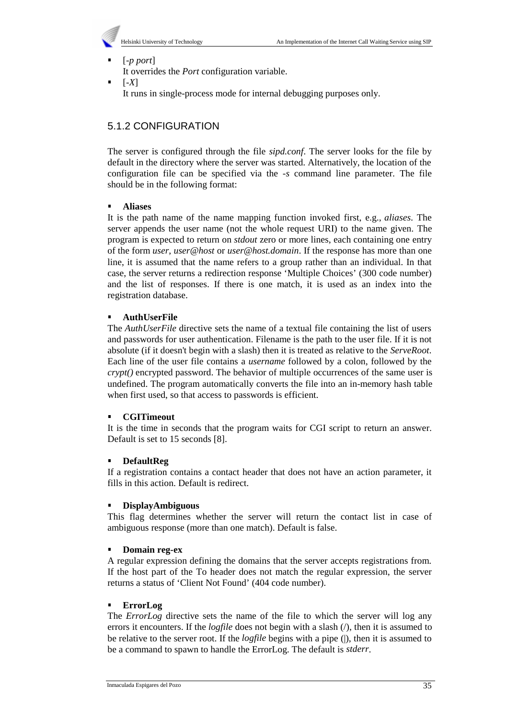

[*-p port*]

It overrides the *Port* configuration variable.

[*-X*]

It runs in single-process mode for internal debugging purposes only.

# 5.1.2 CONFIGURATION

The server is configured through the file *sipd.conf*. The server looks for the file by default in the directory where the server was started. Alternatively, the location of the configuration file can be specified via the *-s* command line parameter. The file should be in the following format:

#### **Aliases**

It is the path name of the name mapping function invoked first, e.g., *aliases*. The server appends the user name (not the whole request URI) to the name given. The program is expected to return on *stdout* zero or more lines, each containing one entry of the form *user*, *user@host* or *user@host.domain*. If the response has more than one line, it is assumed that the name refers to a group rather than an individual. In that case, the server returns a redirection response 'Multiple Choices' (300 code number) and the list of responses. If there is one match, it is used as an index into the registration database.

#### **AuthUserFile**

The *AuthUserFile* directive sets the name of a textual file containing the list of users and passwords for user authentication. Filename is the path to the user file. If it is not absolute (if it doesn't begin with a slash) then it is treated as relative to the *ServeRoot*. Each line of the user file contains a *username* followed by a colon, followed by the *crypt()* encrypted password. The behavior of multiple occurrences of the same user is undefined. The program automatically converts the file into an in-memory hash table when first used, so that access to passwords is efficient.

#### **CGITimeout**

It is the time in seconds that the program waits for CGI script to return an answer. Default is set to 15 seconds [8].

#### **DefaultReg**

If a registration contains a contact header that does not have an action parameter, it fills in this action. Default is redirect.

#### **DisplayAmbiguous**

This flag determines whether the server will return the contact list in case of ambiguous response (more than one match). Default is false.

#### **Domain reg-ex**

A regular expression defining the domains that the server accepts registrations from. If the host part of the To header does not match the regular expression, the server returns a status of 'Client Not Found' (404 code number).

#### **ErrorLog**

The *ErrorLog* directive sets the name of the file to which the server will log any errors it encounters. If the *logfile* does not begin with a slash (/), then it is assumed to be relative to the server root. If the *logfile* begins with a pipe (|), then it is assumed to be a command to spawn to handle the ErrorLog. The default is *stderr*.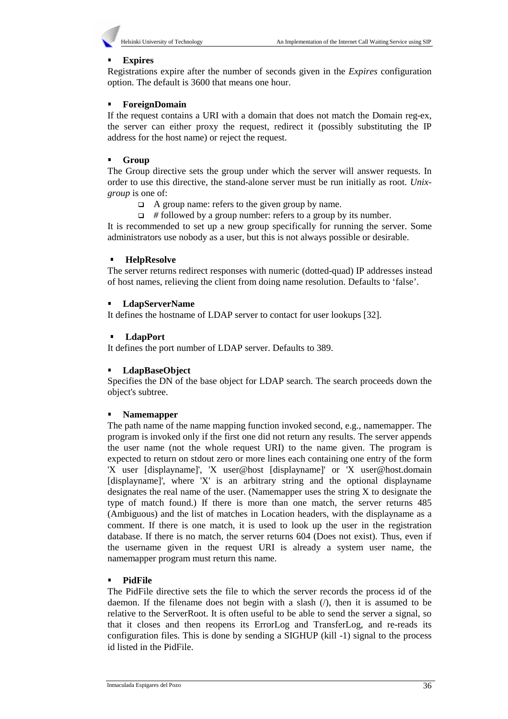

#### **Expires**

Registrations expire after the number of seconds given in the *Expires* configuration option. The default is 3600 that means one hour.

#### **ForeignDomain**

If the request contains a URI with a domain that does not match the Domain reg-ex, the server can either proxy the request, redirect it (possibly substituting the IP address for the host name) or reject the request.

#### **Group**

The Group directive sets the group under which the server will answer requests. In order to use this directive, the stand-alone server must be run initially as root. *Unixgroup* is one of:

- $\Box$  A group name: refers to the given group by name.
- *#* followed by a group number: refers to a group by its number.

It is recommended to set up a new group specifically for running the server. Some administrators use nobody as a user, but this is not always possible or desirable.

#### $\blacksquare$ **HelpResolve**

The server returns redirect responses with numeric (dotted-quad) IP addresses instead of host names, relieving the client from doing name resolution. Defaults to 'false'.

#### **LdapServerName**

It defines the hostname of LDAP server to contact for user lookups [32].

#### **LdapPort**

It defines the port number of LDAP server. Defaults to 389.

#### **LdapBaseObject**

Specifies the DN of the base object for LDAP search. The search proceeds down the object's subtree.

#### **Namemapper**

The path name of the name mapping function invoked second, e.g., namemapper. The program is invoked only if the first one did not return any results. The server appends the user name (not the whole request URI) to the name given. The program is expected to return on stdout zero or more lines each containing one entry of the form 'X user [displayname]', 'X user@host [displayname]' or 'X user@host.domain [displayname]', where 'X' is an arbitrary string and the optional displayname designates the real name of the user. (Namemapper uses the string X to designate the type of match found.) If there is more than one match, the server returns 485 (Ambiguous) and the list of matches in Location headers, with the displayname as a comment. If there is one match, it is used to look up the user in the registration database. If there is no match, the server returns 604 (Does not exist). Thus, even if the username given in the request URI is already a system user name, the namemapper program must return this name.

#### **PidFile**

The PidFile directive sets the file to which the server records the process id of the daemon. If the filename does not begin with a slash  $($ ), then it is assumed to be relative to the ServerRoot. It is often useful to be able to send the server a signal, so that it closes and then reopens its ErrorLog and TransferLog, and re-reads its configuration files. This is done by sending a SIGHUP (kill -1) signal to the process id listed in the PidFile.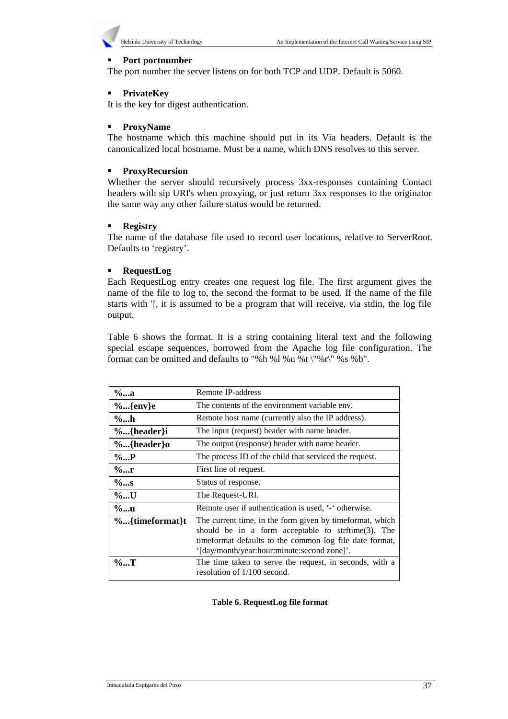

#### **Port portnumber**

The port number the server listens on for both TCP and UDP. Default is 5060.

#### **PrivateKey**

It is the key for digest authentication.

#### **ProxyName**

The hostname which this machine should put in its Via headers. Default is the canonicalized local hostname. Must be a name, which DNS resolves to this server.

#### **ProxyRecursion**

Whether the server should recursively process 3xx-responses containing Contact headers with sip URI's when proxying, or just return 3xx responses to the originator the same way any other failure status would be returned.

#### **Registry**

The name of the database file used to record user locations, relative to ServerRoot. Defaults to 'registry'.

#### **RequestLog**

Each RequestLog entry creates one request log file. The first argument gives the name of the file to log to, the second the format to be used. If the name of the file starts with '|', it is assumed to be a program that will receive, via stdin, the log file output.

Table 6 shows the format. It is a string containing literal text and the following special escape sequences, borrowed from the Apache log file configuration. The format can be omitted and defaults to "%h %l %u %t \"%r\" %s %b".

| $\%$ a         | <b>Remote IP-address</b>                                                                                                                                                                                                     |  |
|----------------|------------------------------------------------------------------------------------------------------------------------------------------------------------------------------------------------------------------------------|--|
| $%$ {env}e     | The contents of the environment variable env.                                                                                                                                                                                |  |
| %h             | Remote host name (currently also the IP address).                                                                                                                                                                            |  |
| $%$ {header}i  | The input (request) header with name header.                                                                                                                                                                                 |  |
| $%$ {header}o  | The output (response) header with name header.                                                                                                                                                                               |  |
| $\%$ P         | The process ID of the child that serviced the request.                                                                                                                                                                       |  |
| %r             | First line of request.                                                                                                                                                                                                       |  |
| $\%$ s         | Status of response.                                                                                                                                                                                                          |  |
| %U             | The Request-URI.                                                                                                                                                                                                             |  |
| $\%$ u         | Remote user if authentication is used, '-' otherwise.                                                                                                                                                                        |  |
| %{timeformat}t | The current time, in the form given by timeformat, which<br>should be in a form acceptable to stritime $(3)$ . The<br>timeformat defaults to the common log file date format,<br>'[day/month/year:hour:minute:second zone]'. |  |
| $\%T$          | The time taken to serve the request, in seconds, with a<br>resolution of 1/100 second.                                                                                                                                       |  |

#### **Table 6. RequestLog file format**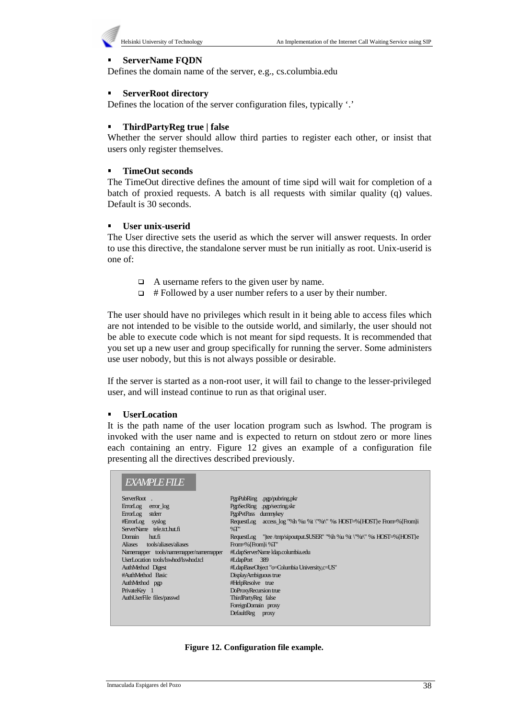

#### **ServerName FQDN**

Defines the domain name of the server, e.g., cs.columbia.edu

#### **ServerRoot directory**

Defines the location of the server configuration files, typically '.'

#### **ThirdPartyReg true | false**

Whether the server should allow third parties to register each other, or insist that users only register themselves.

#### **TimeOut seconds**

The TimeOut directive defines the amount of time sipd will wait for completion of a batch of proxied requests. A batch is all requests with similar quality (q) values. Default is 30 seconds.

#### **User unix-userid**

The User directive sets the userid as which the server will answer requests. In order to use this directive, the standalone server must be run initially as root. Unix-userid is one of:

- $\Box$  A username refers to the given user by name.
- $\Box$  # Followed by a user number refers to a user by their number.

The user should have no privileges which result in it being able to access files which are not intended to be visible to the outside world, and similarly, the user should not be able to execute code which is not meant for sipd requests. It is recommended that you set up a new user and group specifically for running the server. Some administers use user nobody, but this is not always possible or desirable.

If the server is started as a non-root user, it will fail to change to the lesser-privileged user, and will instead continue to run as that original user.

#### **UserLocation**

It is the path name of the user location program such as lswhod. The program is invoked with the user name and is expected to return on stdout zero or more lines each containing an entry. Figure 12 gives an example of a configuration file presenting all the directives described previously.

| <b>EXAMPLE FILE</b>                        |                                                                           |
|--------------------------------------------|---------------------------------------------------------------------------|
| ServerRoot                                 | PgpPubRing pgp/pubring.pkr                                                |
| ErrorLog error log                         | PgpSecRing pgp/secring.skr                                                |
| ErrorLog stderr                            | PgpPvtPass dummykey                                                       |
| #ErrorLog syslog                           | RequestLog access_log "%h %u %t \"%r\" %s HOST=%{HOST}e From=%{From}i     |
| ServerName tele.tct.hut.fi                 | $\%T$                                                                     |
| Domain hut.fi                              | RequestLog " tee /tmp/sipoutput.\$USER" "%h %u %t \"%r\" %s HOST=%{HOST}e |
| Aliases tools/aliases/aliases              | From=%{From}i %T"                                                         |
| Namemapper tools/namemapper/namemapper     | #LdapServerName Idap.columbia.edu                                         |
| UserLocation_tools/Iswhod/Iswhod.tcl       | #LdapPort 389                                                             |
| AuthMethod Digest                          | #LdapBaseObject "o=Columbia University,c=US"                              |
| #AuthMethod Basic<br>DisplayAmbiguous true |                                                                           |
| AuthMethod pgp                             | #HelpResolve true                                                         |
| PrivateKey 1                               | DoProxyRecursion true                                                     |
| AuthUserFile files/passwd                  | ThirdPartyReg false                                                       |
|                                            | ForeignDomain proxy                                                       |
|                                            | DefaultReg proxy                                                          |
|                                            |                                                                           |

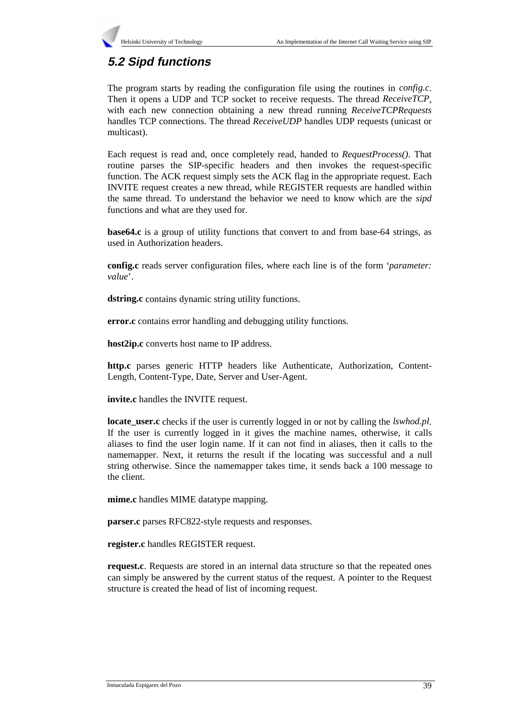

# **5.2 Sipd functions**

The program starts by reading the configuration file using the routines in *config.c*. Then it opens a UDP and TCP socket to receive requests. The thread *ReceiveTCP*, with each new connection obtaining a new thread running *ReceiveTCPRequests* handles TCP connections. The thread *ReceiveUDP* handles UDP requests (unicast or multicast).

Each request is read and, once completely read, handed to *RequestProcess()*. That routine parses the SIP-specific headers and then invokes the request-specific function. The ACK request simply sets the ACK flag in the appropriate request. Each INVITE request creates a new thread, while REGISTER requests are handled within the same thread. To understand the behavior we need to know which are the *sipd* functions and what are they used for.

**base64.c** is a group of utility functions that convert to and from base-64 strings, as used in Authorization headers.

**config.c** reads server configuration files, where each line is of the form '*parameter: value*'.

**dstring.c** contains dynamic string utility functions.

**error.c** contains error handling and debugging utility functions.

**host2ip.c** converts host name to IP address.

**http.c** parses generic HTTP headers like Authenticate, Authorization, Content-Length, Content-Type, Date, Server and User-Agent.

**invite.c** handles the INVITE request.

**locate** user.c checks if the user is currently logged in or not by calling the *lswhod.pl*. If the user is currently logged in it gives the machine names, otherwise, it calls aliases to find the user login name. If it can not find in aliases, then it calls to the namemapper. Next, it returns the result if the locating was successful and a null string otherwise. Since the namemapper takes time, it sends back a 100 message to the client.

**mime.c** handles MIME datatype mapping.

**parser.c** parses RFC822-style requests and responses.

**register.c** handles REGISTER request.

**request.c**. Requests are stored in an internal data structure so that the repeated ones can simply be answered by the current status of the request. A pointer to the Request structure is created the head of list of incoming request.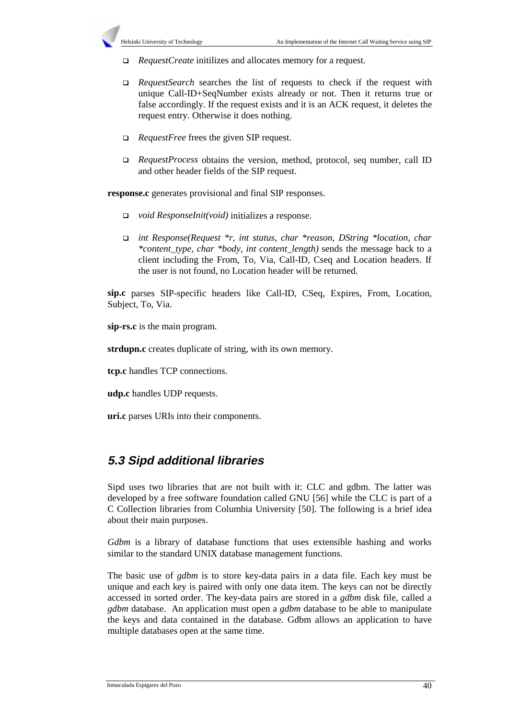

- *RequestCreate* initilizes and allocates memory for a request.
- *RequestSearch* searches the list of requests to check if the request with unique Call-ID+SeqNumber exists already or not. Then it returns true or false accordingly. If the request exists and it is an ACK request, it deletes the request entry. Otherwise it does nothing.
- *RequestFree* frees the given SIP request.
- *RequestProcess* obtains the version, method, protocol, seq number, call ID and other header fields of the SIP request.

**response.c** generates provisional and final SIP responses.

- *void ResponseInit(void)* initializes a response.
- *int Response(Request \*r, int status, char \*reason, DString \*location, char \*content\_type, char \*body, int content\_length)* sends the message back to a client including the From, To, Via, Call-ID, Cseq and Location headers. If the user is not found, no Location header will be returned.

**sip.c** parses SIP-specific headers like Call-ID, CSeq, Expires, From, Location, Subject, To, Via.

**sip-rs.c** is the main program.

**strdupn.c** creates duplicate of string, with its own memory.

**tcp.c** handles TCP connections.

**udp.c** handles UDP requests.

**uri.c** parses URIs into their components.

# **5.3 Sipd additional libraries**

Sipd uses two libraries that are not built with it: CLC and gdbm. The latter was developed by a free software foundation called GNU [56] while the CLC is part of a C Collection libraries from Columbia University [50]. The following is a brief idea about their main purposes.

*Gdbm* is a library of database functions that uses extensible hashing and works similar to the standard UNIX database management functions.

The basic use of *gdbm* is to store key-data pairs in a data file. Each key must be unique and each key is paired with only one data item. The keys can not be directly accessed in sorted order. The key-data pairs are stored in a *gdbm* disk file, called a *gdbm* database. An application must open a *gdbm* database to be able to manipulate the keys and data contained in the database. Gdbm allows an application to have multiple databases open at the same time.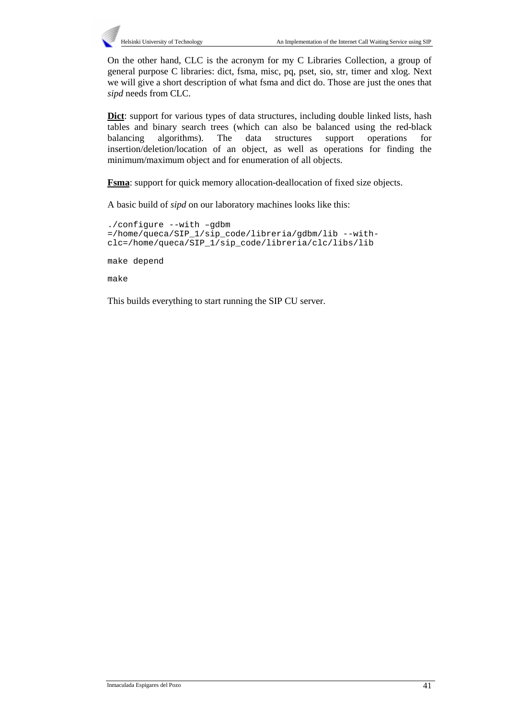

On the other hand, CLC is the acronym for my C Libraries Collection, a group of general purpose C libraries: dict, fsma, misc, pq, pset, sio, str, timer and xlog. Next we will give a short description of what fsma and dict do. Those are just the ones that *sipd* needs from CLC.

**Dict**: support for various types of data structures, including double linked lists, hash tables and binary search trees (which can also be balanced using the red-black balancing algorithms). The data structures support operations for insertion/deletion/location of an object, as well as operations for finding the minimum/maximum object and for enumeration of all objects.

**Fsma**: support for quick memory allocation-deallocation of fixed size objects.

A basic build of *sipd* on our laboratory machines looks like this:

```
./configure --with –gdbm
=/home/queca/SIP_1/sip_code/libreria/gdbm/lib --with-
clc=/home/queca/SIP_1/sip_code/libreria/clc/libs/lib
```
make depend

make

This builds everything to start running the SIP CU server.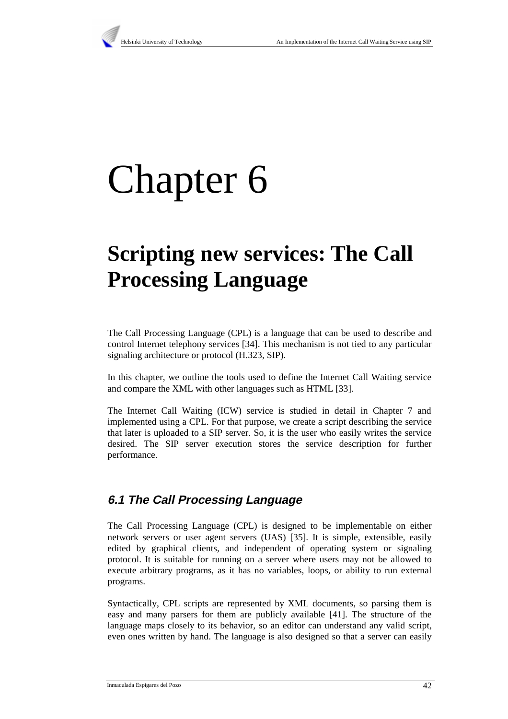

# Chapter 6

# **Scripting new services: The Call Processing Language**

The Call Processing Language (CPL) is a language that can be used to describe and control Internet telephony services [34]. This mechanism is not tied to any particular signaling architecture or protocol (H.323, SIP).

In this chapter, we outline the tools used to define the Internet Call Waiting service and compare the XML with other languages such as HTML [33].

The Internet Call Waiting (ICW) service is studied in detail in Chapter 7 and implemented using a CPL. For that purpose, we create a script describing the service that later is uploaded to a SIP server. So, it is the user who easily writes the service desired. The SIP server execution stores the service description for further performance.

# **6.1 The Call Processing Language**

The Call Processing Language (CPL) is designed to be implementable on either network servers or user agent servers (UAS) [35]. It is simple, extensible, easily edited by graphical clients, and independent of operating system or signaling protocol. It is suitable for running on a server where users may not be allowed to execute arbitrary programs, as it has no variables, loops, or ability to run external programs.

Syntactically, CPL scripts are represented by XML documents, so parsing them is easy and many parsers for them are publicly available [41]. The structure of the language maps closely to its behavior, so an editor can understand any valid script, even ones written by hand. The language is also designed so that a server can easily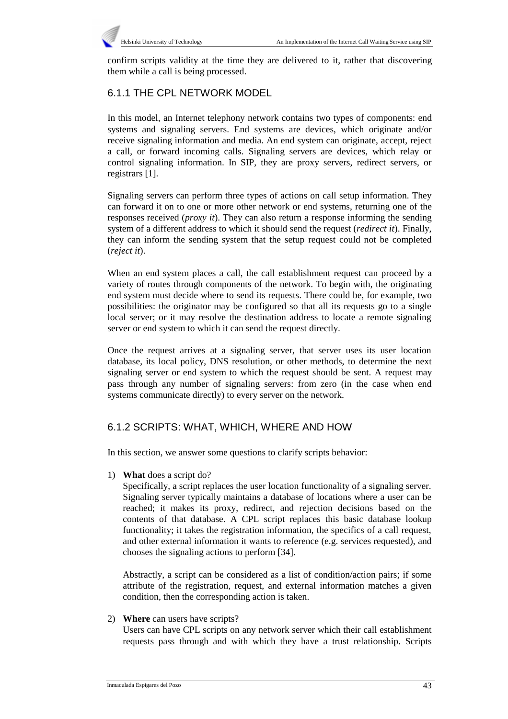

confirm scripts validity at the time they are delivered to it, rather that discovering them while a call is being processed.

## 6.1.1 THE CPL NETWORK MODEL

In this model, an Internet telephony network contains two types of components: end systems and signaling servers. End systems are devices, which originate and/or receive signaling information and media. An end system can originate, accept, reject a call, or forward incoming calls. Signaling servers are devices, which relay or control signaling information. In SIP, they are proxy servers, redirect servers, or registrars [1].

Signaling servers can perform three types of actions on call setup information. They can forward it on to one or more other network or end systems, returning one of the responses received (*proxy it*). They can also return a response informing the sending system of a different address to which it should send the request (*redirect it*). Finally, they can inform the sending system that the setup request could not be completed (*reject it*).

When an end system places a call, the call establishment request can proceed by a variety of routes through components of the network. To begin with, the originating end system must decide where to send its requests. There could be, for example, two possibilities: the originator may be configured so that all its requests go to a single local server; or it may resolve the destination address to locate a remote signaling server or end system to which it can send the request directly.

Once the request arrives at a signaling server, that server uses its user location database, its local policy, DNS resolution, or other methods, to determine the next signaling server or end system to which the request should be sent. A request may pass through any number of signaling servers: from zero (in the case when end systems communicate directly) to every server on the network.

## 6.1.2 SCRIPTS: WHAT, WHICH, WHERE AND HOW

In this section, we answer some questions to clarify scripts behavior:

1) **What** does a script do?

Specifically, a script replaces the user location functionality of a signaling server. Signaling server typically maintains a database of locations where a user can be reached; it makes its proxy, redirect, and rejection decisions based on the contents of that database. A CPL script replaces this basic database lookup functionality; it takes the registration information, the specifics of a call request, and other external information it wants to reference (e.g. services requested), and chooses the signaling actions to perform [34].

Abstractly, a script can be considered as a list of condition/action pairs; if some attribute of the registration, request, and external information matches a given condition, then the corresponding action is taken.

2) **Where** can users have scripts?

Users can have CPL scripts on any network server which their call establishment requests pass through and with which they have a trust relationship. Scripts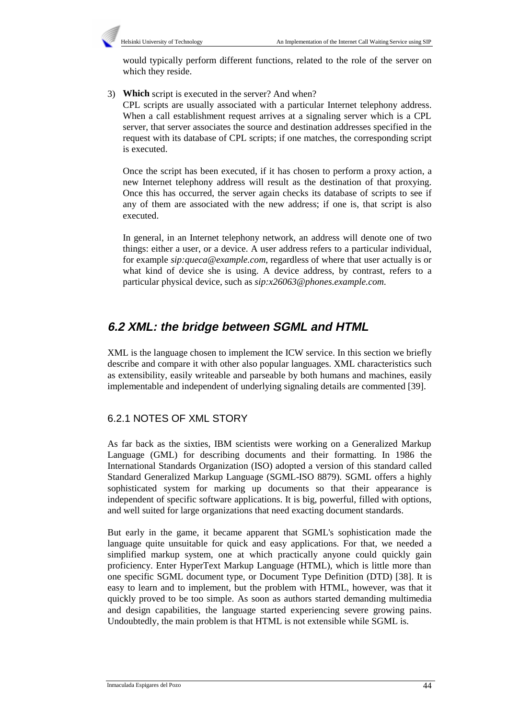

would typically perform different functions, related to the role of the server on which they reside.

3) **Which** script is executed in the server? And when?

CPL scripts are usually associated with a particular Internet telephony address. When a call establishment request arrives at a signaling server which is a CPL server, that server associates the source and destination addresses specified in the request with its database of CPL scripts; if one matches, the corresponding script is executed.

Once the script has been executed, if it has chosen to perform a proxy action, a new Internet telephony address will result as the destination of that proxying. Once this has occurred, the server again checks its database of scripts to see if any of them are associated with the new address; if one is, that script is also executed.

In general, in an Internet telephony network, an address will denote one of two things: either a user, or a device. A user address refers to a particular individual, for example *sip:queca@example.com*, regardless of where that user actually is or what kind of device she is using. A device address, by contrast, refers to a particular physical device, such as *sip:x26063@phones.example.com*.

# **6.2 XML: the bridge between SGML and HTML**

XML is the language chosen to implement the ICW service. In this section we briefly describe and compare it with other also popular languages. XML characteristics such as extensibility, easily writeable and parseable by both humans and machines, easily implementable and independent of underlying signaling details are commented [39].

## 6.2.1 NOTES OF XML STORY

As far back as the sixties, IBM scientists were working on a Generalized Markup Language (GML) for describing documents and their formatting. In 1986 the International Standards Organization (ISO) adopted a version of this standard called Standard Generalized Markup Language (SGML-ISO 8879). SGML offers a highly sophisticated system for marking up documents so that their appearance is independent of specific software applications. It is big, powerful, filled with options, and well suited for large organizations that need exacting document standards.

But early in the game, it became apparent that SGML's sophistication made the language quite unsuitable for quick and easy applications. For that, we needed a simplified markup system, one at which practically anyone could quickly gain proficiency. Enter HyperText Markup Language (HTML), which is little more than one specific SGML document type, or Document Type Definition (DTD) [38]. It is easy to learn and to implement, but the problem with HTML, however, was that it quickly proved to be too simple. As soon as authors started demanding multimedia and design capabilities, the language started experiencing severe growing pains. Undoubtedly, the main problem is that HTML is not extensible while SGML is.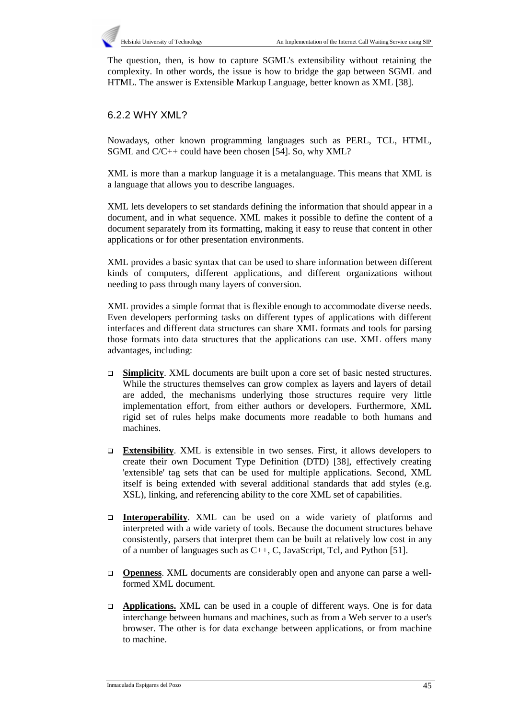

The question, then, is how to capture SGML's extensibility without retaining the complexity. In other words, the issue is how to bridge the gap between SGML and HTML. The answer is Extensible Markup Language, better known as XML [38].

#### 6.2.2 WHY XML?

Nowadays, other known programming languages such as PERL, TCL, HTML, SGML and C/C++ could have been chosen [54]. So, why XML?

XML is more than a markup language it is a metalanguage. This means that XML is a language that allows you to describe languages.

XML lets developers to set standards defining the information that should appear in a document, and in what sequence. XML makes it possible to define the content of a document separately from its formatting, making it easy to reuse that content in other applications or for other presentation environments.

XML provides a basic syntax that can be used to share information between different kinds of computers, different applications, and different organizations without needing to pass through many layers of conversion.

XML provides a simple format that is flexible enough to accommodate diverse needs. Even developers performing tasks on different types of applications with different interfaces and different data structures can share XML formats and tools for parsing those formats into data structures that the applications can use. XML offers many advantages, including:

- **Simplicity**. XML documents are built upon a core set of basic nested structures. While the structures themselves can grow complex as layers and layers of detail are added, the mechanisms underlying those structures require very little implementation effort, from either authors or developers. Furthermore, XML rigid set of rules helps make documents more readable to both humans and machines.
- **Extensibility**. XML is extensible in two senses. First, it allows developers to create their own Document Type Definition (DTD) [38], effectively creating 'extensible' tag sets that can be used for multiple applications. Second, XML itself is being extended with several additional standards that add styles (e.g. XSL), linking, and referencing ability to the core XML set of capabilities.
- **Interoperability**. XML can be used on a wide variety of platforms and interpreted with a wide variety of tools. Because the document structures behave consistently, parsers that interpret them can be built at relatively low cost in any of a number of languages such as C++, C, JavaScript, Tcl, and Python [51].
- **Openness**. XML documents are considerably open and anyone can parse a wellformed XML document.
- **Applications.** XML can be used in a couple of different ways. One is for data interchange between humans and machines, such as from a Web server to a user's browser. The other is for data exchange between applications, or from machine to machine.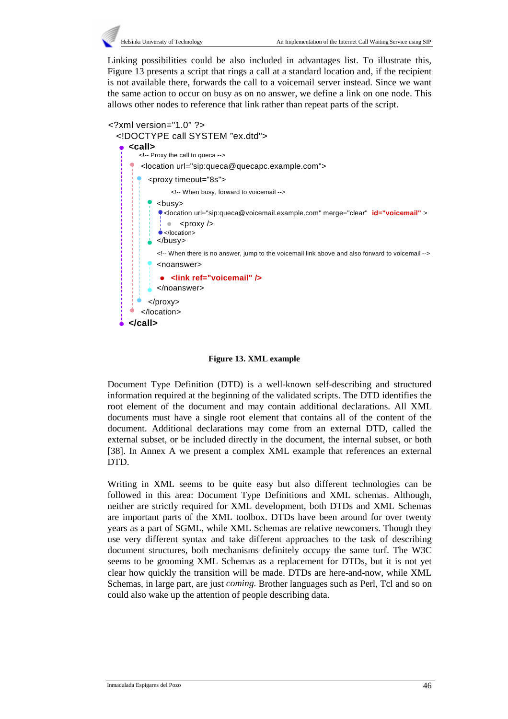Linking possibilities could be also included in advantages list. To illustrate this, Figure 13 presents a script that rings a call at a standard location and, if the recipient is not available there, forwards the call to a voicemail server instead. Since we want the same action to occur on busy as on no answer, we define a link on one node. This allows other nodes to reference that link rather than repeat parts of the script.



#### **Figure 13. XML example**

Document Type Definition (DTD) is a well-known self-describing and structured information required at the beginning of the validated scripts. The DTD identifies the root element of the document and may contain additional declarations. All XML documents must have a single root element that contains all of the content of the document. Additional declarations may come from an external DTD, called the external subset, or be included directly in the document, the internal subset, or both [38]. In Annex A we present a complex XML example that references an external DTD.

Writing in XML seems to be quite easy but also different technologies can be followed in this area: Document Type Definitions and XML schemas. Although, neither are strictly required for XML development, both DTDs and XML Schemas are important parts of the XML toolbox. DTDs have been around for over twenty years as a part of SGML, while XML Schemas are relative newcomers. Though they use very different syntax and take different approaches to the task of describing document structures, both mechanisms definitely occupy the same turf. The W3C seems to be grooming XML Schemas as a replacement for DTDs, but it is not yet clear how quickly the transition will be made. DTDs are here-and-now, while XML Schemas, in large part, are just *coming.* Brother languages such as Perl, Tcl and so on could also wake up the attention of people describing data.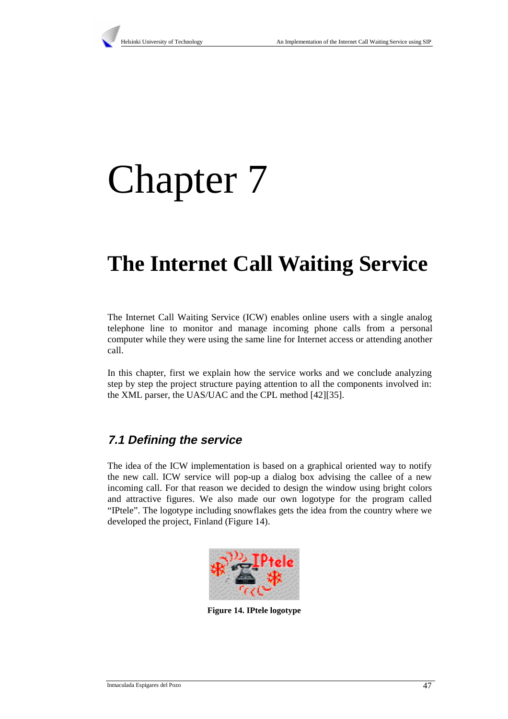

# Chapter 7

# **The Internet Call Waiting Service**

The Internet Call Waiting Service (ICW) enables online users with a single analog telephone line to monitor and manage incoming phone calls from a personal computer while they were using the same line for Internet access or attending another call.

In this chapter, first we explain how the service works and we conclude analyzing step by step the project structure paying attention to all the components involved in: the XML parser, the UAS/UAC and the CPL method [42][35].

# **7.1 Defining the service**

The idea of the ICW implementation is based on a graphical oriented way to notify the new call. ICW service will pop-up a dialog box advising the callee of a new incoming call. For that reason we decided to design the window using bright colors and attractive figures. We also made our own logotype for the program called "IPtele". The logotype including snowflakes gets the idea from the country where we developed the project, Finland (Figure 14).



**Figure 14. IPtele logotype**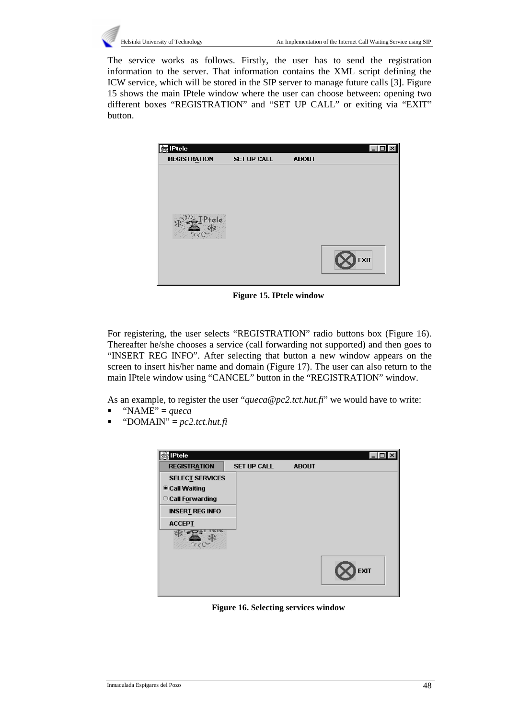

The service works as follows. Firstly, the user has to send the registration information to the server. That information contains the XML script defining the ICW service, which will be stored in the SIP server to manage future calls [3]. Figure 15 shows the main IPtele window where the user can choose between: opening two different boxes "REGISTRATION" and "SET UP CALL" or exiting via "EXIT" button.



**Figure 15. IPtele window**

For registering, the user selects "REGISTRATION" radio buttons box (Figure 16). Thereafter he/she chooses a service (call forwarding not supported) and then goes to "INSERT REG INFO". After selecting that button a new window appears on the screen to insert his/her name and domain (Figure 17). The user can also return to the main IPtele window using "CANCEL" button in the "REGISTRATION" window.

As an example, to register the user "*queca@pc2.tct.hut.fi*" we would have to write:

- "NAME" = *queca* I
- "DOMAIN" = *pc2.tct.hut.fi*

| <b>IPtele</b>                                                    |                    |              | $-1$        |
|------------------------------------------------------------------|--------------------|--------------|-------------|
| <b>REGISTRATION</b>                                              | <b>SET UP CALL</b> | <b>ABOUT</b> |             |
| <b>SELECT SERVICES</b><br><b>Call Waiting</b><br>Call Forwarding |                    |              |             |
| <b>INSERT REG INFO</b>                                           |                    |              |             |
| <b>ACCEPT</b>                                                    |                    |              |             |
|                                                                  |                    |              |             |
|                                                                  |                    |              | <b>EXIT</b> |

**Figure 16. Selecting services window**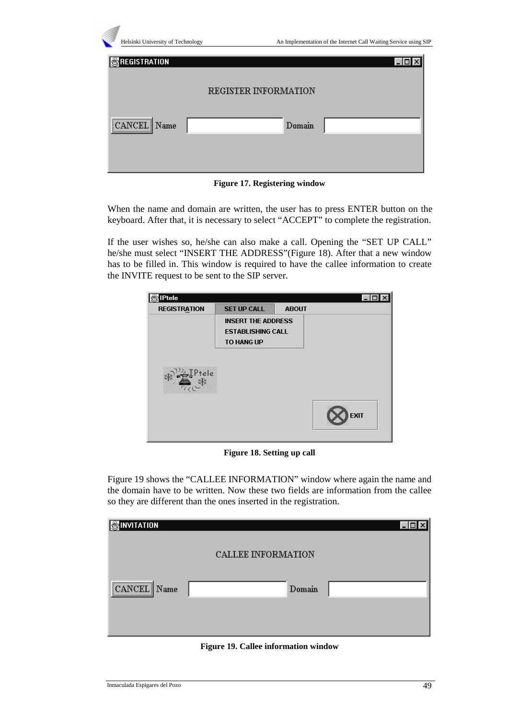|  | Helsinki University of Technology                |                             |        | An Implementation of the Internet Call Waiting Service using SIP |
|--|--------------------------------------------------|-----------------------------|--------|------------------------------------------------------------------|
|  | <b>B</b> REGISTRATION                            |                             |        |                                                                  |
|  |                                                  | <b>REGISTER INFORMATION</b> |        |                                                                  |
|  | ,,,,,,,,,,,,,,,,,,,,,,,,,,,,,,,,,,,,<br>Name<br> |                             | Domain |                                                                  |
|  |                                                  |                             |        |                                                                  |

**Figure 17. Registering window**

When the name and domain are written, the user has to press ENTER button on the keyboard. After that, it is necessary to select "ACCEPT" to complete the registration.

If the user wishes so, he/she can also make a call. Opening the "SET UP CALL" he/she must select "INSERT THE ADDRESS"(Figure 18). After that a new window has to be filled in. This window is required to have the callee information to create the INVITE request to be sent to the SIP server.

| <b>IPtele</b>       |                                                                     |              | $\overline{\phantom{a}}$ |
|---------------------|---------------------------------------------------------------------|--------------|--------------------------|
| <b>REGISTRATION</b> | <b>SET UP CALL</b>                                                  | <b>ABOUT</b> |                          |
|                     | <b>INSERT THE ADDRESS</b><br><b>ESTABLISHING CALL</b><br>TO HANG UP |              |                          |
|                     |                                                                     |              | <b>EXIT</b>              |
|                     |                                                                     |              |                          |

**Figure 18. Setting up call**

Figure 19 shows the "CALLEE INFORMATION" window where again the name and the domain have to be written. Now these two fields are information from the callee so they are different than the ones inserted in the registration.

| <b>SINVITATION</b>           |                           | – II |
|------------------------------|---------------------------|------|
|                              | <b>CALLEE INFORMATION</b> |      |
| $\boxed{\text{CANCEL}}$ Name | Domain                    |      |
|                              |                           |      |

**Figure 19. Callee information window**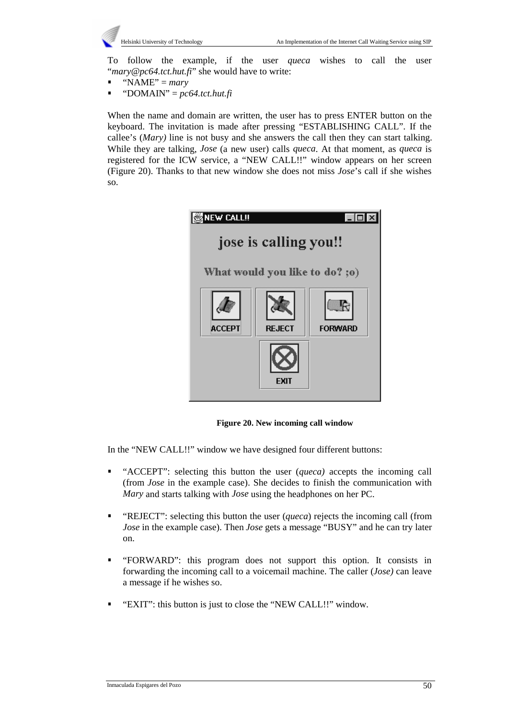

To follow the example, if the user *queca* wishes to call the user "*mary@pc64.tct.hut.fi*" she would have to write:

- "NAME" = *mary*  $\blacksquare$
- "DOMAIN" = *pc64.tct.hut.fi*

When the name and domain are written, the user has to press ENTER button on the keyboard. The invitation is made after pressing "ESTABLISHING CALL". If the callee's (*Mary)* line is not busy and she answers the call then they can start talking. While they are talking, *Jose* (a new user) calls *queca*. At that moment, as *queca* is registered for the ICW service, a "NEW CALL!!" window appears on her screen (Figure 20). Thanks to that new window she does not miss *Jose*'s call if she wishes so.



**Figure 20. New incoming call window**

In the "NEW CALL!!" window we have designed four different buttons:

- "ACCEPT": selecting this button the user (*queca)* accepts the incoming call (from *Jose* in the example case). She decides to finish the communication with *Mary* and starts talking with *Jose* using the headphones on her PC.
- "REJECT": selecting this button the user (*queca*) rejects the incoming call (from *Jose* in the example case). Then *Jose* gets a message "BUSY" and he can try later on.
- "FORWARD": this program does not support this option. It consists in forwarding the incoming call to a voicemail machine. The caller (*Jose)* can leave a message if he wishes so.
- "EXIT": this button is just to close the "NEW CALL!!" window.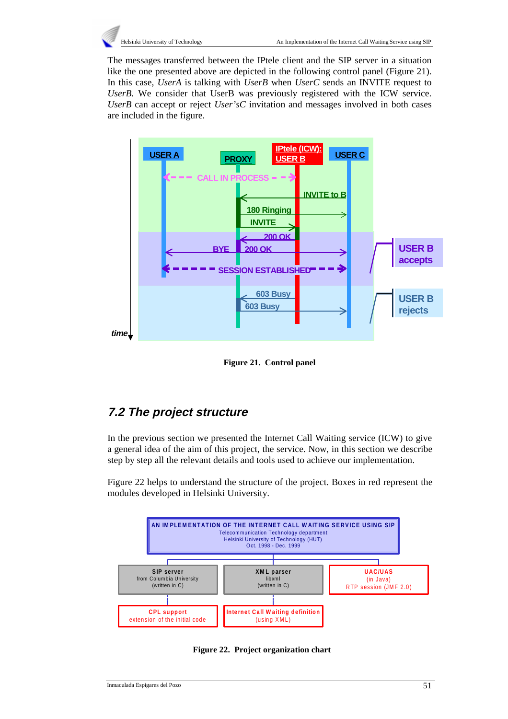

The messages transferred between the IPtele client and the SIP server in a situation like the one presented above are depicted in the following control panel (Figure 21). In this case, *UserA* is talking with *UserB* when *UserC* sends an INVITE request to *UserB.* We consider that UserB was previously registered with the ICW service. *UserB* can accept or reject *User'sC* invitation and messages involved in both cases are included in the figure.



**Figure 21. Control panel**

# **7.2 The project structure**

In the previous section we presented the Internet Call Waiting service (ICW) to give a general idea of the aim of this project, the service. Now, in this section we describe step by step all the relevant details and tools used to achieve our implementation.

Figure 22 helps to understand the structure of the project. Boxes in red represent the modules developed in Helsinki University.



**Figure 22. Project organization chart**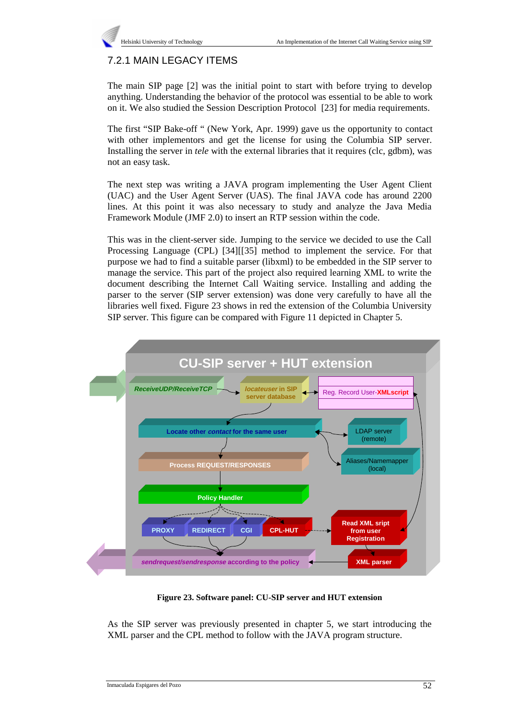

# 7.2.1 MAIN LEGACY ITEMS

The main SIP page [2] was the initial point to start with before trying to develop anything. Understanding the behavior of the protocol was essential to be able to work on it. We also studied the Session Description Protocol [23] for media requirements.

The first "SIP Bake-off " (New York, Apr. 1999) gave us the opportunity to contact with other implementors and get the license for using the Columbia SIP server. Installing the server in *tele* with the external libraries that it requires (clc, gdbm), was not an easy task.

The next step was writing a JAVA program implementing the User Agent Client (UAC) and the User Agent Server (UAS). The final JAVA code has around 2200 lines. At this point it was also necessary to study and analyze the Java Media Framework Module (JMF 2.0) to insert an RTP session within the code.

This was in the client-server side. Jumping to the service we decided to use the Call Processing Language (CPL) [34][[35] method to implement the service. For that purpose we had to find a suitable parser (libxml) to be embedded in the SIP server to manage the service. This part of the project also required learning XML to write the document describing the Internet Call Waiting service. Installing and adding the parser to the server (SIP server extension) was done very carefully to have all the libraries well fixed. Figure 23 shows in red the extension of the Columbia University SIP server. This figure can be compared with Figure 11 depicted in Chapter 5.



**Figure 23. Software panel: CU-SIP server and HUT extension**

As the SIP server was previously presented in chapter 5, we start introducing the XML parser and the CPL method to follow with the JAVA program structure.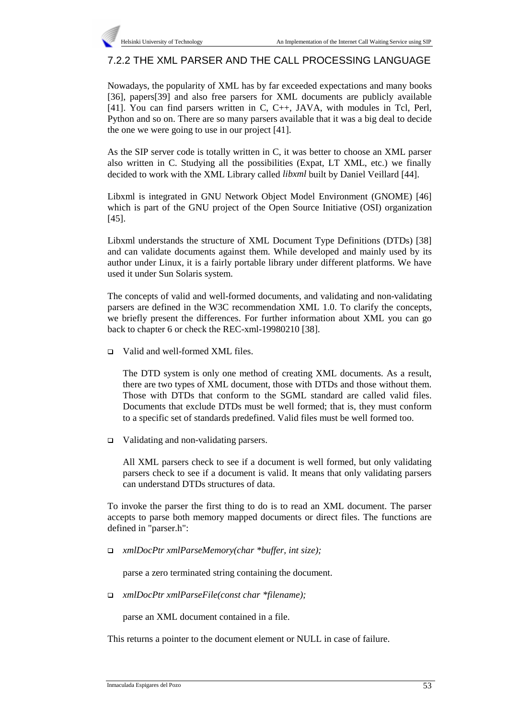## 7.2.2 THE XML PARSER AND THE CALL PROCESSING LANGUAGE

Nowadays, the popularity of XML has by far exceeded expectations and many books [36], papers[39] and also free parsers for XML documents are publicly available [41]. You can find parsers written in C, C++, JAVA, with modules in Tcl, Perl, Python and so on. There are so many parsers available that it was a big deal to decide the one we were going to use in our project [41].

As the SIP server code is totally written in C, it was better to choose an XML parser also written in C. Studying all the possibilities (Expat, LT XML, etc.) we finally decided to work with the XML Library called *libxml* built by Daniel Veillard [44].

Libxml is integrated in GNU Network Object Model Environment (GNOME) [46] which is part of the GNU project of the Open Source Initiative (OSI) organization [45].

Libxml understands the structure of XML Document Type Definitions (DTDs) [38] and can validate documents against them. While developed and mainly used by its author under Linux, it is a fairly portable library under different platforms. We have used it under Sun Solaris system.

The concepts of valid and well-formed documents, and validating and non-validating parsers are defined in the W3C recommendation XML 1.0. To clarify the concepts, we briefly present the differences. For further information about XML you can go back to chapter 6 or check the REC-xml-19980210 [38].

□ Valid and well-formed XML files.

The DTD system is only one method of creating XML documents. As a result, there are two types of XML document, those with DTDs and those without them. Those with DTDs that conform to the SGML standard are called valid files. Documents that exclude DTDs must be well formed; that is, they must conform to a specific set of standards predefined. Valid files must be well formed too.

□ Validating and non-validating parsers.

All XML parsers check to see if a document is well formed, but only validating parsers check to see if a document is valid. It means that only validating parsers can understand DTDs structures of data.

To invoke the parser the first thing to do is to read an XML document. The parser accepts to parse both memory mapped documents or direct files. The functions are defined in "parser.h":

*xmlDocPtr xmlParseMemory(char \*buffer, int size);*

parse a zero terminated string containing the document.

*xmlDocPtr xmlParseFile(const char \*filename);*

parse an XML document contained in a file.

This returns a pointer to the document element or NULL in case of failure.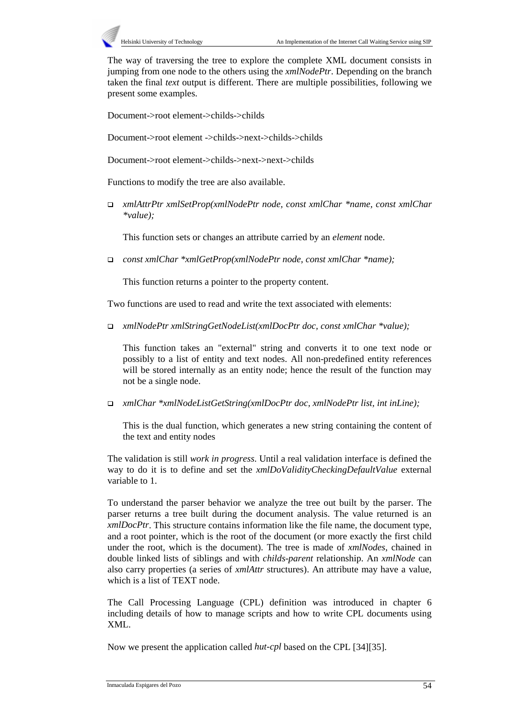

The way of traversing the tree to explore the complete XML document consists in jumping from one node to the others using the *xmlNodePtr*. Depending on the branch taken the final *text* output is different. There are multiple possibilities, following we present some examples.

Document->root element->childs->childs

Document->root element ->childs->next->childs->childs

Document->root element->childs->next->next->childs

Functions to modify the tree are also available.

 *xmlAttrPtr xmlSetProp(xmlNodePtr node, const xmlChar \*name, const xmlChar \*value);*

This function sets or changes an attribute carried by an *element* node.

*const xmlChar \*xmlGetProp(xmlNodePtr node, const xmlChar \*name);*

This function returns a pointer to the property content.

Two functions are used to read and write the text associated with elements:

*xmlNodePtr xmlStringGetNodeList(xmlDocPtr doc, const xmlChar \*value);*

This function takes an "external" string and converts it to one text node or possibly to a list of entity and text nodes. All non-predefined entity references will be stored internally as an entity node; hence the result of the function may not be a single node.

*xmlChar \*xmlNodeListGetString(xmlDocPtr doc, xmlNodePtr list, int inLine);*

This is the dual function, which generates a new string containing the content of the text and entity nodes

The validation is still *work in progress*. Until a real validation interface is defined the way to do it is to define and set the *xmlDoValidityCheckingDefaultValue* external variable to 1.

To understand the parser behavior we analyze the tree out built by the parser. The parser returns a tree built during the document analysis. The value returned is an *xmlDocPtr*. This structure contains information like the file name, the document type, and a root pointer, which is the root of the document (or more exactly the first child under the root, which is the document). The tree is made of *xmlNodes*, chained in double linked lists of siblings and with *childs*-*parent* relationship. An *xmlNode* can also carry properties (a series of *xmlAttr* structures). An attribute may have a value, which is a list of TEXT node.

The Call Processing Language (CPL) definition was introduced in chapter 6 including details of how to manage scripts and how to write CPL documents using XML.

Now we present the application called *hut-cpl* based on the CPL [34][35].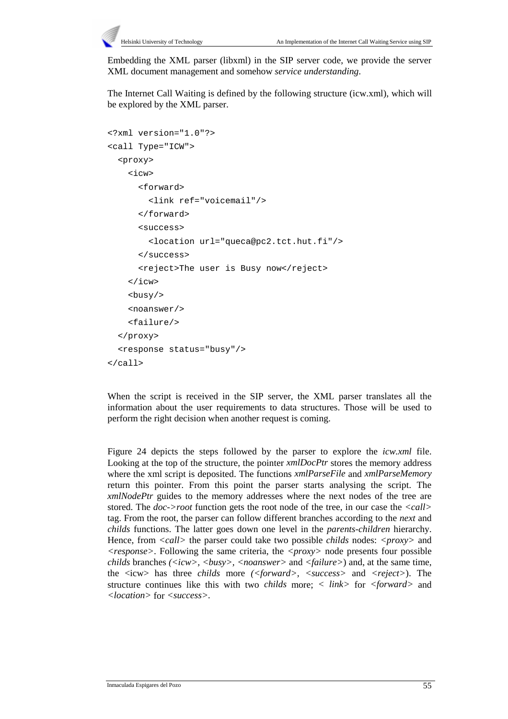

Embedding the XML parser (libxml) in the SIP server code, we provide the server XML document management and somehow *service understanding*.

The Internet Call Waiting is defined by the following structure (icw.xml), which will be explored by the XML parser.

```
<?xml version="1.0"?>
<call Type="ICW">
   <proxy>
    \leq i \simw> <forward>
          <link ref="voicemail"/>
       </forward>
       <success>
          <location url="queca@pc2.tct.hut.fi"/>
       </success>
        <reject>The user is Busy now</reject>
    \langleicw\rangle <busy/>
     <noanswer/>
     <failure/>
   </proxy>
   <response status="busy"/>
</call>
```
When the script is received in the SIP server, the XML parser translates all the information about the user requirements to data structures. Those will be used to perform the right decision when another request is coming.

Figure 24 depicts the steps followed by the parser to explore the *icw.xml* file. Looking at the top of the structure, the pointer *xmlDocPtr* stores the memory address where the xml script is deposited. The functions *xmlParseFile* and *xmlParseMemory* return this pointer. From this point the parser starts analysing the script. The *xmlNodePtr* guides to the memory addresses where the next nodes of the tree are stored. The *doc->root* function gets the root node of the tree, in our case the *<call>* tag. From the root, the parser can follow different branches according to the *next* and *childs* functions. The latter goes down one level in the *parents-children* hierarchy. Hence, from *<call>* the parser could take two possible *childs* nodes: *<proxy>* and *<response>*. Following the same criteria, the *<proxy>* node presents four possible *childs* branches *(<icw>, <br/>* $\langle$ *busy>, <noanswer>* and  $\langle$ *failure>*) and, at the same time, the <icw> has three *childs* more *(<forward>, <success>* and *<reject>*). The structure continues like this with two *childs* more; *< link>* for *<forward>* and *<location>* for *<success>.*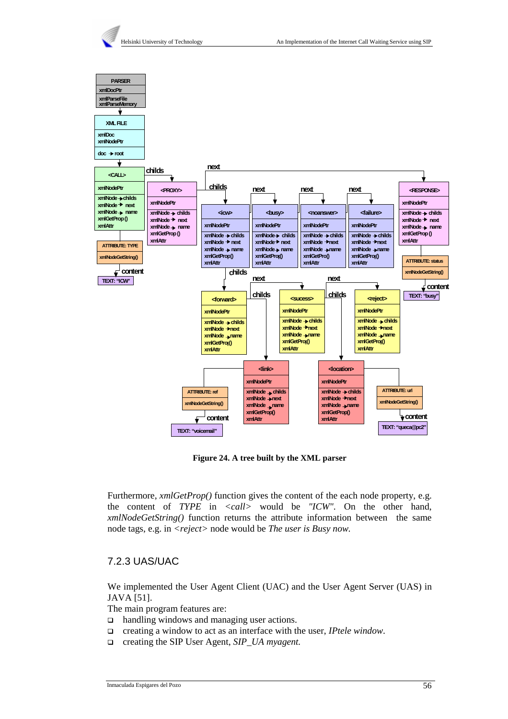



**Figure 24. A tree built by the XML parser**

Furthermore, *xmlGetProp()* function gives the content of the each node property, e.g. the content of *TYPE* in *<call>* would be *"ICW"*. On the other hand, *xmlNodeGetString()* function returns the attribute information between the same node tags, e.g. in *<reject>* node would be *The user is Busy now.*

#### 7.2.3 UAS/UAC

We implemented the User Agent Client (UAC) and the User Agent Server (UAS) in JAVA [51].

The main program features are:

- □ handling windows and managing user actions.
- creating a window to act as an interface with the user, *IPtele window*.
- creating the SIP User Agent, *SIP\_UA myagent.*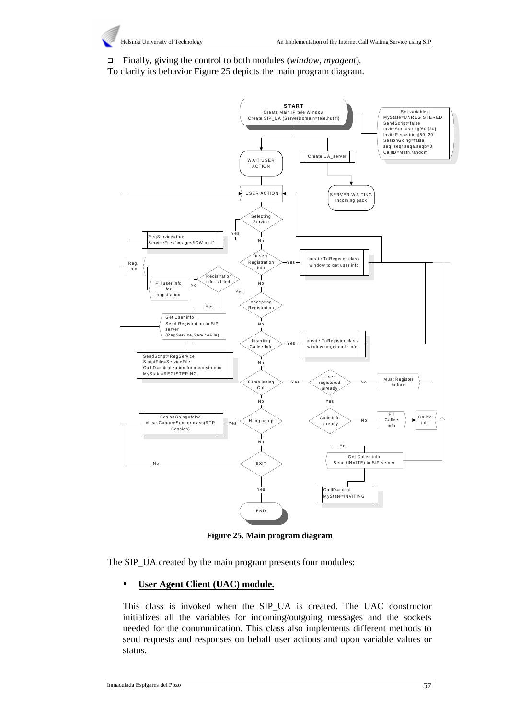

 Finally, giving the control to both modules (*window, myagent*)*.* To clarify its behavior Figure 25 depicts the main program diagram.



**Figure 25. Main program diagram**

The SIP\_UA created by the main program presents four modules:

 $\blacksquare$ **User Agent Client (UAC) module.**

This class is invoked when the SIP\_UA is created. The UAC constructor initializes all the variables for incoming/outgoing messages and the sockets needed for the communication. This class also implements different methods to send requests and responses on behalf user actions and upon variable values or status.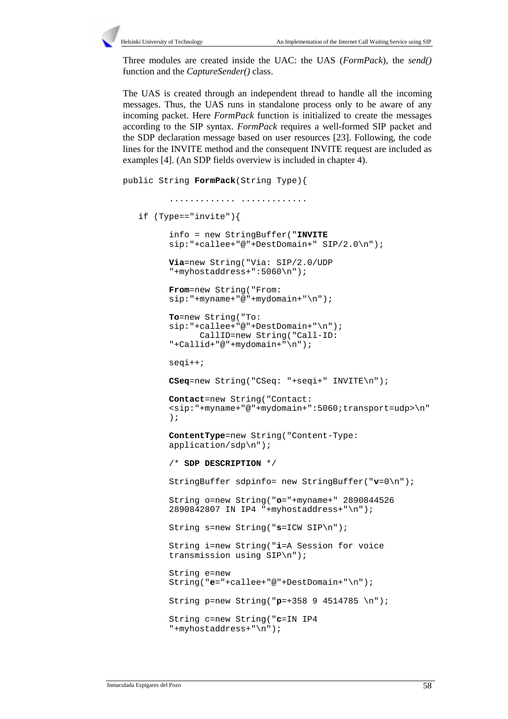

Three modules are created inside the UAC: the UAS (*FormPack*), the *send()* function and the *CaptureSender()* class.

The UAS is created through an independent thread to handle all the incoming messages. Thus, the UAS runs in standalone process only to be aware of any incoming packet. Here *FormPack* function is initialized to create the messages according to the SIP syntax. *FormPack* requires a well-formed SIP packet and the SDP declaration message based on user resources [23]. Following, the code lines for the INVITE method and the consequent INVITE request are included as examples [4]. (An SDP fields overview is included in chapter 4).

```
public String FormPack(String Type){
         ............. .............
   if (Type=="invite"){
         info = new StringBuffer("INVITE
         sip:"+callee+"@"+DestDomain+" SIP/2.0\n"); 
         Via=new String("Via: SIP/2.0/UDP
         "+myhostaddress+":5060\n");
         From=new String("From:
         sip:"+myname+"@"+mydomain+"\n");
         To=new String("To:
         sip:"+callee+"@"+DestDomain+"\n");
               CallID=new String("Call-ID:
         "+Callid+"@"+mydomain+"\n");
         seqi++;
         CSeq=new String("CSeq: "+seqi+" INVITE\n");
         Contact=new String("Contact:
         <sip:"+myname+"@"+mydomain+":5060;transport=udp>\n"
         );
         ContentType=new String("Content-Type:
         application/sdp\n");
         /* SDP DESCRIPTION */
         StringBuffer sdpinfo= new StringBuffer("v=0\n");
         String o=new String("o="+myname+" 2890844526
         2890842807 IN IP4 "+myhostaddress+"\n");
         String s=new String("s=ICW SIP\n");
         String i=new String("i=A Session for voice
         transmission using SIP\n");
         String e=new
         String("e="+callee+"@"+DestDomain+"\n");
         String p=new String("p=+358 9 4514785 \n");
         String c=new String("c=IN IP4
         "+myhostaddress+"\n");
```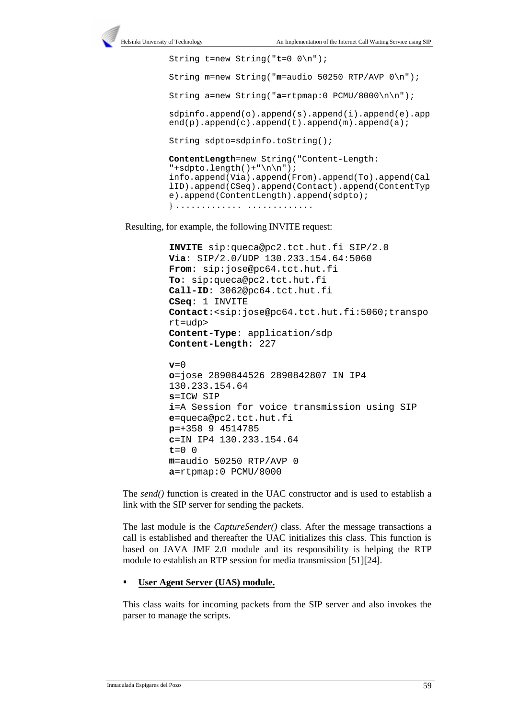```
String t=new String("t=0 0\n");
String m=new String("m=audio 50250 RTP/AVP 0\n");
String a=new String("a=rtpmap:0 PCMU/8000\n\n");
sdpinfo.append(o).append(s).append(i).append(e).app
end(p).append(c).append(t).append(m).append(a);
String sdpto=sdpinfo.toString();
ContentLength=new String("Content-Length:
"+sdpto.length() + "\n\nu";
info.append(Via).append(From).append(To).append(Cal
lID).append(CSeq).append(Contact).append(ContentTyp
e).append(ContentLength).append(sdpto);
```
} ............. .............

Resulting, for example, the following INVITE request:

```
INVITE sip:queca@pc2.tct.hut.fi SIP/2.0
Via: SIP/2.0/UDP 130.233.154.64:5060
From: sip:jose@pc64.tct.hut.fi
To: sip:queca@pc2.tct.hut.fi
Call-ID: 3062@pc64.tct.hut.fi
CSeq: 1 INVITE
Contact:<sip:jose@pc64.tct.hut.fi:5060;transpo
rt=udp>
Content-Type: application/sdp
Content-Length: 227
v=0
o=jose 2890844526 2890842807 IN IP4
130.233.154.64
s=ICW SIP
i=A Session for voice transmission using SIP
e=queca@pc2.tct.hut.fi
p=+358 9 4514785
c=IN IP4 130.233.154.64
t=0 0
m=audio 50250 RTP/AVP 0
a=rtpmap:0 PCMU/8000
```
The *send()* function is created in the UAC constructor and is used to establish a link with the SIP server for sending the packets.

The last module is the *CaptureSender()* class. After the message transactions a call is established and thereafter the UAC initializes this class. This function is based on JAVA JMF 2.0 module and its responsibility is helping the RTP module to establish an RTP session for media transmission [51][24].

#### **User Agent Server (UAS) module.**

This class waits for incoming packets from the SIP server and also invokes the parser to manage the scripts.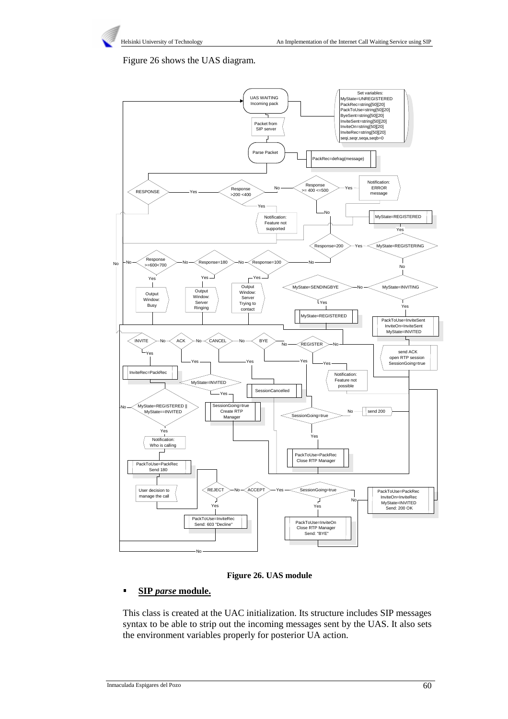Figure 26 shows the UAS diagram.



**Figure 26. UAS module**

#### **SIP** *parse* **module.**

This class is created at the UAC initialization. Its structure includes SIP messages syntax to be able to strip out the incoming messages sent by the UAS. It also sets the environment variables properly for posterior UA action.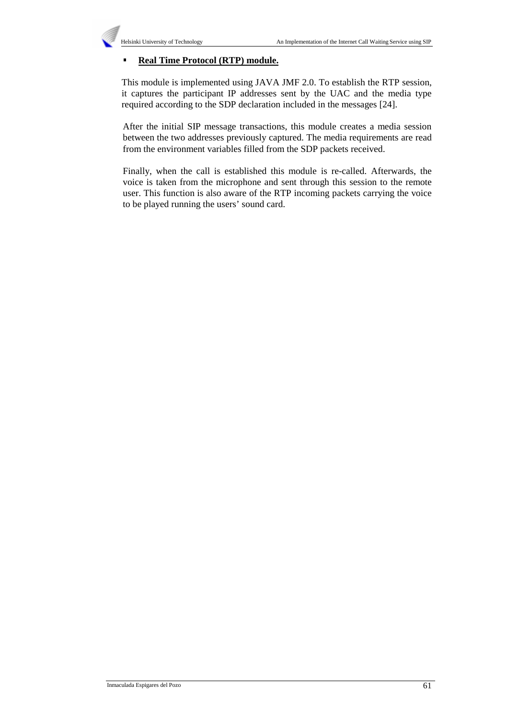#### **Real Time Protocol (RTP) module.**

This module is implemented using JAVA JMF 2.0. To establish the RTP session, it captures the participant IP addresses sent by the UAC and the media type required according to the SDP declaration included in the messages [24].

After the initial SIP message transactions, this module creates a media session between the two addresses previously captured. The media requirements are read from the environment variables filled from the SDP packets received.

Finally, when the call is established this module is re-called. Afterwards, the voice is taken from the microphone and sent through this session to the remote user. This function is also aware of the RTP incoming packets carrying the voice to be played running the users' sound card.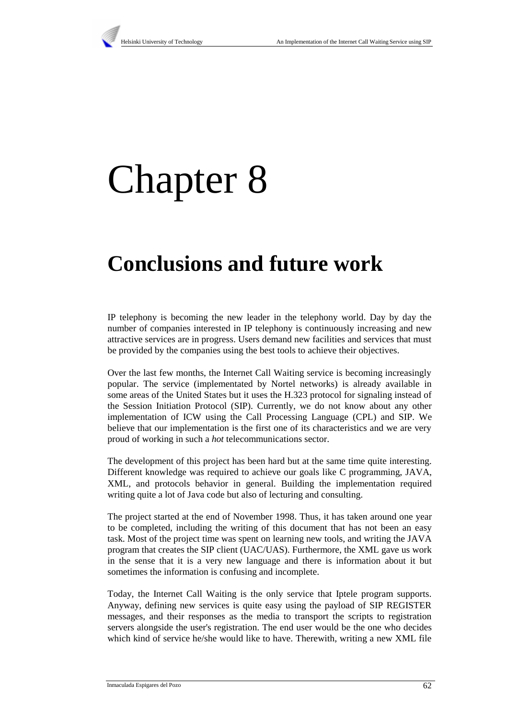

# Chapter 8

# **Conclusions and future work**

IP telephony is becoming the new leader in the telephony world. Day by day the number of companies interested in IP telephony is continuously increasing and new attractive services are in progress. Users demand new facilities and services that must be provided by the companies using the best tools to achieve their objectives.

Over the last few months, the Internet Call Waiting service is becoming increasingly popular. The service (implementated by Nortel networks) is already available in some areas of the United States but it uses the H.323 protocol for signaling instead of the Session Initiation Protocol (SIP). Currently, we do not know about any other implementation of ICW using the Call Processing Language (CPL) and SIP. We believe that our implementation is the first one of its characteristics and we are very proud of working in such a *hot* telecommunications sector.

The development of this project has been hard but at the same time quite interesting. Different knowledge was required to achieve our goals like C programming, JAVA, XML, and protocols behavior in general. Building the implementation required writing quite a lot of Java code but also of lecturing and consulting.

The project started at the end of November 1998. Thus, it has taken around one year to be completed, including the writing of this document that has not been an easy task. Most of the project time was spent on learning new tools, and writing the JAVA program that creates the SIP client (UAC/UAS). Furthermore, the XML gave us work in the sense that it is a very new language and there is information about it but sometimes the information is confusing and incomplete.

Today, the Internet Call Waiting is the only service that Iptele program supports. Anyway, defining new services is quite easy using the payload of SIP REGISTER messages, and their responses as the media to transport the scripts to registration servers alongside the user's registration. The end user would be the one who decides which kind of service he/she would like to have. Therewith, writing a new XML file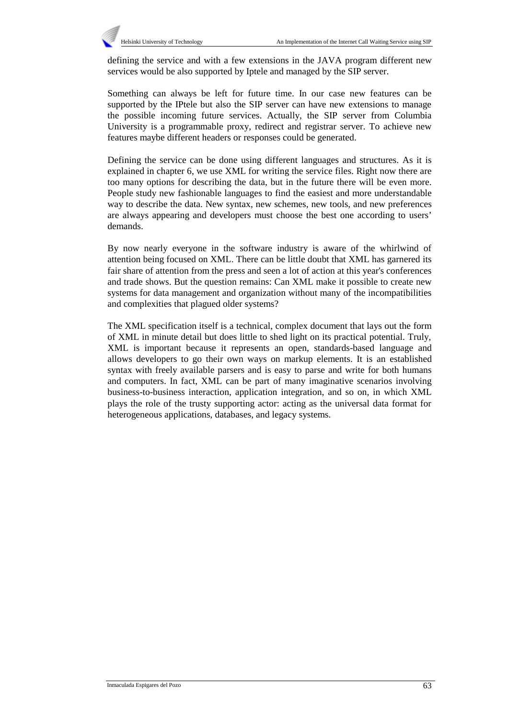

defining the service and with a few extensions in the JAVA program different new services would be also supported by Iptele and managed by the SIP server.

Something can always be left for future time. In our case new features can be supported by the IPtele but also the SIP server can have new extensions to manage the possible incoming future services. Actually, the SIP server from Columbia University is a programmable proxy, redirect and registrar server. To achieve new features maybe different headers or responses could be generated.

Defining the service can be done using different languages and structures. As it is explained in chapter 6, we use XML for writing the service files. Right now there are too many options for describing the data, but in the future there will be even more. People study new fashionable languages to find the easiest and more understandable way to describe the data. New syntax, new schemes, new tools, and new preferences are always appearing and developers must choose the best one according to users' demands.

By now nearly everyone in the software industry is aware of the whirlwind of attention being focused on XML. There can be little doubt that XML has garnered its fair share of attention from the press and seen a lot of action at this year's conferences and trade shows. But the question remains: Can XML make it possible to create new systems for data management and organization without many of the incompatibilities and complexities that plagued older systems?

The XML specification itself is a technical, complex document that lays out the form of XML in minute detail but does little to shed light on its practical potential. Truly, XML is important because it represents an open, standards-based language and allows developers to go their own ways on markup elements. It is an established syntax with freely available parsers and is easy to parse and write for both humans and computers. In fact, XML can be part of many imaginative scenarios involving business-to-business interaction, application integration, and so on, in which XML plays the role of the trusty supporting actor: acting as the universal data format for heterogeneous applications, databases, and legacy systems.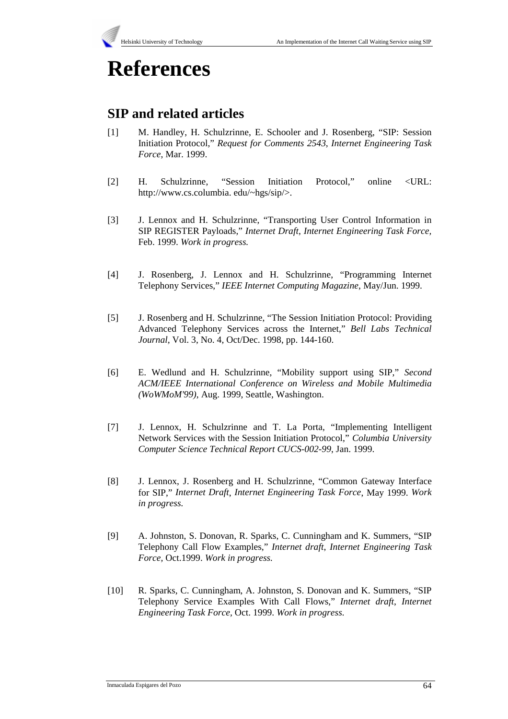# **References**

# **SIP and related articles**

- [1] M. Handley, H. Schulzrinne, E. Schooler and J. Rosenberg, "SIP: Session Initiation Protocol," *Request for Comments 2543*, *Internet Engineering Task Force*, Mar. 1999.
- [2] H. Schulzrinne, "Session Initiation Protocol," online <URL: http://www.cs.columbia. edu/~hgs/sip/>.
- [3] J. Lennox and H. Schulzrinne, "Transporting User Control Information in SIP REGISTER Payloads," *Internet Draft*, *Internet Engineering Task Force,* Feb. 1999. *Work in progress.*
- [4] J. Rosenberg, J. Lennox and H. Schulzrinne, "Programming Internet Telephony Services," *IEEE Internet Computing Magazine*, May/Jun. 1999.
- [5] J. Rosenberg and H. Schulzrinne, "The Session Initiation Protocol: Providing Advanced Telephony Services across the Internet," *Bell Labs Technical Journal*, Vol. 3, No. 4, Oct/Dec. 1998, pp. 144-160.
- [6] E. Wedlund and H. Schulzrinne, "Mobility support using SIP," *Second ACM/IEEE International Conference on Wireless and Mobile Multimedia (WoWMoM'99)*, Aug. 1999, Seattle, Washington.
- [7] J. Lennox, H. Schulzrinne and T. La Porta, "Implementing Intelligent Network Services with the Session Initiation Protocol," *Columbia University Computer Science Technical Report CUCS-002-99*, Jan. 1999.
- [8] J. Lennox, J. Rosenberg and H. Schulzrinne, "Common Gateway Interface for SIP," *Internet Draft*, *Internet Engineering Task Force*, May 1999. *Work in progress.*
- [9] A. Johnston, S. Donovan, R. Sparks, C. Cunningham and K. Summers, "SIP Telephony Call Flow Examples," *Internet draft*, *Internet Engineering Task Force,* Oct.1999. *Work in progress.*
- [10] R. Sparks, C. Cunningham, A. Johnston, S. Donovan and K. Summers, "SIP Telephony Service Examples With Call Flows," *Internet draft*, *Internet Engineering Task Force,* Oct. 1999. *Work in progress.*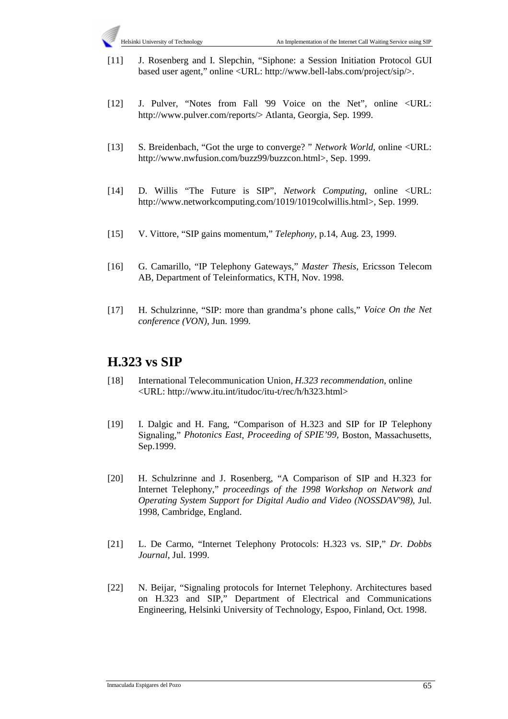- [11] J. Rosenberg and I. Slepchin, "Siphone: a Session Initiation Protocol GUI based user agent," online <URL: http://www.bell-labs.com/project/sip/>.
- [12] J. Pulver, "Notes from Fall '99 Voice on the Net", online <URL: http://www.pulver.com/reports/> Atlanta, Georgia, Sep. 1999.
- [13] S. Breidenbach, "Got the urge to converge? " *Network World*, online <URL: http://www.nwfusion.com/buzz99/buzzcon.html>, Sep. 1999.
- [14] D. Willis "The Future is SIP", *Network Computing,* online <URL: http://www.networkcomputing.com/1019/1019colwillis.html>, Sep. 1999.
- [15] V. Vittore, "SIP gains momentum," *Telephony,* p.14, Aug. 23, 1999.
- [16] G. Camarillo, "IP Telephony Gateways," *Master Thesis,* Ericsson Telecom AB, Department of Teleinformatics, KTH, Nov. 1998.
- [17] H. Schulzrinne, "SIP: more than grandma's phone calls," *Voice On the Net conference (VON),* Jun. 1999*.*

### **H.323 vs SIP**

- [18] International Telecommunication Union, *H.323 recommendation*, online <URL: http://www.itu.int/itudoc/itu-t/rec/h/h323.html>
- [19] I. Dalgic and H. Fang, "Comparison of H.323 and SIP for IP Telephony Signaling," *Photonics East*, *Proceeding of SPIE'99,* Boston, Massachusetts, Sep.1999.
- [20] H. Schulzrinne and J. Rosenberg, "A Comparison of SIP and H.323 for Internet Telephony," *proceedings of the 1998 Workshop on Network and Operating System Support for Digital Audio and Video (NOSSDAV'98)*, Jul. 1998, Cambridge, England.
- [21] L. De Carmo, "Internet Telephony Protocols: H.323 vs. SIP," *Dr. Dobbs Journal*, Jul. 1999.
- [22] N. Beijar, "Signaling protocols for Internet Telephony. Architectures based on H.323 and SIP," Department of Electrical and Communications Engineering, Helsinki University of Technology, Espoo, Finland, Oct. 1998.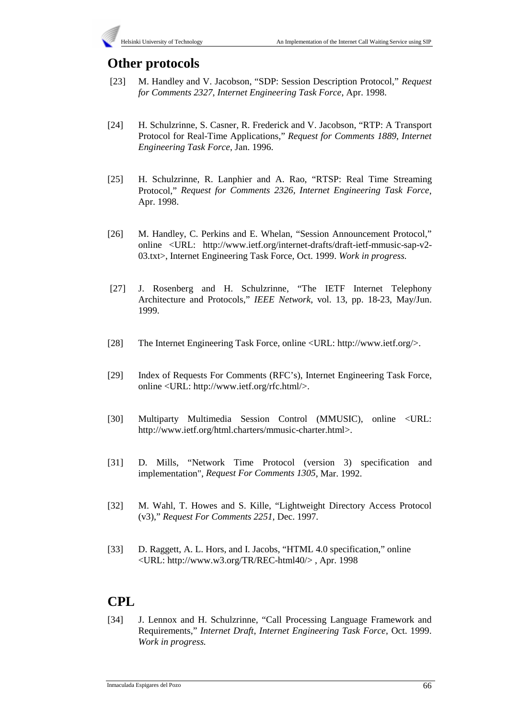## **Other protocols**

- [23] M. Handley and V. Jacobson, "SDP: Session Description Protocol," *Request for Comments 2327*, *Internet Engineering Task Force*, Apr. 1998.
- [24] H. Schulzrinne, S. Casner, R. Frederick and V. Jacobson, "RTP: A Transport Protocol for Real-Time Applications," *Request for Comments 1889*, *Internet Engineering Task Force*, Jan. 1996.
- [25] H. Schulzrinne, R. Lanphier and A. Rao, "RTSP: Real Time Streaming Protocol," *Request for Comments 2326, Internet Engineering Task Force*, Apr. 1998.
- [26] M. Handley, C. Perkins and E. Whelan, "Session Announcement Protocol," online <URL: http://www.ietf.org/internet-drafts/draft-ietf-mmusic-sap-v2- 03.txt>, Internet Engineering Task Force, Oct. 1999. *Work in progress.*
- [27] J. Rosenberg and H. Schulzrinne, "The IETF Internet Telephony Architecture and Protocols," *IEEE Network*, vol. 13, pp. 18-23, May/Jun. 1999.
- [28] The Internet Engineering Task Force, online <URL: http://www.ietf.org/>.
- [29] Index of Requests For Comments (RFC's), Internet Engineering Task Force, online <URL: http://www.ietf.org/rfc.html/>.
- [30] Multiparty Multimedia Session Control (MMUSIC), online <URL: http://www.ietf.org/html.charters/mmusic-charter.html>.
- [31] D. Mills, "Network Time Protocol (version 3) specification and implementation", *Request For Comments 1305*, Mar. 1992.
- [32] M. Wahl, T. Howes and S. Kille, "Lightweight Directory Access Protocol (v3)," *Request For Comments 2251,* Dec. 1997.
- [33] D. Raggett, A. L. Hors, and I. Jacobs, "HTML 4.0 specification," online <URL: http://www.w3.org/TR/REC-html40/> , Apr. 1998

## **CPL**

[34] J. Lennox and H. Schulzrinne, "Call Processing Language Framework and Requirements," *Internet Draft*, *Internet Engineering Task Force*, Oct. 1999. *Work in progress.*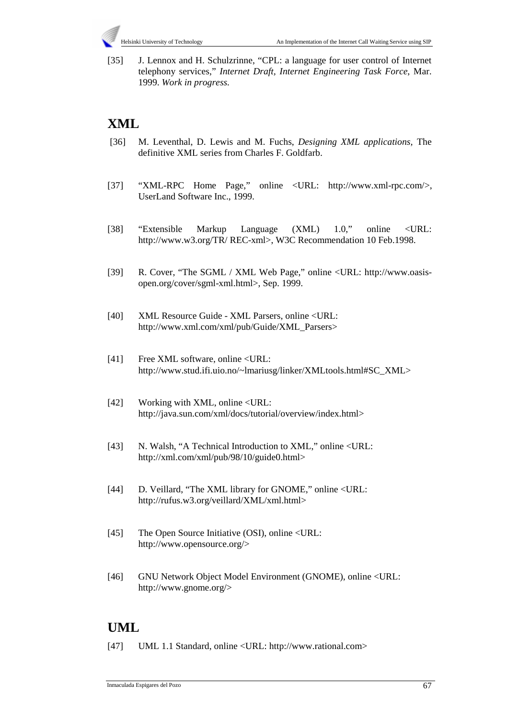

[35] J. Lennox and H. Schulzrinne, "CPL: a language for user control of Internet telephony services," *Internet Draft, Internet Engineering Task Force*, Mar. 1999. *Work in progress.*

## **XML**

- [36] M. Leventhal, D. Lewis and M. Fuchs, *Designing XML applications,* The definitive XML series from Charles F. Goldfarb.
- [37] "XML-RPC Home Page," online <URL: http://www.xml-rpc.com/>, UserLand Software Inc., 1999.
- [38] "Extensible Markup Language (XML) 1.0," online <URL: http://www.w3.org/TR/ REC-xml>, W3C Recommendation 10 Feb.1998.
- [39] R. Cover, "The SGML / XML Web Page," online <URL: http://www.oasisopen.org/cover/sgml-xml.html>, Sep. 1999.
- [40] XML Resource Guide XML Parsers, online <URL: http://www.xml.com/xml/pub/Guide/XML\_Parsers>
- [41] Free XML software, online <URL: http://www.stud.ifi.uio.no/~lmariusg/linker/XMLtools.html#SC\_XML>
- [42] Working with XML, online <URL: http://java.sun.com/xml/docs/tutorial/overview/index.html>
- [43] N. Walsh, "A Technical Introduction to XML," online <URL: http://xml.com/xml/pub/98/10/guide0.html>
- [44] D. Veillard, "The XML library for GNOME," online <URL: http://rufus.w3.org/veillard/XML/xml.html>
- [45] The Open Source Initiative (OSI), online <URL: http://www.opensource.org/>
- [46] GNU Network Object Model Environment (GNOME), online <URL: http://www.gnome.org/>

## **UML**

[47] UML 1.1 Standard, online <URL: http://www.rational.com>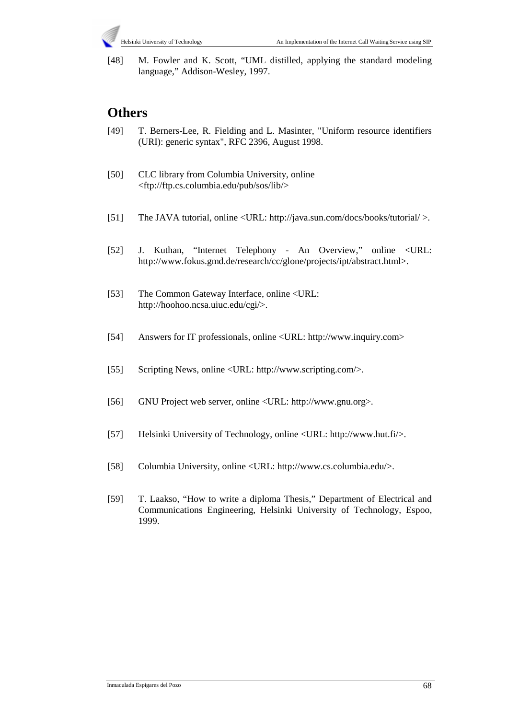

[48] M. Fowler and K. Scott, "UML distilled, applying the standard modeling language," Addison-Wesley, 1997.

## **Others**

- [49] T. Berners-Lee, R. Fielding and L. Masinter, "Uniform resource identifiers (URI): generic syntax", RFC 2396, August 1998.
- [50] CLC library from Columbia University, online <ftp://ftp.cs.columbia.edu/pub/sos/lib/>
- [51] The JAVA tutorial, online <URL: http://java.sun.com/docs/books/tutorial/ >.
- [52] J. Kuthan, "Internet Telephony An Overview," online <URL: http://www.fokus.gmd.de/research/cc/glone/projects/ipt/abstract.html>.
- [53] The Common Gateway Interface, online <URL: http://hoohoo.ncsa.uiuc.edu/cgi/>.
- [54] Answers for IT professionals, online <URL: http://www.inquiry.com>
- [55] Scripting News, online <URL: http://www.scripting.com/>.
- [56] GNU Project web server, online <URL: http://www.gnu.org>.
- [57] Helsinki University of Technology, online <URL: http://www.hut.fi/>.
- [58] Columbia University, online <URL: http://www.cs.columbia.edu/>.
- [59] T. Laakso, "How to write a diploma Thesis," Department of Electrical and Communications Engineering, Helsinki University of Technology, Espoo, 1999.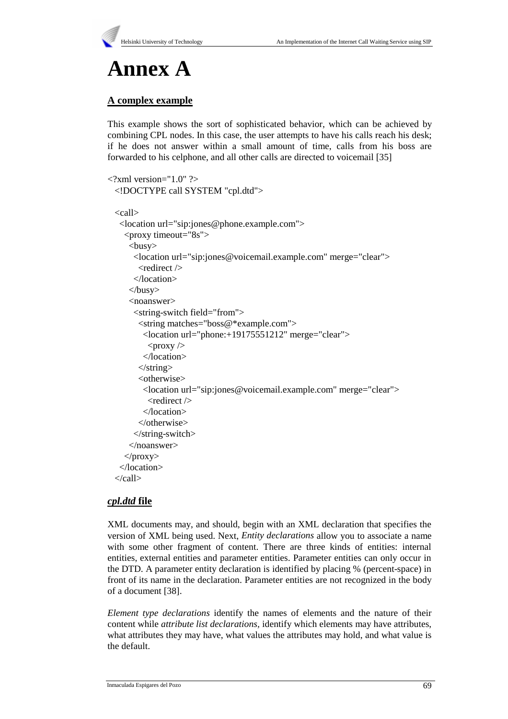# **Annex A**

### **A complex example**

This example shows the sort of sophisticated behavior, which can be achieved by combining CPL nodes. In this case, the user attempts to have his calls reach his desk; if he does not answer within a small amount of time, calls from his boss are forwarded to his celphone, and all other calls are directed to voicemail [35]

```
\langle?xml version="1.0" ?>
  <!DOCTYPE call SYSTEM "cpl.dtd">
```

```
 <call>
  <location url="sip:jones@phone.example.com">
  <proxy timeout="8s">
   busy> <location url="sip:jones@voicemail.example.com" merge="clear">
      <redirect />
      </location>
   </busy>
    <noanswer>
      <string-switch field="from">
       <string matches="boss@*example.com">
        <location url="phone:+19175551212" merge="clear">
        <proxy \rightarrow </location>
       </string>
       <otherwise>
        <location url="sip:jones@voicemail.example.com" merge="clear">
         <redirect />
        </location>
       </otherwise>
      </string-switch>
    </noanswer>
   </proxy>
  </location>
 </call>
```
### *cpl.dtd* **file**

XML documents may, and should, begin with an XML declaration that specifies the version of XML being used. Next, *Entity declarations* allow you to associate a name with some other fragment of content. There are three kinds of entities: internal entities, external entities and parameter entities. Parameter entities can only occur in the DTD. A parameter entity declaration is identified by placing % (percent-space) in front of its name in the declaration. Parameter entities are not recognized in the body of a document [38].

*Element type declarations* identify the names of elements and the nature of their content while *attribute list declarations,* identify which elements may have attributes, what attributes they may have, what values the attributes may hold, and what value is the default.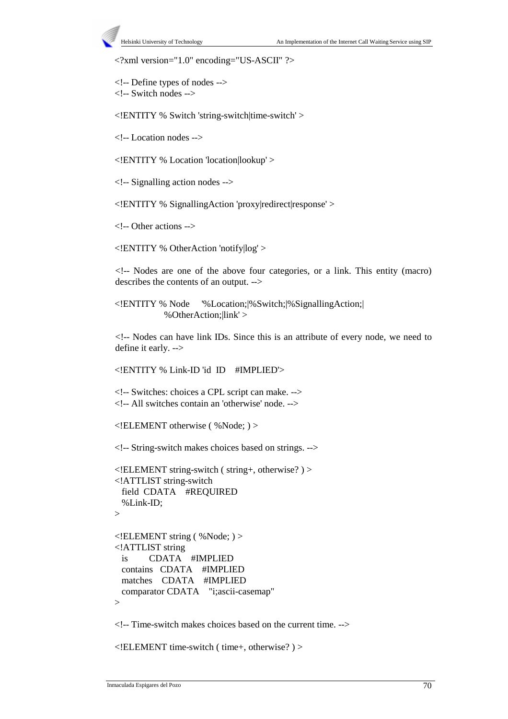<?xml version="1.0" encoding="US-ASCII" ?>

 <!-- Define types of nodes --> <!-- Switch nodes -->

<!ENTITY % Switch 'string-switch|time-switch' >

<!-- Location nodes -->

<!ENTITY % Location 'location|lookup' >

<!-- Signalling action nodes -->

<!ENTITY % SignallingAction 'proxy|redirect|response' >

<!-- Other actions -->

<!ENTITY % OtherAction 'notify|log' >

<!-- Nodes are one of the above four categories, or a link. This entity (macro) describes the contents of an output. -->

 <!ENTITY % Node '%Location;|%Switch;|%SignallingAction;| %OtherAction;|link' >

<!-- Nodes can have link IDs. Since this is an attribute of every node, we need to define it early. -->

<!ENTITY % Link-ID 'id ID #IMPLIED'>

 <!-- Switches: choices a CPL script can make. --> <!-- All switches contain an 'otherwise' node. -->

<!ELEMENT otherwise ( %Node; ) >

<!-- String-switch makes choices based on strings. -->

```
 <!ELEMENT string-switch ( string+, otherwise? ) >
 <!ATTLIST string-switch
  field CDATA #REQUIRED
  %Link-ID;
 >
```

```
 <!ELEMENT string ( %Node; ) >
 <!ATTLIST string
  is CDATA #IMPLIED
  contains CDATA #IMPLIED
  matches CDATA #IMPLIED
  comparator CDATA "i;ascii-casemap"
\rightarrow
```
<!-- Time-switch makes choices based on the current time. -->

<!ELEMENT time-switch ( time+, otherwise? ) >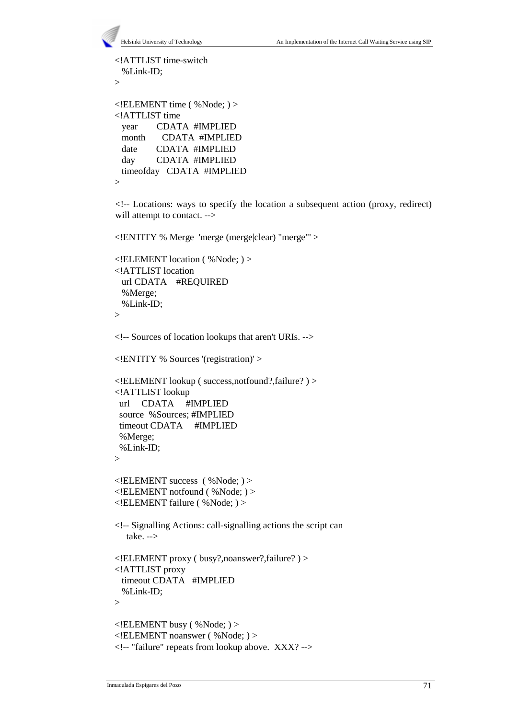```
 <!ATTLIST time-switch
  %Link-ID;
\rightarrow <!ELEMENT time ( %Node; ) >
 <!ATTLIST time
  year CDATA #IMPLIED
  month CDATA #IMPLIED
  date CDATA #IMPLIED
  day CDATA #IMPLIED
  timeofday CDATA #IMPLIED
 >
```
<!-- Locations: ways to specify the location a subsequent action (proxy, redirect) will attempt to contact. -->

```
 <!ENTITY % Merge 'merge (merge|clear) "merge"' >
```

```
 <!ELEMENT location ( %Node; ) >
 <!ATTLIST location
  url CDATA #REQUIRED
  %Merge;
  %Link-ID;
```

```
 >
```
<!-- Sources of location lookups that aren't URIs. -->

```
 <!ENTITY % Sources '(registration)' >
```

```
 <!ELEMENT lookup ( success,notfound?,failure? ) >
 <!ATTLIST lookup
  url CDATA #IMPLIED
  source %Sources; #IMPLIED
  timeout CDATA #IMPLIED
  %Merge;
  %Link-ID;
\rightarrow <!ELEMENT success ( %Node; ) >
 <!ELEMENT notfound ( %Node; ) >
 <!ELEMENT failure ( %Node; ) >
 <!-- Signalling Actions: call-signalling actions the script can
   take. -->
 <!ELEMENT proxy ( busy?,noanswer?,failure? ) >
 <!ATTLIST proxy
   timeout CDATA #IMPLIED
   %Link-ID;
 >
```

```
 <!ELEMENT busy ( %Node; ) >
 <!ELEMENT noanswer ( %Node; ) >
 <!-- "failure" repeats from lookup above. XXX? -->
```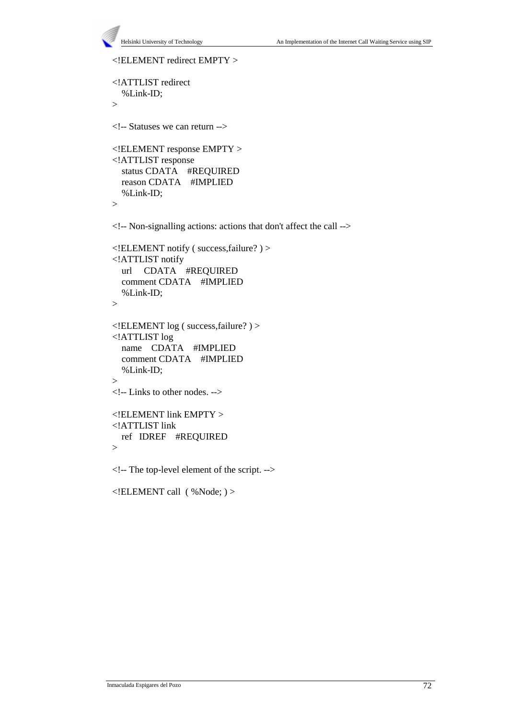```
 Helsinki University of Technology An Implementation of the Internet Call Waiting Service using SIP
 <!ELEMENT redirect EMPTY >
 <!ATTLIST redirect
   %Link-ID;
 >
 <!-- Statuses we can return -->
 <!ELEMENT response EMPTY >
 <!ATTLIST response
   status CDATA #REQUIRED
   reason CDATA #IMPLIED
   %Link-ID;
\geq <!-- Non-signalling actions: actions that don't affect the call -->
 <!ELEMENT notify ( success,failure? ) >
 <!ATTLIST notify
   url CDATA #REQUIRED
   comment CDATA #IMPLIED
   %Link-ID;
\geq <!ELEMENT log ( success,failure? ) >
 <!ATTLIST log
   name CDATA #IMPLIED
   comment CDATA #IMPLIED
   %Link-ID;
\overline{\phantom{0}} <!-- Links to other nodes. -->
 <!ELEMENT link EMPTY >
 <!ATTLIST link
   ref IDREF #REQUIRED
\geq <!-- The top-level element of the script. -->
```

```
\leq!ELEMENT call (%Node; ) >
```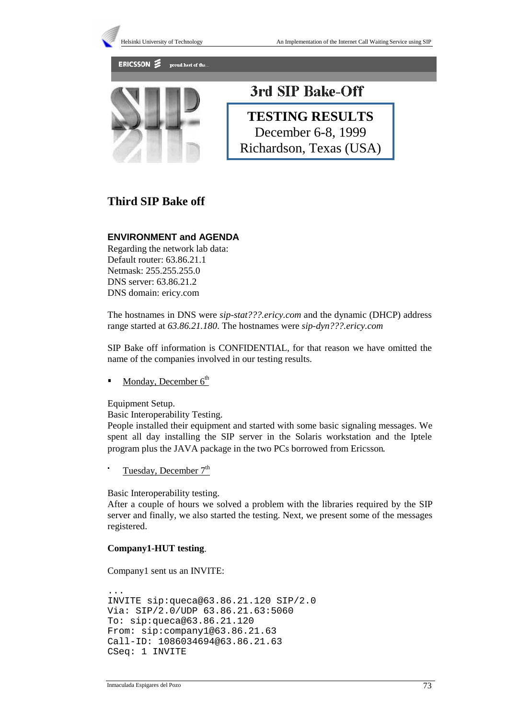

## **Third SIP Bake off**

### **ENVIRONMENT and AGENDA**

Regarding the network lab data: Default router: 63.86.21.1 Netmask: 255.255.255.0 DNS server: 63.86.21.2 DNS domain: ericy.com

The hostnames in DNS were *sip-stat???.ericy.com* and the dynamic (DHCP) address range started at *63.86.21.180*. The hostnames were *sip-dyn???.ericy.com*

SIP Bake off information is CONFIDENTIAL, for that reason we have omitted the name of the companies involved in our testing results.

Monday, December  $6<sup>th</sup>$ 

Equipment Setup.

Basic Interoperability Testing.

People installed their equipment and started with some basic signaling messages. We spent all day installing the SIP server in the Solaris workstation and the Iptele program plus the JAVA package in the two PCs borrowed from Ericsson.

Tuesday, December 7<sup>th</sup>

Basic Interoperability testing.

After a couple of hours we solved a problem with the libraries required by the SIP server and finally, we also started the testing. Next, we present some of the messages registered.

### **Company1-HUT testing**.

Company1 sent us an INVITE:

```
...
INVITE sip:queca@63.86.21.120 SIP/2.0
Via: SIP/2.0/UDP 63.86.21.63:5060
To: sip:queca@63.86.21.120
From: sip:company1@63.86.21.63
Call-ID: 1086034694@63.86.21.63
CSeq: 1 INVITE
```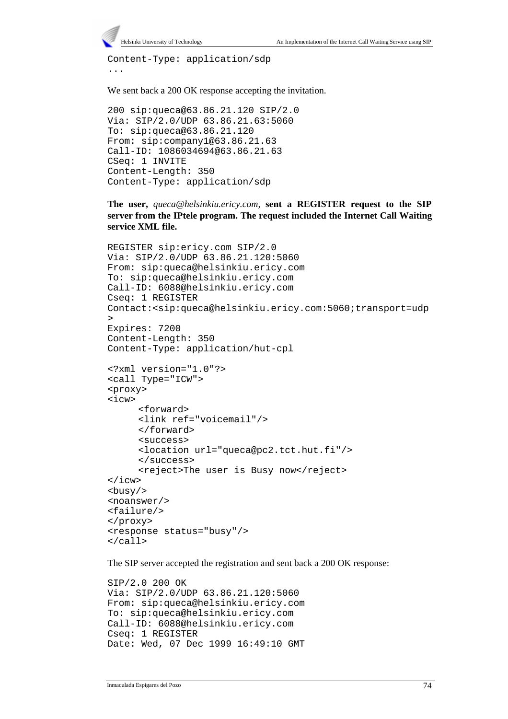

```
Content-Type: application/sdp
...
```
We sent back a 200 OK response accepting the invitation.

```
200 sip:queca@63.86.21.120 SIP/2.0
Via: SIP/2.0/UDP 63.86.21.63:5060
To: sip:queca@63.86.21.120
From: sip:company1@63.86.21.63
Call-ID: 1086034694@63.86.21.63
CSeq: 1 INVITE
Content-Length: 350
Content-Type: application/sdp
```
**The user,** *queca@helsinkiu.ericy.com,* **sent a REGISTER request to the SIP server from the IPtele program. The request included the Internet Call Waiting service XML file.**

```
REGISTER sip:ericy.com SIP/2.0
Via: SIP/2.0/UDP 63.86.21.120:5060
From: sip:queca@helsinkiu.ericy.com
To: sip:queca@helsinkiu.ericy.com
Call-ID: 6088@helsinkiu.ericy.com
Cseq: 1 REGISTER
Contact:<sip:queca@helsinkiu.ericy.com:5060;transport=udp
>
Expires: 7200
Content-Length: 350
Content-Type: application/hut-cpl
<?xml version="1.0"?>
<call Type="ICW">
 <proxy>
 <icw>
       <forward>
       <link ref="voicemail"/>
       </forward>
       <success>
      <location url="queca@pc2.tct.hut.fi"/>
       </success>
       <reject>The user is Busy now</reject>
\langleicw\rangle <busy/>
 <noanswer/>
 <failure/>
 </proxy>
 <response status="busy"/>
</call>
```
The SIP server accepted the registration and sent back a 200 OK response:

```
SIP/2.0 200 OK
Via: SIP/2.0/UDP 63.86.21.120:5060
From: sip:queca@helsinkiu.ericy.com
To: sip:queca@helsinkiu.ericy.com
Call-ID: 6088@helsinkiu.ericy.com
Cseq: 1 REGISTER
Date: Wed, 07 Dec 1999 16:49:10 GMT
```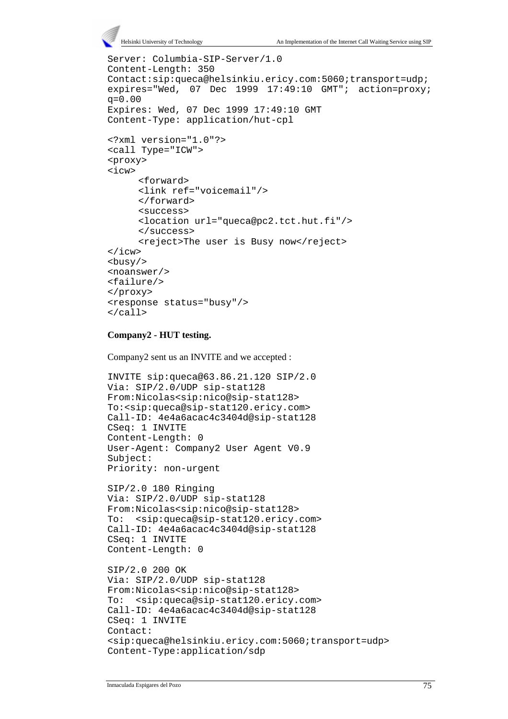```
Helsinki University of Technology An Implementation of the Internet Call Waiting Service using SIP
```

```
Server: Columbia-SIP-Server/1.0
Content-Length: 350
Contact:sip:queca@helsinkiu.ericy.com:5060;transport=udp;
expires="Wed, 07 Dec 1999 17:49:10 GMT"; action=proxy;
q=0.00
Expires: Wed, 07 Dec 1999 17:49:10 GMT
Content-Type: application/hut-cpl
<?xml version="1.0"?>
<call Type="ICW">
 <proxy>

      <forward>
      <link ref="voicemail"/>
      </forward>
      <success>
      <location url="queca@pc2.tct.hut.fi"/>
      </success>
      <reject>The user is Busy now</reject>
\langleicw\rangle <busy/>
 <noanswer/>
 <failure/>
 </proxy>
 <response status="busy"/>
</call>
```
#### **Company2 - HUT testing.**

Company2 sent us an INVITE and we accepted :

```
INVITE sip:queca@63.86.21.120 SIP/2.0
Via: SIP/2.0/UDP sip-stat128
From:Nicolas<sip:nico@sip-stat128>
To:<sip:queca@sip-stat120.ericy.com>
Call-ID: 4e4a6acac4c3404d@sip-stat128
CSeq: 1 INVITE
Content-Length: 0
User-Agent: Company2 User Agent V0.9
Subject:
Priority: non-urgent
```

```
SIP/2.0 180 Ringing
Via: SIP/2.0/UDP sip-stat128
From:Nicolas<sip:nico@sip-stat128>
To: <sip:queca@sip-stat120.ericy.com>
Call-ID: 4e4a6acac4c3404d@sip-stat128
CSeq: 1 INVITE
Content-Length: 0
```

```
SIP/2.0 200 OK
Via: SIP/2.0/UDP sip-stat128
From:Nicolas<sip:nico@sip-stat128>
To: <sip:queca@sip-stat120.ericy.com>
Call-ID: 4e4a6acac4c3404d@sip-stat128
CSeq: 1 INVITE
Contact:
<sip:queca@helsinkiu.ericy.com:5060;transport=udp>
Content-Type:application/sdp
```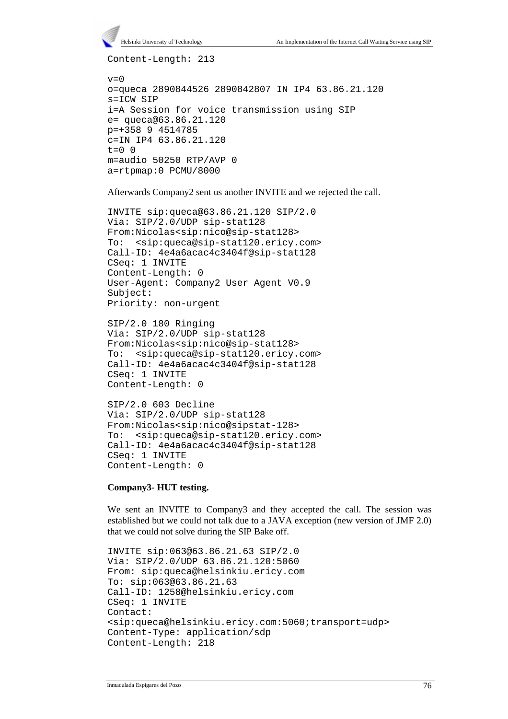

Content-Length: 213

```
v=0o=queca 2890844526 2890842807 IN IP4 63.86.21.120
s=ICW SIP
i=A Session for voice transmission using SIP
e= queca@63.86.21.120
p=+358 9 4514785
c=IN IP4 63.86.21.120
t=0 0
m=audio 50250 RTP/AVP 0
a=rtpmap:0 PCMU/8000
```
Afterwards Company2 sent us another INVITE and we rejected the call.

```
INVITE sip:queca@63.86.21.120 SIP/2.0
Via: SIP/2.0/UDP sip-stat128
From:Nicolas<sip:nico@sip-stat128>
To: <sip:queca@sip-stat120.ericy.com>
Call-ID: 4e4a6acac4c3404f@sip-stat128
CSeq: 1 INVITE
Content-Length: 0
User-Agent: Company2 User Agent V0.9
Subject:
Priority: non-urgent
```

```
SIP/2.0 180 Ringing
Via: SIP/2.0/UDP sip-stat128
From:Nicolas<sip:nico@sip-stat128>
To: <sip:queca@sip-stat120.ericy.com>
Call-ID: 4e4a6acac4c3404f@sip-stat128
CSeq: 1 INVITE
Content-Length: 0
```

```
SIP/2.0 603 Decline
Via: SIP/2.0/UDP sip-stat128
From:Nicolas<sip:nico@sipstat-128>
To: <sip:queca@sip-stat120.ericy.com>
Call-ID: 4e4a6acac4c3404f@sip-stat128
CSeq: 1 INVITE
Content-Length: 0
```
### **Company3- HUT testing.**

We sent an INVITE to Company3 and they accepted the call. The session was established but we could not talk due to a JAVA exception (new version of JMF 2.0) that we could not solve during the SIP Bake off.

```
INVITE sip:063@63.86.21.63 SIP/2.0
Via: SIP/2.0/UDP 63.86.21.120:5060
From: sip:queca@helsinkiu.ericy.com
To: sip:063@63.86.21.63
Call-ID: 1258@helsinkiu.ericy.com
CSeq: 1 INVITE
Contact:
<sip:queca@helsinkiu.ericy.com:5060;transport=udp>
Content-Type: application/sdp
Content-Length: 218
```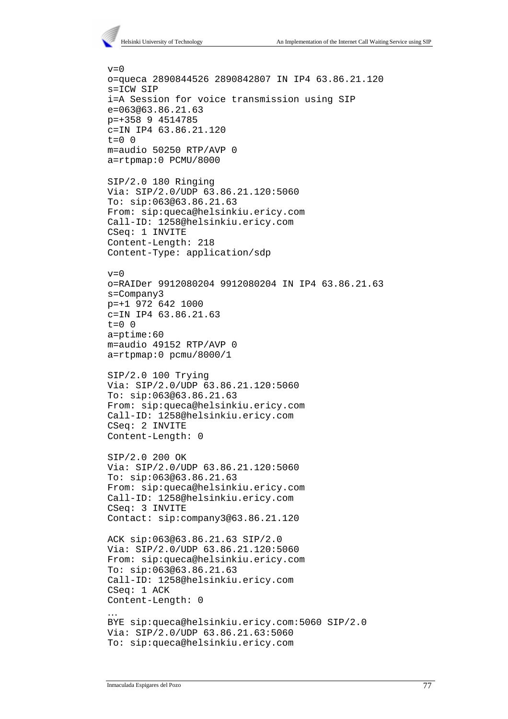

```
v=0o=queca 2890844526 2890842807 IN IP4 63.86.21.120
s=ICW SIP
i=A Session for voice transmission using SIP
e=063@63.86.21.63
p=+358 9 4514785
c=IN IP4 63.86.21.120
t=0 0
m=audio 50250 RTP/AVP 0
a=rtpmap:0 PCMU/8000
SIP/2.0 180 Ringing
Via: SIP/2.0/UDP 63.86.21.120:5060
To: sip:063@63.86.21.63
From: sip:queca@helsinkiu.ericy.com
Call-ID: 1258@helsinkiu.ericy.com
CSeq: 1 INVITE
Content-Length: 218
Content-Type: application/sdp
v=0o=RAIDer 9912080204 9912080204 IN IP4 63.86.21.63
s=Company3
p=+1 972 642 1000
c=IN IP4 63.86.21.63
t=0 0
a=ptime:60
m=audio 49152 RTP/AVP 0
a=rtpmap:0 pcmu/8000/1
SIP/2.0 100 Trying
Via: SIP/2.0/UDP 63.86.21.120:5060
To: sip:063@63.86.21.63
From: sip:queca@helsinkiu.ericy.com
Call-ID: 1258@helsinkiu.ericy.com
CSeq: 2 INVITE
Content-Length: 0
SIP/2.0 200 OK
Via: SIP/2.0/UDP 63.86.21.120:5060
To: sip:063@63.86.21.63
From: sip:queca@helsinkiu.ericy.com
Call-ID: 1258@helsinkiu.ericy.com
CSeq: 3 INVITE
Contact: sip:company3@63.86.21.120
ACK sip:063@63.86.21.63 SIP/2.0
Via: SIP/2.0/UDP 63.86.21.120:5060
From: sip:queca@helsinkiu.ericy.com
To: sip:063@63.86.21.63
Call-ID: 1258@helsinkiu.ericy.com
CSeq: 1 ACK
Content-Length: 0
…
BYE sip:queca@helsinkiu.ericy.com:5060 SIP/2.0
Via: SIP/2.0/UDP 63.86.21.63:5060
To: sip:queca@helsinkiu.ericy.com
```